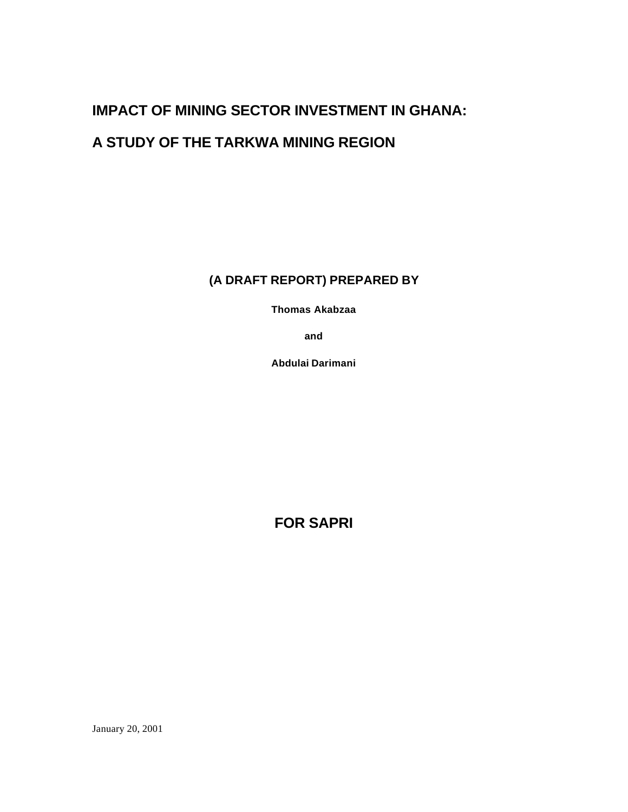# **IMPACT OF MINING SECTOR INVESTMENT IN GHANA:**

# **A STUDY OF THE TARKWA MINING REGION**

**(A DRAFT REPORT) PREPARED BY**

**Thomas Akabzaa** 

**and** 

**Abdulai Darimani** 

**FOR SAPRI**

January 20, 2001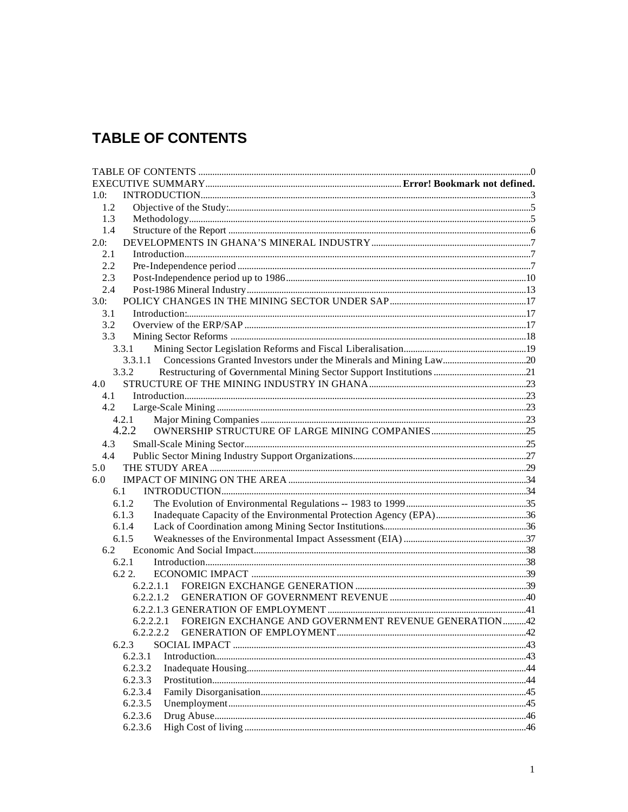# **TABLE OF CONTENTS**

| 1.0:          |           |                                                                |  |
|---------------|-----------|----------------------------------------------------------------|--|
| 1.2           |           |                                                                |  |
| 1.3           |           |                                                                |  |
| 1.4           |           |                                                                |  |
| 2.0:          |           |                                                                |  |
| 2.1           |           |                                                                |  |
| 2.2           |           |                                                                |  |
| 2.3           |           |                                                                |  |
| 2.4           |           |                                                                |  |
| 3.0:          |           |                                                                |  |
| 3.1           |           |                                                                |  |
| 3.2           |           |                                                                |  |
| 3.3           |           |                                                                |  |
|               | 3.3.1     |                                                                |  |
|               | 3.3.1.1   |                                                                |  |
|               | 3.3.2     |                                                                |  |
| 4.0           |           |                                                                |  |
| 4.1           |           |                                                                |  |
| 4.2           |           |                                                                |  |
|               | 4.2.1     |                                                                |  |
|               | 4.2.2     |                                                                |  |
| 4.3           |           |                                                                |  |
| 4.4           |           |                                                                |  |
| 5.0           |           |                                                                |  |
| $6.0^{\circ}$ |           |                                                                |  |
| 6.1           |           |                                                                |  |
|               | 6.1.2     |                                                                |  |
|               | 6.1.3     |                                                                |  |
|               | 6.1.4     |                                                                |  |
|               | 6.1.5     |                                                                |  |
| 6.2           |           |                                                                |  |
|               | 6.2.1     |                                                                |  |
|               | $6.22$ .  |                                                                |  |
|               | 6.2.2.1.1 |                                                                |  |
|               |           |                                                                |  |
|               |           |                                                                |  |
|               |           | 6.2.2.2.1 FOREIGN EXCHANGE AND GOVERNMENT REVENUE GENERATION42 |  |
|               | 6.2.2.2.2 |                                                                |  |
|               | 6.2.3     |                                                                |  |
|               | 6.2.3.1   |                                                                |  |
|               | 6.2.3.2   |                                                                |  |
|               | 6.2.3.3   |                                                                |  |
|               | 6.2.3.4   |                                                                |  |
|               | 6.2.3.5   |                                                                |  |
|               | 6.2.3.6   |                                                                |  |
|               | 6.2.3.6   |                                                                |  |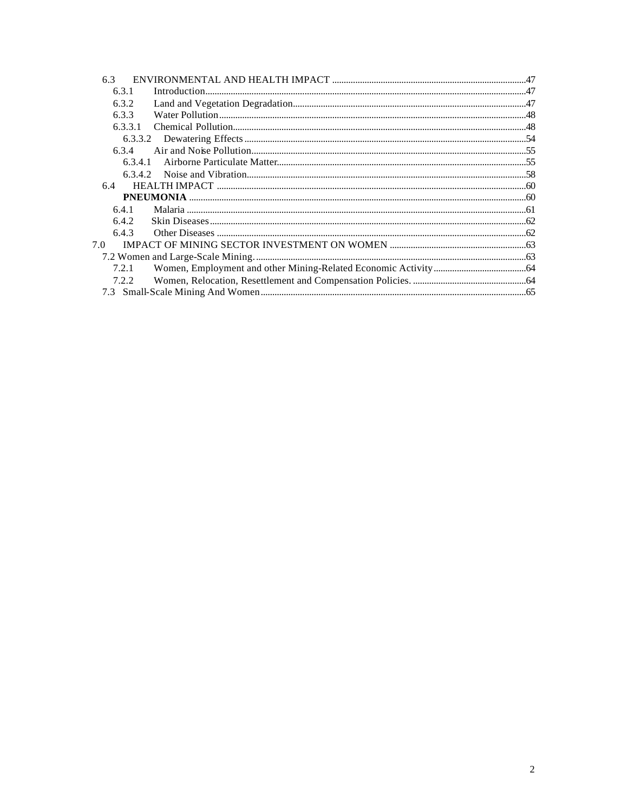| 6.3     |  |
|---------|--|
| 6.3.1   |  |
| 6.3.2   |  |
| 6.3.3   |  |
| 6.3.3.1 |  |
|         |  |
| 6.3.4   |  |
| 6.3.4.1 |  |
| 6.3.4.2 |  |
| 6.4     |  |
|         |  |
| 6.4.1   |  |
| 6.4.2   |  |
| 6.4.3   |  |
| 7.0     |  |
|         |  |
| 7.2.1   |  |
| 7.2.2   |  |
|         |  |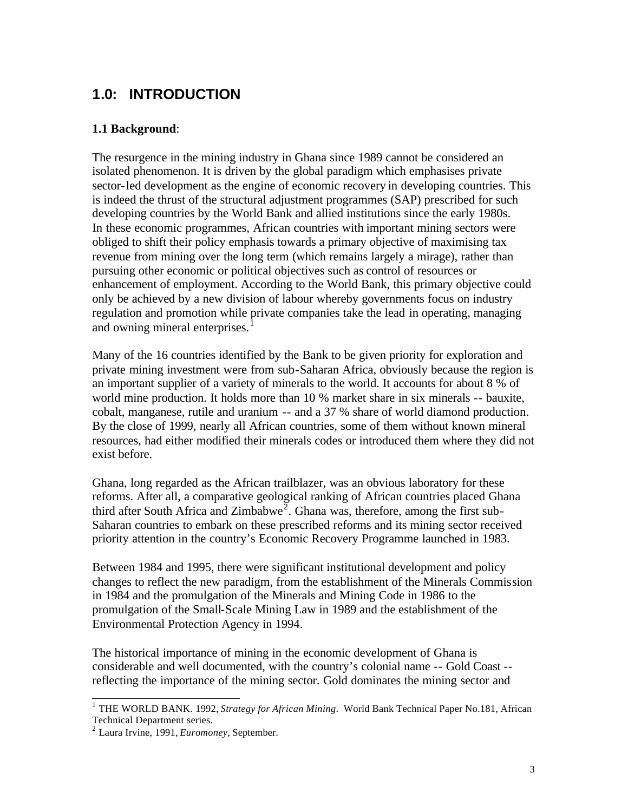# **1.0: INTRODUCTION**

### **1.1 Background**:

The resurgence in the mining industry in Ghana since 1989 cannot be considered an isolated phenomenon. It is driven by the global paradigm which emphasises private sector-led development as the engine of economic recovery in developing countries. This is indeed the thrust of the structural adjustment programmes (SAP) prescribed for such developing countries by the World Bank and allied institutions since the early 1980s. In these economic programmes, African countries with important mining sectors were obliged to shift their policy emphasis towards a primary objective of maximising tax revenue from mining over the long term (which remains largely a mirage), rather than pursuing other economic or political objectives such as control of resources or enhancement of employment. According to the World Bank, this primary objective could only be achieved by a new division of labour whereby governments focus on industry regulation and promotion while private companies take the lead in operating, managing and owning mineral enterprises.<sup>1</sup>

Many of the 16 countries identified by the Bank to be given priority for exploration and private mining investment were from sub-Saharan Africa, obviously because the region is an important supplier of a variety of minerals to the world. It accounts for about 8 % of world mine production. It holds more than 10 % market share in six minerals -- bauxite, cobalt, manganese, rutile and uranium -- and a 37 % share of world diamond production. By the close of 1999, nearly all African countries, some of them without known mineral resources, had either modified their minerals codes or introduced them where they did not exist before.

Ghana, long regarded as the African trailblazer, was an obvious laboratory for these reforms. After all, a comparative geological ranking of African countries placed Ghana third after South Africa and Zimbabwe<sup>2</sup>. Ghana was, therefore, among the first sub-Saharan countries to embark on these prescribed reforms and its mining sector received priority attention in the country's Economic Recovery Programme launched in 1983.

Between 1984 and 1995, there were significant institutional development and policy changes to reflect the new paradigm, from the establishment of the Minerals Commission in 1984 and the promulgation of the Minerals and Mining Code in 1986 to the promulgation of the Small-Scale Mining Law in 1989 and the establishment of the Environmental Protection Agency in 1994.

The historical importance of mining in the economic development of Ghana is considerable and well documented, with the country's colonial name -- Gold Coast - reflecting the importance of the mining sector. Gold dominates the mining sector and

 1 THE WORLD BANK. 1992, *Strategy for African Mining*. World Bank Technical Paper No.181, African Technical Department series.

<sup>2</sup> Laura Irvine, 1991, *Euromoney*, September.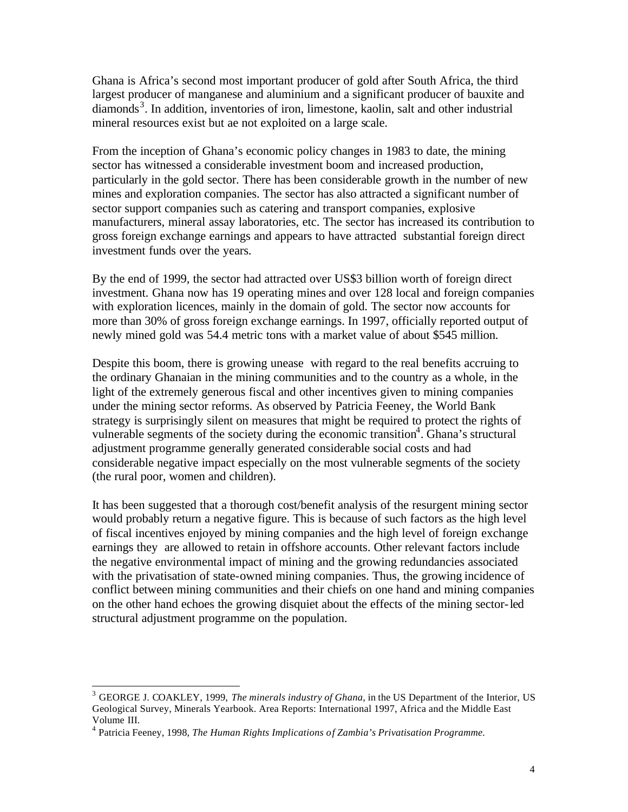Ghana is Africa's second most important producer of gold after South Africa, the third largest producer of manganese and aluminium and a significant producer of bauxite and diamonds<sup>3</sup>. In addition, inventories of iron, limestone, kaolin, salt and other industrial mineral resources exist but ae not exploited on a large scale.

From the inception of Ghana's economic policy changes in 1983 to date, the mining sector has witnessed a considerable investment boom and increased production, particularly in the gold sector. There has been considerable growth in the number of new mines and exploration companies. The sector has also attracted a significant number of sector support companies such as catering and transport companies, explosive manufacturers, mineral assay laboratories, etc. The sector has increased its contribution to gross foreign exchange earnings and appears to have attracted substantial foreign direct investment funds over the years.

By the end of 1999, the sector had attracted over US\$3 billion worth of foreign direct investment. Ghana now has 19 operating mines and over 128 local and foreign companies with exploration licences, mainly in the domain of gold. The sector now accounts for more than 30% of gross foreign exchange earnings. In 1997, officially reported output of newly mined gold was 54.4 metric tons with a market value of about \$545 million.

Despite this boom, there is growing unease with regard to the real benefits accruing to the ordinary Ghanaian in the mining communities and to the country as a whole, in the light of the extremely generous fiscal and other incentives given to mining companies under the mining sector reforms. As observed by Patricia Feeney, the World Bank strategy is surprisingly silent on measures that might be required to protect the rights of vulnerable segments of the society during the economic transition<sup>4</sup>. Ghana's structural adjustment programme generally generated considerable social costs and had considerable negative impact especially on the most vulnerable segments of the society (the rural poor, women and children).

It has been suggested that a thorough cost/benefit analysis of the resurgent mining sector would probably return a negative figure. This is because of such factors as the high level of fiscal incentives enjoyed by mining companies and the high level of foreign exchange earnings they are allowed to retain in offshore accounts. Other relevant factors include the negative environmental impact of mining and the growing redundancies associated with the privatisation of state-owned mining companies. Thus, the growing incidence of conflict between mining communities and their chiefs on one hand and mining companies on the other hand echoes the growing disquiet about the effects of the mining sector-led structural adjustment programme on the population.

 $\overline{a}$ 

<sup>3</sup> GEORGE J. COAKLEY, 1999, *The minerals industry of Ghana*, in the US Department of the Interior, US Geological Survey, Minerals Yearbook. Area Reports: International 1997, Africa and the Middle East Volume III.

<sup>&</sup>lt;sup>4</sup> Patricia Feeney, 1998, *The Human Rights Implications of Zambia's Privatisation Programme.*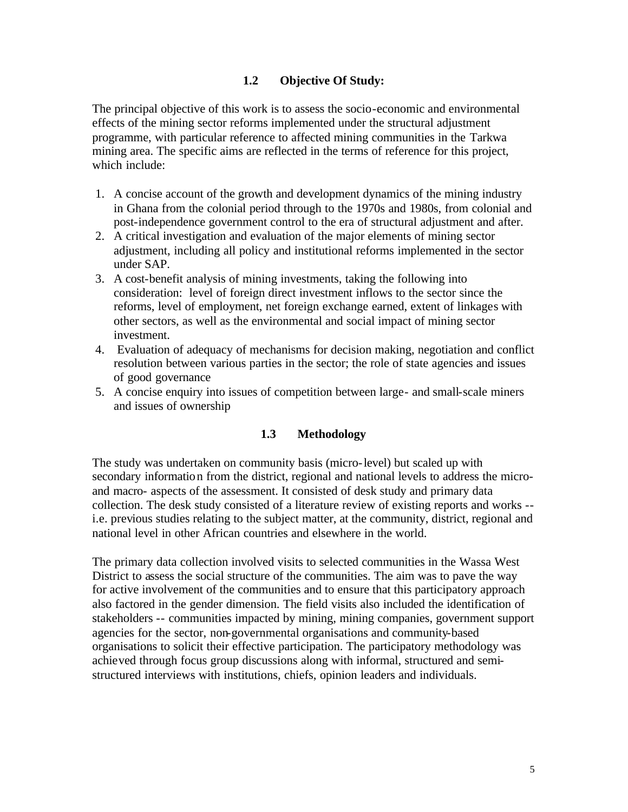#### **1.2 Objective Of Study:**

The principal objective of this work is to assess the socio-economic and environmental effects of the mining sector reforms implemented under the structural adjustment programme, with particular reference to affected mining communities in the Tarkwa mining area. The specific aims are reflected in the terms of reference for this project, which include:

- 1. A concise account of the growth and development dynamics of the mining industry in Ghana from the colonial period through to the 1970s and 1980s, from colonial and post-independence government control to the era of structural adjustment and after.
- 2. A critical investigation and evaluation of the major elements of mining sector adjustment, including all policy and institutional reforms implemented in the sector under SAP.
- 3. A cost-benefit analysis of mining investments, taking the following into consideration: level of foreign direct investment inflows to the sector since the reforms, level of employment, net foreign exchange earned, extent of linkages with other sectors, as well as the environmental and social impact of mining sector investment.
- 4. Evaluation of adequacy of mechanisms for decision making, negotiation and conflict resolution between various parties in the sector; the role of state agencies and issues of good governance
- 5. A concise enquiry into issues of competition between large- and small-scale miners and issues of ownership

#### **1.3 Methodology**

The study was undertaken on community basis (micro-level) but scaled up with secondary information from the district, regional and national levels to address the microand macro- aspects of the assessment. It consisted of desk study and primary data collection. The desk study consisted of a literature review of existing reports and works - i.e. previous studies relating to the subject matter, at the community, district, regional and national level in other African countries and elsewhere in the world.

The primary data collection involved visits to selected communities in the Wassa West District to assess the social structure of the communities. The aim was to pave the way for active involvement of the communities and to ensure that this participatory approach also factored in the gender dimension. The field visits also included the identification of stakeholders -- communities impacted by mining, mining companies, government support agencies for the sector, non-governmental organisations and community-based organisations to solicit their effective participation. The participatory methodology was achieved through focus group discussions along with informal, structured and semistructured interviews with institutions, chiefs, opinion leaders and individuals.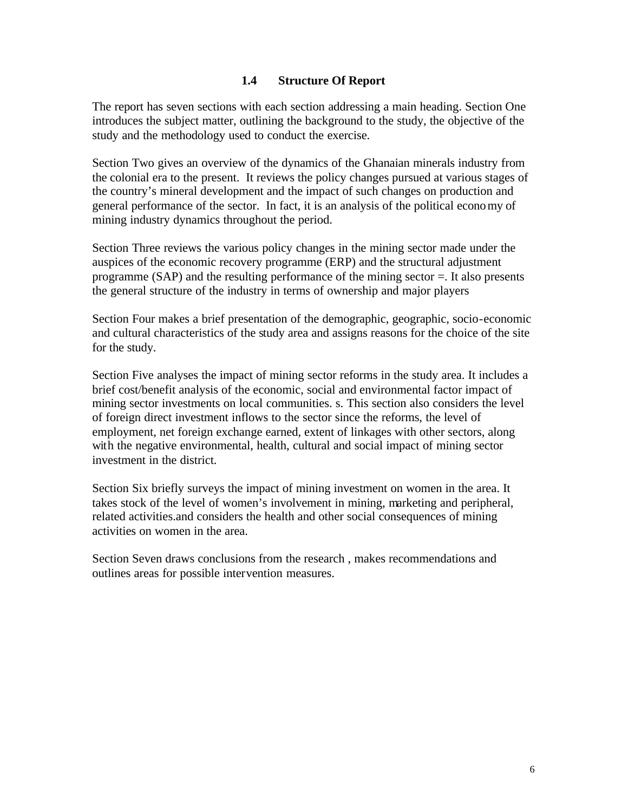#### **1.4 Structure Of Report**

The report has seven sections with each section addressing a main heading. Section One introduces the subject matter, outlining the background to the study, the objective of the study and the methodology used to conduct the exercise.

Section Two gives an overview of the dynamics of the Ghanaian minerals industry from the colonial era to the present. It reviews the policy changes pursued at various stages of the country's mineral development and the impact of such changes on production and general performance of the sector. In fact, it is an analysis of the political economy of mining industry dynamics throughout the period.

Section Three reviews the various policy changes in the mining sector made under the auspices of the economic recovery programme (ERP) and the structural adjustment programme (SAP) and the resulting performance of the mining sector  $=$ . It also presents the general structure of the industry in terms of ownership and major players

Section Four makes a brief presentation of the demographic, geographic, socio-economic and cultural characteristics of the study area and assigns reasons for the choice of the site for the study.

Section Five analyses the impact of mining sector reforms in the study area. It includes a brief cost/benefit analysis of the economic, social and environmental factor impact of mining sector investments on local communities. s. This section also considers the level of foreign direct investment inflows to the sector since the reforms, the level of employment, net foreign exchange earned, extent of linkages with other sectors, along with the negative environmental, health, cultural and social impact of mining sector investment in the district.

Section Six briefly surveys the impact of mining investment on women in the area. It takes stock of the level of women's involvement in mining, marketing and peripheral, related activities.and considers the health and other social consequences of mining activities on women in the area.

Section Seven draws conclusions from the research , makes recommendations and outlines areas for possible intervention measures.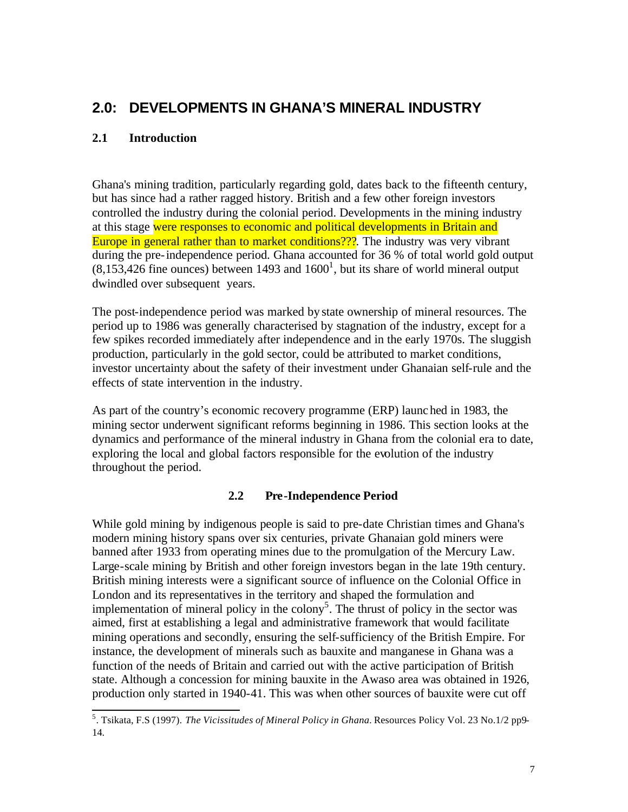# **2.0: DEVELOPMENTS IN GHANA'S MINERAL INDUSTRY**

### **2.1 Introduction**

Ghana's mining tradition, particularly regarding gold, dates back to the fifteenth century, but has since had a rather ragged history. British and a few other foreign investors controlled the industry during the colonial period. Developments in the mining industry at this stage were responses to economic and political developments in Britain and Europe in general rather than to market conditions???. The industry was very vibrant during the pre-independence period. Ghana accounted for 36 % of total world gold output  $(8,153,426)$  fine ounces) between 1493 and 1600<sup>1</sup>, but its share of world mineral output dwindled over subsequent years.

The post-independence period was marked by state ownership of mineral resources. The period up to 1986 was generally characterised by stagnation of the industry, except for a few spikes recorded immediately after independence and in the early 1970s. The sluggish production, particularly in the gold sector, could be attributed to market conditions, investor uncertainty about the safety of their investment under Ghanaian self-rule and the effects of state intervention in the industry.

As part of the country's economic recovery programme (ERP) launched in 1983, the mining sector underwent significant reforms beginning in 1986. This section looks at the dynamics and performance of the mineral industry in Ghana from the colonial era to date, exploring the local and global factors responsible for the evolution of the industry throughout the period.

### **2.2 Pre-Independence Period**

While gold mining by indigenous people is said to pre-date Christian times and Ghana's modern mining history spans over six centuries, private Ghanaian gold miners were banned after 1933 from operating mines due to the promulgation of the Mercury Law. Large-scale mining by British and other foreign investors began in the late 19th century. British mining interests were a significant source of influence on the Colonial Office in London and its representatives in the territory and shaped the formulation and implementation of mineral policy in the colony<sup>5</sup>. The thrust of policy in the sector was aimed, first at establishing a legal and administrative framework that would facilitate mining operations and secondly, ensuring the self-sufficiency of the British Empire. For instance, the development of minerals such as bauxite and manganese in Ghana was a function of the needs of Britain and carried out with the active participation of British state. Although a concession for mining bauxite in the Awaso area was obtained in 1926, production only started in 1940-41. This was when other sources of bauxite were cut off

 5 . Tsikata, F.S (1997). *The Vicissitudes of Mineral Policy in Ghana.* Resources Policy Vol. 23 No.1/2 pp9- 14.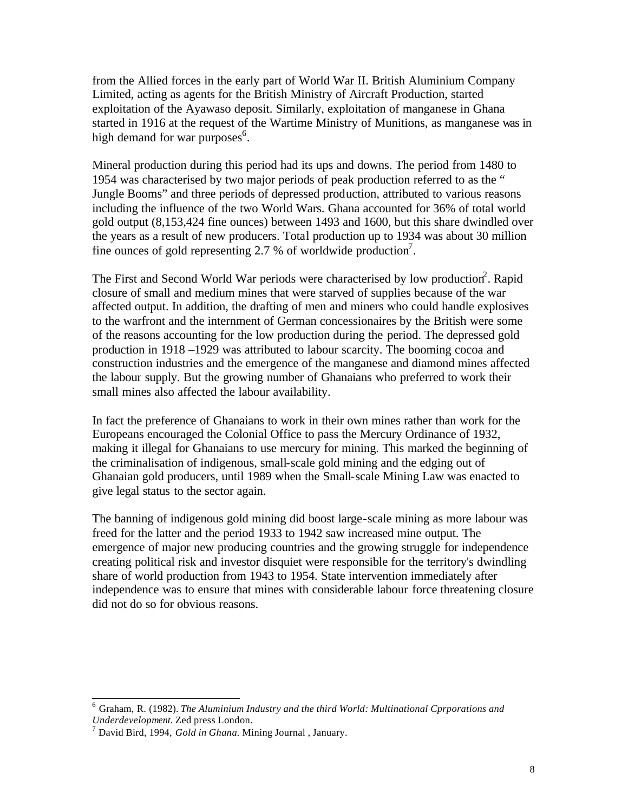from the Allied forces in the early part of World War II. British Aluminium Company Limited, acting as agents for the British Ministry of Aircraft Production, started exploitation of the Ayawaso deposit. Similarly, exploitation of manganese in Ghana started in 1916 at the request of the Wartime Ministry of Munitions, as manganese was in high demand for war purposes<sup>6</sup>.

Mineral production during this period had its ups and downs. The period from 1480 to 1954 was characterised by two major periods of peak production referred to as the " Jungle Booms" and three periods of depressed production, attributed to various reasons including the influence of the two World Wars. Ghana accounted for 36% of total world gold output (8,153,424 fine ounces) between 1493 and 1600, but this share dwindled over the years as a result of new producers. Total production up to 1934 was about 30 million fine ounces of gold representing 2.7 % of worldwide production<sup>7</sup>.

The First and Second World War periods were characterised by low production<sup>2</sup>. Rapid closure of small and medium mines that were starved of supplies because of the war affected output. In addition, the drafting of men and miners who could handle explosives to the warfront and the internment of German concessionaires by the British were some of the reasons accounting for the low production during the period. The depressed gold production in 1918 –1929 was attributed to labour scarcity. The booming cocoa and construction industries and the emergence of the manganese and diamond mines affected the labour supply. But the growing number of Ghanaians who preferred to work their small mines also affected the labour availability.

In fact the preference of Ghanaians to work in their own mines rather than work for the Europeans encouraged the Colonial Office to pass the Mercury Ordinance of 1932, making it illegal for Ghanaians to use mercury for mining. This marked the beginning of the criminalisation of indigenous, small-scale gold mining and the edging out of Ghanaian gold producers, until 1989 when the Small-scale Mining Law was enacted to give legal status to the sector again.

The banning of indigenous gold mining did boost large-scale mining as more labour was freed for the latter and the period 1933 to 1942 saw increased mine output. The emergence of major new producing countries and the growing struggle for independence creating political risk and investor disquiet were responsible for the territory's dwindling share of world production from 1943 to 1954. State intervention immediately after independence was to ensure that mines with considerable labour force threatening closure did not do so for obvious reasons.

 6 Graham, R. (1982). *The Aluminium Industry and the third World: Multinational Cprporations and Underdevelopment.* Zed press London.

<sup>7</sup> David Bird, 1994, *Gold in Ghana.* Mining Journal , January.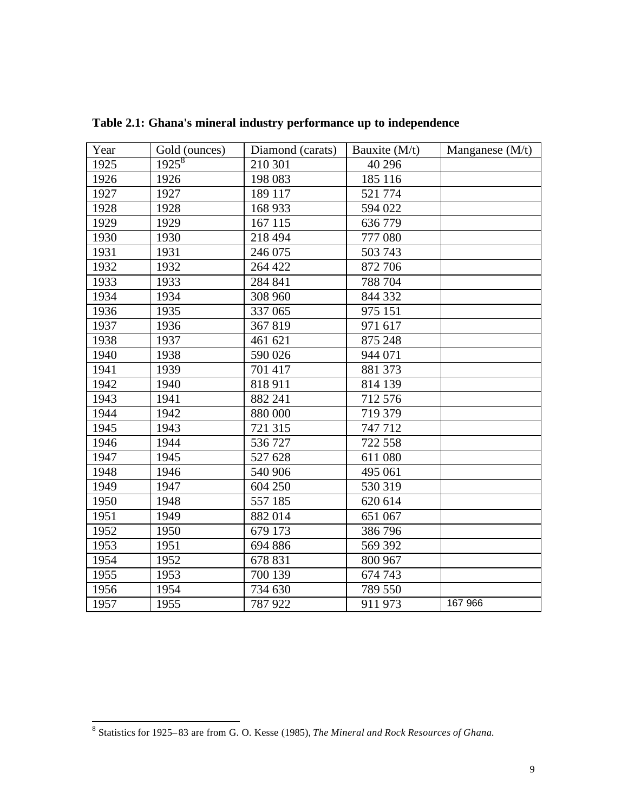| Year | Gold (ounces) | Diamond (carats) | Bauxite (M/t) | Manganese $(M/t)$ |
|------|---------------|------------------|---------------|-------------------|
| 1925 | $1925^8$      | 210 301          | 40 29 6       |                   |
| 1926 | 1926          | 198 083          | 185 116       |                   |
| 1927 | 1927          | 189 117          | 521 774       |                   |
| 1928 | 1928          | 168 933          | 594 022       |                   |
| 1929 | 1929          | 167 115          | 636779        |                   |
| 1930 | 1930          | 218 494          | 777 080       |                   |
| 1931 | 1931          | 246 075          | 503 743       |                   |
| 1932 | 1932          | 264 422          | 872 706       |                   |
| 1933 | 1933          | 284 841          | 788 704       |                   |
| 1934 | 1934          | 308 960          | 844 332       |                   |
| 1936 | 1935          | 337 065          | 975 151       |                   |
| 1937 | 1936          | 367819           | 971 617       |                   |
| 1938 | 1937          | 461 621          | 875 248       |                   |
| 1940 | 1938          | 590 026          | 944 071       |                   |
| 1941 | 1939          | 701 417          | 881 373       |                   |
| 1942 | 1940          | 818 911          | 814 139       |                   |
| 1943 | 1941          | 882 241          | 712 576       |                   |
| 1944 | 1942          | 880 000          | 719 379       |                   |
| 1945 | 1943          | 721 315          | 747712        |                   |
| 1946 | 1944          | 536727           | 722 558       |                   |
| 1947 | 1945          | 527 628          | 611 080       |                   |
| 1948 | 1946          | 540 906          | 495 061       |                   |
| 1949 | 1947          | 604 250          | 530 319       |                   |
| 1950 | 1948          | 557 185          | 620 614       |                   |
| 1951 | 1949          | 882014           | 651 067       |                   |
| 1952 | 1950          | 679 173          | 386796        |                   |
| 1953 | 1951          | 694 886          | 569 392       |                   |
| 1954 | 1952          | 678 831          | 800 967       |                   |
| 1955 | 1953          | 700 139          | 674 743       |                   |
| 1956 | 1954          | 734 630          | 789 550       |                   |
| 1957 | 1955          | 787 922          | 911 973       | 167 966           |

**Table 2.1: Ghana's mineral industry performance up to independence** 

 8 Statistics for 1925–83 are from G. O. Kesse (1985), *The Mineral and Rock Resources of Ghana.*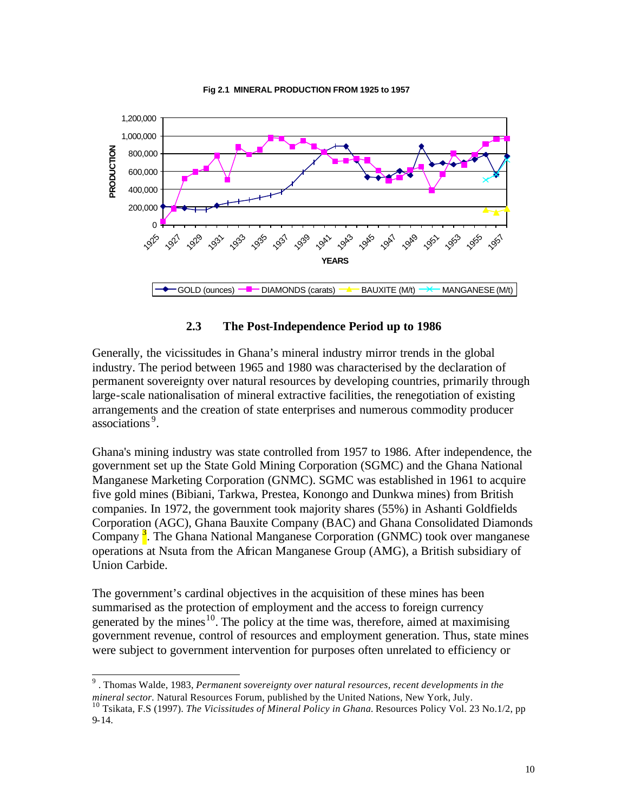

**Fig 2.1 MINERAL PRODUCTION FROM 1925 to 1957**

#### **2.3 The Post-Independence Period up to 1986**

Generally, the vicissitudes in Ghana's mineral industry mirror trends in the global industry. The period between 1965 and 1980 was characterised by the declaration of permanent sovereignty over natural resources by developing countries, primarily through large-scale nationalisation of mineral extractive facilities, the renegotiation of existing arrangements and the creation of state enterprises and numerous commodity producer associations <sup>9</sup> .

Ghana's mining industry was state controlled from 1957 to 1986. After independence, the government set up the State Gold Mining Corporation (SGMC) and the Ghana National Manganese Marketing Corporation (GNMC). SGMC was established in 1961 to acquire five gold mines (Bibiani, Tarkwa, Prestea, Konongo and Dunkwa mines) from British companies. In 1972, the government took majority shares (55%) in Ashanti Goldfields Corporation (AGC), Ghana Bauxite Company (BAC) and Ghana Consolidated Diamonds Company<sup>3</sup>. The Ghana National Manganese Corporation (GNMC) took over manganese operations at Nsuta from the African Manganese Group (AMG), a British subsidiary of Union Carbide.

The government's cardinal objectives in the acquisition of these mines has been summarised as the protection of employment and the access to foreign currency generated by the mines<sup>10</sup>. The policy at the time was, therefore, aimed at maximising government revenue, control of resources and employment generation. Thus, state mines were subject to government intervention for purposes often unrelated to efficiency or

 9 . Thomas Walde, 1983, *Permanent sovereignty over natural resources, recent developments in the mineral sector.* Natural Resources Forum, published by the United Nations, New York, July.

<sup>&</sup>lt;sup>10</sup> Tsikata, F.S (1997). *The Vicissitudes of Mineral Policy in Ghana*. Resources Policy Vol. 23 No.1/2, pp 9-14.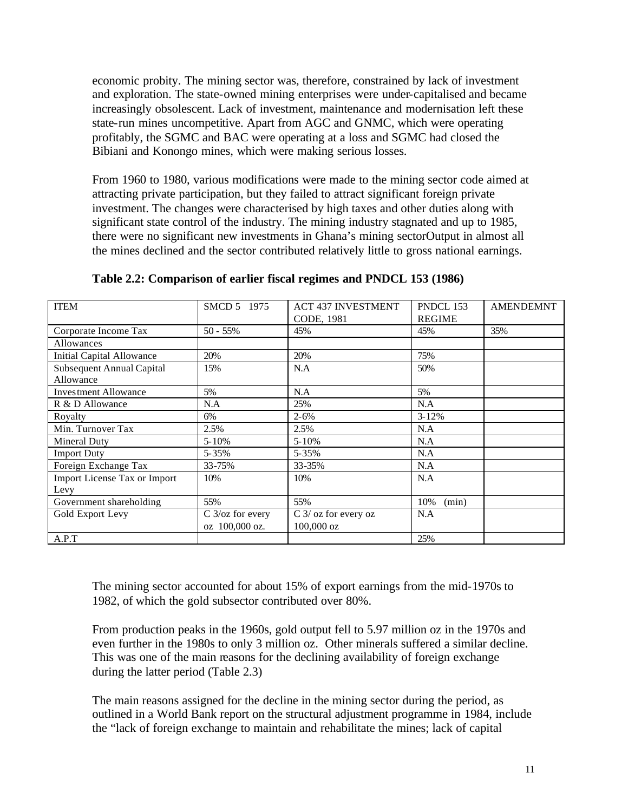economic probity. The mining sector was, therefore, constrained by lack of investment and exploration. The state-owned mining enterprises were under-capitalised and became increasingly obsolescent. Lack of investment, maintenance and modernisation left these state-run mines uncompetitive. Apart from AGC and GNMC, which were operating profitably, the SGMC and BAC were operating at a loss and SGMC had closed the Bibiani and Konongo mines, which were making serious losses.

From 1960 to 1980, various modifications were made to the mining sector code aimed at attracting private participation, but they failed to attract significant foreign private investment. The changes were characterised by high taxes and other duties along with significant state control of the industry. The mining industry stagnated and up to 1985, there were no significant new investments in Ghana's mining sectorOutput in almost all the mines declined and the sector contributed relatively little to gross national earnings.

| <b>ITEM</b>                      | SMCD 5 1975      | <b>ACT 437 INVESTMENT</b> | PNDCL 153     | <b>AMENDEMNT</b> |
|----------------------------------|------------------|---------------------------|---------------|------------------|
|                                  |                  | CODE, 1981                | <b>REGIME</b> |                  |
| Corporate Income Tax             | $50 - 55\%$      | 45%                       | 45%           | 35%              |
| Allowances                       |                  |                           |               |                  |
| <b>Initial Capital Allowance</b> | 20%              | 20%                       | 75%           |                  |
| Subsequent Annual Capital        | 15%              | N.A                       | 50%           |                  |
| Allowance                        |                  |                           |               |                  |
| <b>Investment Allowance</b>      | 5%               | N.A                       | 5%            |                  |
| R & D Allowance                  | N.A              | 25%                       | N.A           |                  |
| Royalty                          | 6%               | $2 - 6%$                  | $3 - 12%$     |                  |
| Min. Turnover Tax                | 2.5%             | 2.5%                      | N.A           |                  |
| Mineral Duty                     | $5 - 10%$        | $5 - 10%$                 | N.A           |                  |
| <b>Import Duty</b>               | 5-35%            | 5-35%                     | N.A           |                  |
| Foreign Exchange Tax             | 33-75%           | 33-35%                    | N.A           |                  |
| Import License Tax or Import     | 10%              | 10%                       | N.A           |                  |
| Levy                             |                  |                           |               |                  |
| Government shareholding          | 55%              | 55%                       | 10%<br>(min)  |                  |
| Gold Export Levy                 | C 3/oz for every | $C$ 3/ oz for every oz    | N.A           |                  |
|                                  | oz 100,000 oz.   | $100,000$ oz              |               |                  |
| A.P.T                            |                  |                           | 25%           |                  |

**Table 2.2: Comparison of earlier fiscal regimes and PNDCL 153 (1986)**

The mining sector accounted for about 15% of export earnings from the mid-1970s to 1982, of which the gold subsector contributed over 80%.

From production peaks in the 1960s, gold output fell to 5.97 million oz in the 1970s and even further in the 1980s to only 3 million oz. Other minerals suffered a similar decline. This was one of the main reasons for the declining availability of foreign exchange during the latter period (Table 2.3)

The main reasons assigned for the decline in the mining sector during the period, as outlined in a World Bank report on the structural adjustment programme in 1984, include the "lack of foreign exchange to maintain and rehabilitate the mines; lack of capital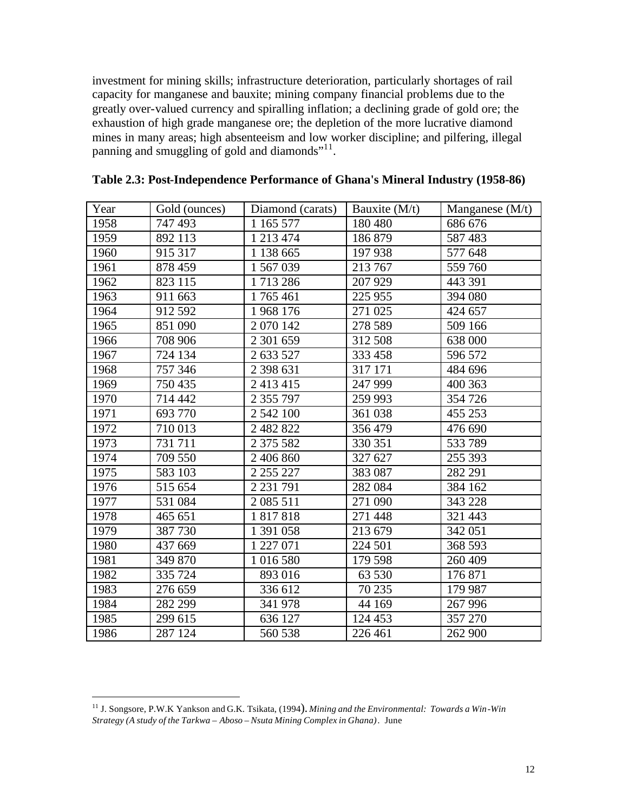investment for mining skills; infrastructure deterioration, particularly shortages of rail capacity for manganese and bauxite; mining company financial problems due to the greatly over-valued currency and spiralling inflation; a declining grade of gold ore; the exhaustion of high grade manganese ore; the depletion of the more lucrative diamond mines in many areas; high absenteeism and low worker discipline; and pilfering, illegal panning and smuggling of gold and diamonds"<sup>11</sup>.

| Year | Gold (ounces) | Diamond (carats) | Bauxite $(M/t)$ | Manganese $(M/t)$ |
|------|---------------|------------------|-----------------|-------------------|
| 1958 | 747 493       | 1 1 65 5 77      | 180 480         | 686 676           |
| 1959 | 892 113       | 1 213 474        | 186 879         | 587 483           |
| 1960 | 915 317       | 1 138 665        | 197 938         | 577 648           |
| 1961 | 878 459       | 1 567 039        | 213 767         | 559 760           |
| 1962 | 823 115       | 1713286          | 207 929         | 443 391           |
| 1963 | 911 663       | 1765461          | 225 955         | 394 080           |
| 1964 | 912 592       | 1968 176         | 271 025         | 424 657           |
| 1965 | 851 090       | 2 070 142        | 278 589         | 509 166           |
| 1966 | 708 906       | 2 301 659        | 312 508         | 638 000           |
| 1967 | 724 134       | 2 633 527        | 333 458         | 596 572           |
| 1968 | 757 346       | 2 398 631        | 317 171         | 484 696           |
| 1969 | 750 435       | 2 413 415        | 247 999         | 400 363           |
| 1970 | 714 442       | 2 355 797        | 259 993         | 354 726           |
| 1971 | 693 770       | 2 542 100        | 361 038         | 455 253           |
| 1972 | 710 013       | 2 482 822        | 356 479         | 476 690           |
| 1973 | 731 711       | 2 375 582        | 330 351         | 533 789           |
| 1974 | 709 550       | 2 406 860        | 327 627         | 255 393           |
| 1975 | 583 103       | 2 255 227        | 383 087         | 282 291           |
| 1976 | 515 654       | 2 2 3 1 7 9 1    | 282 084         | 384 162           |
| 1977 | 531 084       | 2 085 511        | 271 090         | 343 228           |
| 1978 | 465 651       | 1817818          | 271 448         | 321 443           |
| 1979 | 387 730       | 1 391 058        | 213 679         | 342 051           |
| 1980 | 437 669       | 1 227 071        | 224 501         | 368 593           |
| 1981 | 349 870       | 1 016 580        | 179 598         | 260 409           |
| 1982 | 335 724       | 893 016          | 63 530          | 176 871           |
| 1983 | 276 659       | 336 612          | 70 235          | 179 987           |
| 1984 | 282 299       | 341 978          | 44 169          | 267 996           |
| 1985 | 299 615       | 636 127          | 124 453         | 357 270           |
| 1986 | 287 124       | 560 538          | 226 461         | 262 900           |

#### **Table 2.3: Post-Independence Performance of Ghana's Mineral Industry (1958-86)**

 $\overline{a}$ 

 J. Songsore, P.W.K Yankson and G.K. Tsikata, (1994). *Mining and the Environmental: Towards a Win-Win Strategy (A study of the Tarkwa – Aboso – Nsuta Mining Complex in Ghana)*. June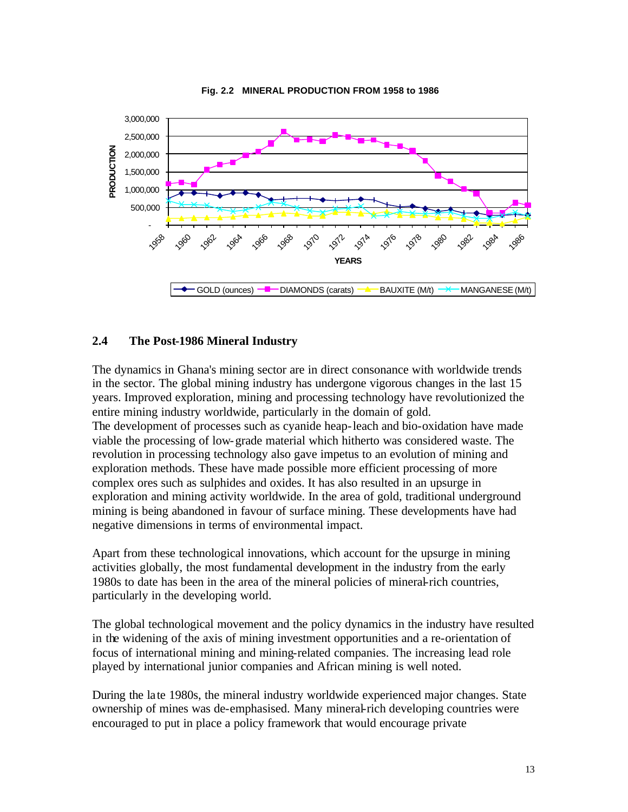

**Fig. 2.2 MINERAL PRODUCTION FROM 1958 to 1986**

#### **2.4 The Post-1986 Mineral Industry**

The dynamics in Ghana's mining sector are in direct consonance with worldwide trends in the sector. The global mining industry has undergone vigorous changes in the last 15 years. Improved exploration, mining and processing technology have revolutionized the entire mining industry worldwide, particularly in the domain of gold. The development of processes such as cyanide heap-leach and bio-oxidation have made viable the processing of low-grade material which hitherto was considered waste. The revolution in processing technology also gave impetus to an evolution of mining and exploration methods. These have made possible more efficient processing of more complex ores such as sulphides and oxides. It has also resulted in an upsurge in exploration and mining activity worldwide. In the area of gold, traditional underground mining is being abandoned in favour of surface mining. These developments have had negative dimensions in terms of environmental impact.

Apart from these technological innovations, which account for the upsurge in mining activities globally, the most fundamental development in the industry from the early 1980s to date has been in the area of the mineral policies of mineral-rich countries, particularly in the developing world.

The global technological movement and the policy dynamics in the industry have resulted in the widening of the axis of mining investment opportunities and a re-orientation of focus of international mining and mining-related companies. The increasing lead role played by international junior companies and African mining is well noted.

During the late 1980s, the mineral industry worldwide experienced major changes. State ownership of mines was de-emphasised. Many mineral-rich developing countries were encouraged to put in place a policy framework that would encourage private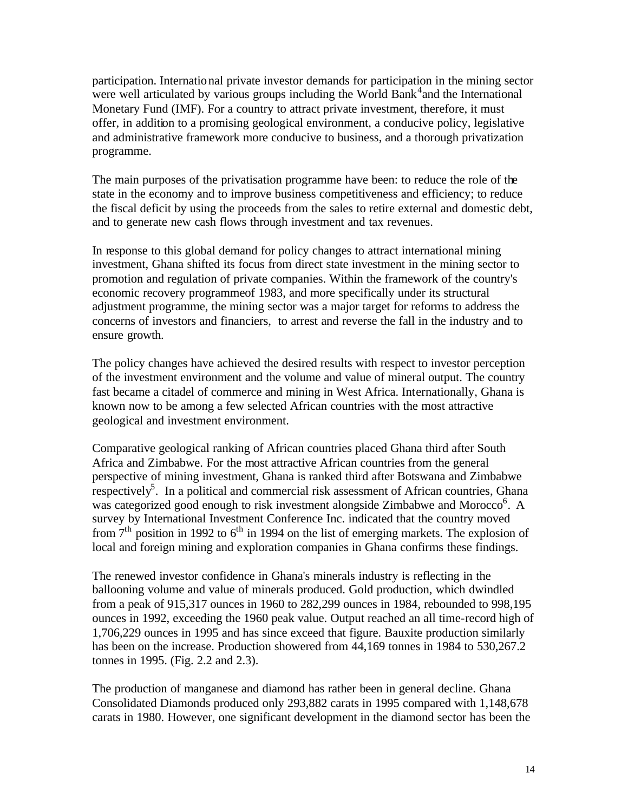participation. International private investor demands for participation in the mining sector were well articulated by various groups including the World Bank<sup>4</sup> and the International Monetary Fund (IMF). For a country to attract private investment, therefore, it must offer, in addition to a promising geological environment, a conducive policy, legislative and administrative framework more conducive to business, and a thorough privatization programme.

The main purposes of the privatisation programme have been: to reduce the role of the state in the economy and to improve business competitiveness and efficiency; to reduce the fiscal deficit by using the proceeds from the sales to retire external and domestic debt, and to generate new cash flows through investment and tax revenues.

In response to this global demand for policy changes to attract international mining investment, Ghana shifted its focus from direct state investment in the mining sector to promotion and regulation of private companies. Within the framework of the country's economic recovery programmeof 1983, and more specifically under its structural adjustment programme, the mining sector was a major target for reforms to address the concerns of investors and financiers, to arrest and reverse the fall in the industry and to ensure growth.

The policy changes have achieved the desired results with respect to investor perception of the investment environment and the volume and value of mineral output. The country fast became a citadel of commerce and mining in West Africa. Internationally, Ghana is known now to be among a few selected African countries with the most attractive geological and investment environment.

Comparative geological ranking of African countries placed Ghana third after South Africa and Zimbabwe. For the most attractive African countries from the general perspective of mining investment, Ghana is ranked third after Botswana and Zimbabwe respectively<sup>5</sup>. In a political and commercial risk assessment of African countries, Ghana was categorized good enough to risk investment alongside Zimbabwe and Morocco<sup>6</sup>. A survey by International Investment Conference Inc. indicated that the country moved from  $7<sup>th</sup>$  position in 1992 to  $6<sup>th</sup>$  in 1994 on the list of emerging markets. The explosion of local and foreign mining and exploration companies in Ghana confirms these findings.

The renewed investor confidence in Ghana's minerals industry is reflecting in the ballooning volume and value of minerals produced. Gold production, which dwindled from a peak of 915,317 ounces in 1960 to 282,299 ounces in 1984, rebounded to 998,195 ounces in 1992, exceeding the 1960 peak value. Output reached an all time-record high of 1,706,229 ounces in 1995 and has since exceed that figure. Bauxite production similarly has been on the increase. Production showered from 44,169 tonnes in 1984 to 530,267.2 tonnes in 1995. (Fig. 2.2 and 2.3).

The production of manganese and diamond has rather been in general decline. Ghana Consolidated Diamonds produced only 293,882 carats in 1995 compared with 1,148,678 carats in 1980. However, one significant development in the diamond sector has been the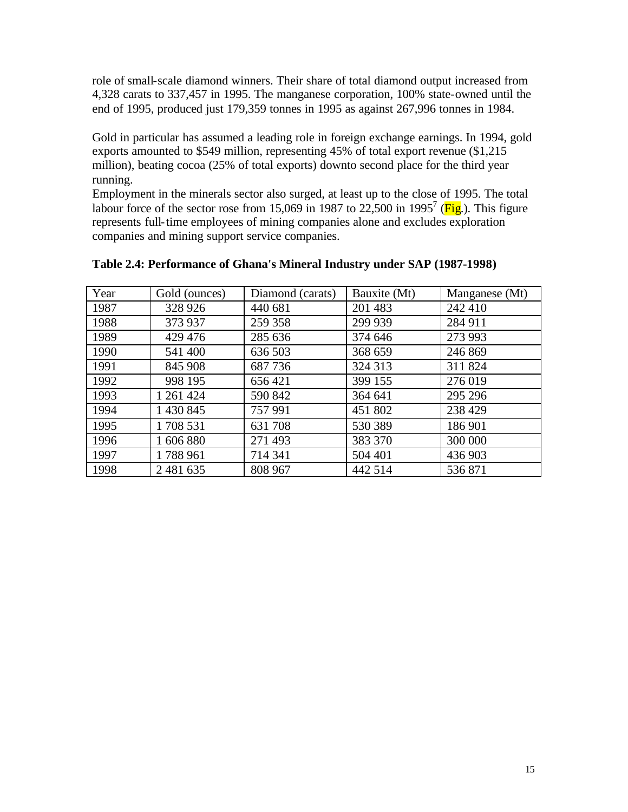role of small-scale diamond winners. Their share of total diamond output increased from 4,328 carats to 337,457 in 1995. The manganese corporation, 100% state-owned until the end of 1995, produced just 179,359 tonnes in 1995 as against 267,996 tonnes in 1984.

Gold in particular has assumed a leading role in foreign exchange earnings. In 1994, gold exports amounted to \$549 million, representing 45% of total export revenue (\$1,215 million), beating cocoa (25% of total exports) downto second place for the third year running.

Employment in the minerals sector also surged, at least up to the close of 1995. The total labour force of the sector rose from 15,069 in 1987 to 22,500 in 1995<sup>7</sup> ( $\overline{Fig}$ .). This figure represents full-time employees of mining companies alone and excludes exploration companies and mining support service companies.

| Year | Gold (ounces) | Diamond (carats) | Bauxite (Mt) | Manganese (Mt) |
|------|---------------|------------------|--------------|----------------|
| 1987 | 328 926       | 440 681          | 201 483      | 242 410        |
| 1988 | 373 937       | 259 358          | 299 939      | 284 911        |
| 1989 | 429 476       | 285 636          | 374 646      | 273 993        |
| 1990 | 541 400       | 636 503          | 368 659      | 246 869        |
| 1991 | 845 908       | 687736           | 324 313      | 311 824        |
| 1992 | 998 195       | 656421           | 399 155      | 276 019        |
| 1993 | 1 261 424     | 590 842          | 364 641      | 295 296        |
| 1994 | 1 430 845     | 757991           | 451 802      | 238 429        |
| 1995 | 1708 531      | 631 708          | 530 389      | 186 901        |
| 1996 | 1 606 880     | 271 493          | 383 370      | 300 000        |
| 1997 | 1788 961      | 714 341          | 504 401      | 436 903        |
| 1998 | 2 481 635     | 808 967          | 442 514      | 536871         |

#### **Table 2.4: Performance of Ghana's Mineral Industry under SAP (1987-1998)**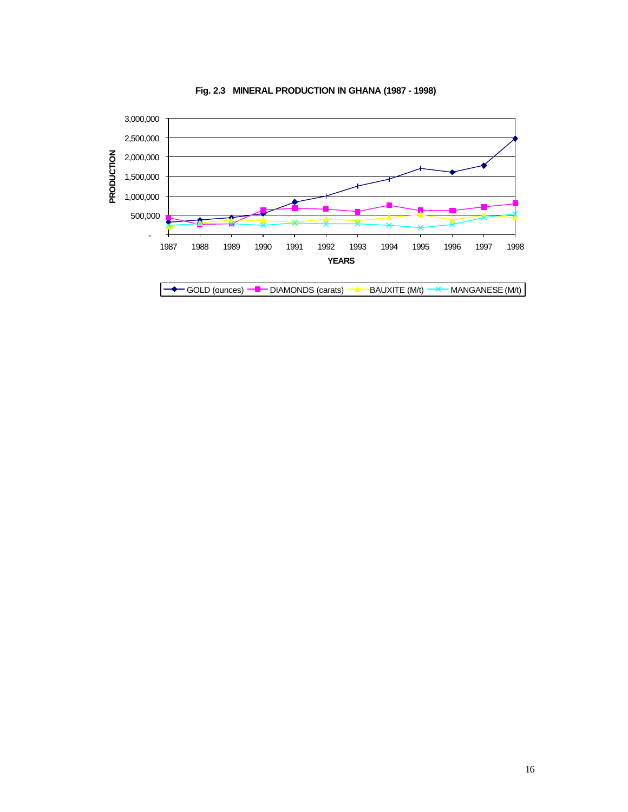

**Fig. 2.3 MINERAL PRODUCTION IN GHANA (1987 - 1998)**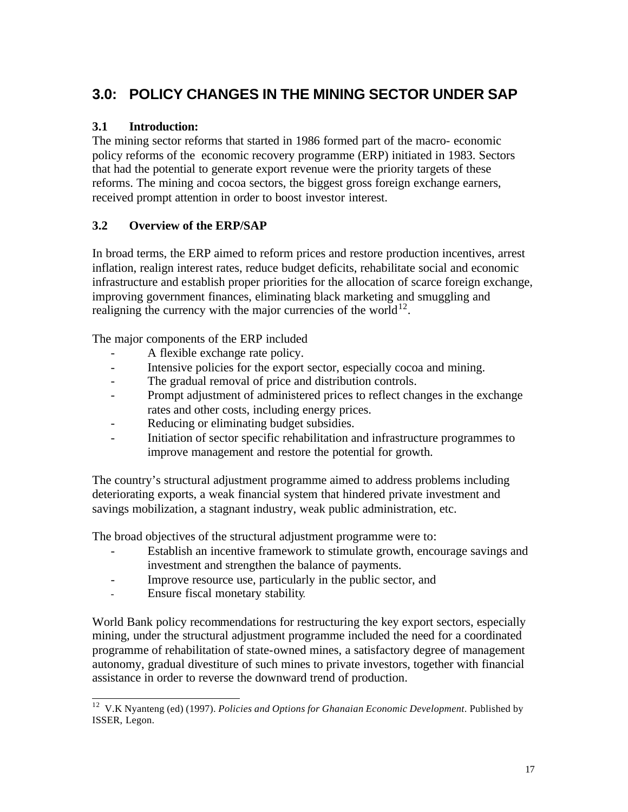# **3.0: POLICY CHANGES IN THE MINING SECTOR UNDER SAP**

## **3.1 Introduction:**

The mining sector reforms that started in 1986 formed part of the macro- economic policy reforms of the economic recovery programme (ERP) initiated in 1983. Sectors that had the potential to generate export revenue were the priority targets of these reforms. The mining and cocoa sectors, the biggest gross foreign exchange earners, received prompt attention in order to boost investor interest.

# **3.2 Overview of the ERP/SAP**

In broad terms, the ERP aimed to reform prices and restore production incentives, arrest inflation, realign interest rates, reduce budget deficits, rehabilitate social and economic infrastructure and establish proper priorities for the allocation of scarce foreign exchange, improving government finances, eliminating black marketing and smuggling and realigning the currency with the major currencies of the world<sup>12</sup>.

The major components of the ERP included

- A flexible exchange rate policy.
- Intensive policies for the export sector, especially cocoa and mining.
- The gradual removal of price and distribution controls.
- Prompt adjustment of administered prices to reflect changes in the exchange rates and other costs, including energy prices.
- Reducing or eliminating budget subsidies.
- Initiation of sector specific rehabilitation and infrastructure programmes to improve management and restore the potential for growth.

The country's structural adjustment programme aimed to address problems including deteriorating exports, a weak financial system that hindered private investment and savings mobilization, a stagnant industry, weak public administration, etc.

The broad objectives of the structural adjustment programme were to:

- Establish an incentive framework to stimulate growth, encourage savings and investment and strengthen the balance of payments.
- Improve resource use, particularly in the public sector, and
- Ensure fiscal monetary stability.

World Bank policy recommendations for restructuring the key export sectors, especially mining, under the structural adjustment programme included the need for a coordinated programme of rehabilitation of state-owned mines, a satisfactory degree of management autonomy, gradual divestiture of such mines to private investors, together with financial assistance in order to reverse the downward trend of production.

 $\overline{\phantom{a}}$ <sup>12</sup> V.K Nyanteng (ed) (1997). *Policies and Options for Ghanaian Economic Development*. Published by ISSER, Legon.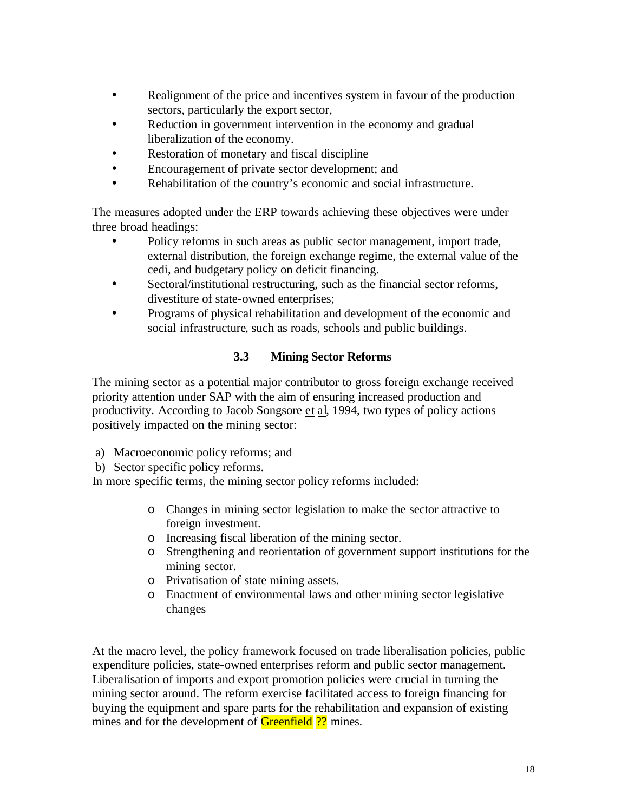- Realignment of the price and incentives system in favour of the production sectors, particularly the export sector,
- Reduction in government intervention in the economy and gradual liberalization of the economy.
- Restoration of monetary and fiscal discipline
- Encouragement of private sector development; and
- Rehabilitation of the country's economic and social infrastructure.

The measures adopted under the ERP towards achieving these objectives were under three broad headings:

- Policy reforms in such areas as public sector management, import trade, external distribution, the foreign exchange regime, the external value of the cedi, and budgetary policy on deficit financing.
- Sectoral/institutional restructuring, such as the financial sector reforms, divestiture of state-owned enterprises;
- Programs of physical rehabilitation and development of the economic and social infrastructure, such as roads, schools and public buildings.

# **3.3 Mining Sector Reforms**

The mining sector as a potential major contributor to gross foreign exchange received priority attention under SAP with the aim of ensuring increased production and productivity. According to Jacob Songsore et al, 1994, two types of policy actions positively impacted on the mining sector:

- a) Macroeconomic policy reforms; and
- b) Sector specific policy reforms.

In more specific terms, the mining sector policy reforms included:

- o Changes in mining sector legislation to make the sector attractive to foreign investment.
- o Increasing fiscal liberation of the mining sector.
- o Strengthening and reorientation of government support institutions for the mining sector.
- o Privatisation of state mining assets.
- o Enactment of environmental laws and other mining sector legislative changes

At the macro level, the policy framework focused on trade liberalisation policies, public expenditure policies, state-owned enterprises reform and public sector management. Liberalisation of imports and export promotion policies were crucial in turning the mining sector around. The reform exercise facilitated access to foreign financing for buying the equipment and spare parts for the rehabilitation and expansion of existing mines and for the development of **Greenfield** ?? mines.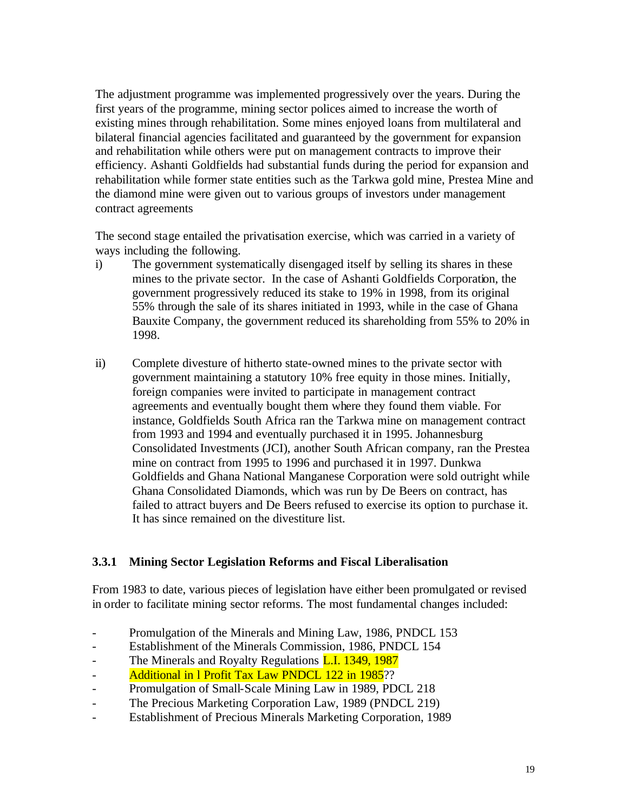The adjustment programme was implemented progressively over the years. During the first years of the programme, mining sector polices aimed to increase the worth of existing mines through rehabilitation. Some mines enjoyed loans from multilateral and bilateral financial agencies facilitated and guaranteed by the government for expansion and rehabilitation while others were put on management contracts to improve their efficiency. Ashanti Goldfields had substantial funds during the period for expansion and rehabilitation while former state entities such as the Tarkwa gold mine, Prestea Mine and the diamond mine were given out to various groups of investors under management contract agreements

The second stage entailed the privatisation exercise, which was carried in a variety of ways including the following.

- i) The government systematically disengaged itself by selling its shares in these mines to the private sector. In the case of Ashanti Goldfields Corporation, the government progressively reduced its stake to 19% in 1998, from its original 55% through the sale of its shares initiated in 1993, while in the case of Ghana Bauxite Company, the government reduced its shareholding from 55% to 20% in 1998.
- ii) Complete divesture of hitherto state-owned mines to the private sector with government maintaining a statutory 10% free equity in those mines. Initially, foreign companies were invited to participate in management contract agreements and eventually bought them where they found them viable. For instance, Goldfields South Africa ran the Tarkwa mine on management contract from 1993 and 1994 and eventually purchased it in 1995. Johannesburg Consolidated Investments (JCI), another South African company, ran the Prestea mine on contract from 1995 to 1996 and purchased it in 1997. Dunkwa Goldfields and Ghana National Manganese Corporation were sold outright while Ghana Consolidated Diamonds, which was run by De Beers on contract, has failed to attract buyers and De Beers refused to exercise its option to purchase it. It has since remained on the divestiture list.

### **3.3.1 Mining Sector Legislation Reforms and Fiscal Liberalisation**

From 1983 to date, various pieces of legislation have either been promulgated or revised in order to facilitate mining sector reforms. The most fundamental changes included:

- Promulgation of the Minerals and Mining Law, 1986, PNDCL 153
- Establishment of the Minerals Commission, 1986, PNDCL 154
- The Minerals and Royalty Regulations **L.I. 1349, 1987**
- **Additional in 1 Profit Tax Law PNDCL 122 in 1985**??
- Promulgation of Small-Scale Mining Law in 1989, PDCL 218
- The Precious Marketing Corporation Law, 1989 (PNDCL 219)
- Establishment of Precious Minerals Marketing Corporation, 1989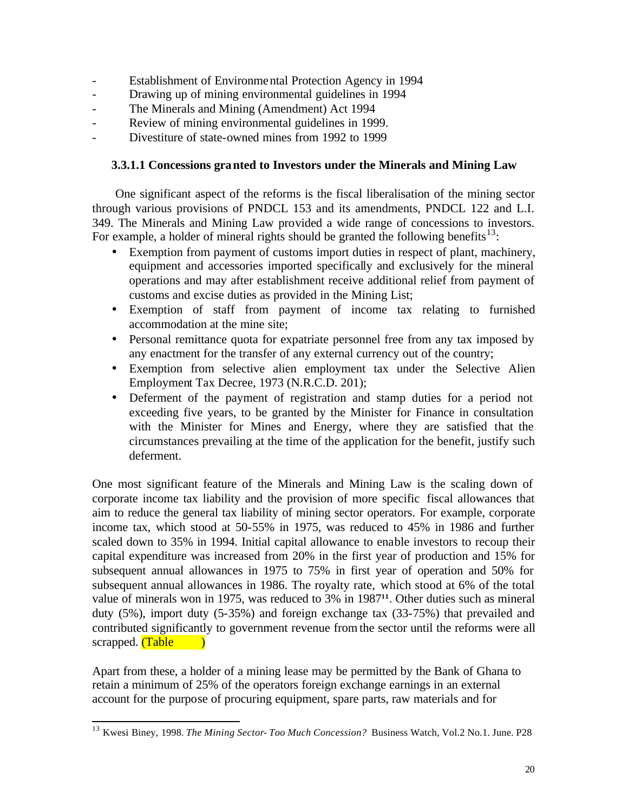- Establishment of Environmental Protection Agency in 1994
- Drawing up of mining environmental guidelines in 1994
- The Minerals and Mining (Amendment) Act 1994
- Review of mining environmental guidelines in 1999.
- Divestiture of state-owned mines from 1992 to 1999

#### **3.3.1.1 Concessions granted to Investors under the Minerals and Mining Law**

One significant aspect of the reforms is the fiscal liberalisation of the mining sector through various provisions of PNDCL 153 and its amendments, PNDCL 122 and L.I. 349. The Minerals and Mining Law provided a wide range of concessions to investors. For example, a holder of mineral rights should be granted the following benefits<sup>13</sup>:

- Exemption from payment of customs import duties in respect of plant, machinery, equipment and accessories imported specifically and exclusively for the mineral operations and may after establishment receive additional relief from payment of customs and excise duties as provided in the Mining List;
- Exemption of staff from payment of income tax relating to furnished accommodation at the mine site;
- Personal remittance quota for expatriate personnel free from any tax imposed by any enactment for the transfer of any external currency out of the country;
- Exemption from selective alien employment tax under the Selective Alien Employment Tax Decree, 1973 (N.R.C.D. 201);
- Deferment of the payment of registration and stamp duties for a period not exceeding five years, to be granted by the Minister for Finance in consultation with the Minister for Mines and Energy, where they are satisfied that the circumstances prevailing at the time of the application for the benefit, justify such deferment.

One most significant feature of the Minerals and Mining Law is the scaling down of corporate income tax liability and the provision of more specific fiscal allowances that aim to reduce the general tax liability of mining sector operators. For example, corporate income tax, which stood at 50-55% in 1975, was reduced to 45% in 1986 and further scaled down to 35% in 1994. Initial capital allowance to enable investors to recoup their capital expenditure was increased from 20% in the first year of production and 15% for subsequent annual allowances in 1975 to 75% in first year of operation and 50% for subsequent annual allowances in 1986. The royalty rate, which stood at 6% of the total value of minerals won in 1975, was reduced to 3% in 1987**<sup>11</sup>**. Other duties such as mineral duty (5%), import duty (5-35%) and foreign exchange tax (33-75%) that prevailed and contributed significantly to government revenue from the sector until the reforms were all scrapped. (Table )

Apart from these, a holder of a mining lease may be permitted by the Bank of Ghana to retain a minimum of 25% of the operators foreign exchange earnings in an external account for the purpose of procuring equipment, spare parts, raw materials and for

 $\overline{a}$ 

<sup>13</sup> Kwesi Biney, 1998. *The Mining Sector- Too Much Concession?* Business Watch, Vol.2 No.1. June. P28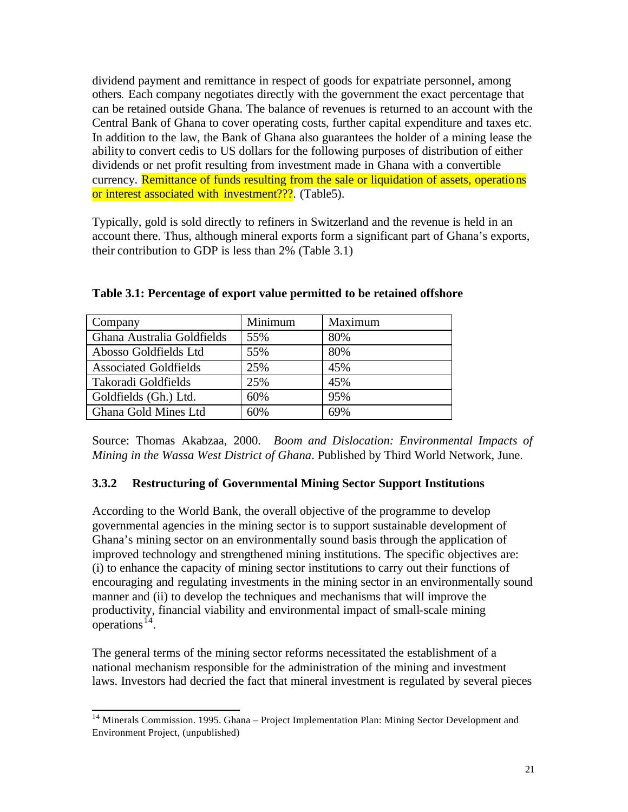dividend payment and remittance in respect of goods for expatriate personnel, among others. Each company negotiates directly with the government the exact percentage that can be retained outside Ghana. The balance of revenues is returned to an account with the Central Bank of Ghana to cover operating costs, further capital expenditure and taxes etc. In addition to the law, the Bank of Ghana also guarantees the holder of a mining lease the ability to convert cedis to US dollars for the following purposes of distribution of either dividends or net profit resulting from investment made in Ghana with a convertible currency. Remittance of funds resulting from the sale or liquidation of assets, operations or interest associated with investment???. (Table5).

Typically, gold is sold directly to refiners in Switzerland and the revenue is held in an account there. Thus, although mineral exports form a significant part of Ghana's exports, their contribution to GDP is less than 2% (Table 3.1)

| Company                      | Minimum | Maximum |
|------------------------------|---------|---------|
| Ghana Australia Goldfields   | 55%     | 80%     |
| Abosso Goldfields Ltd        | 55%     | 80%     |
| <b>Associated Goldfields</b> | 25%     | 45%     |
| Takoradi Goldfields          | 25%     | 45%     |
| Goldfields (Gh.) Ltd.        | 60%     | 95%     |
| Ghana Gold Mines Ltd         | 60%     | 69%     |

**Table 3.1: Percentage of export value permitted to be retained offshore**

Source: Thomas Akabzaa, 2000. *Boom and Dislocation: Environmental Impacts of Mining in the Wassa West District of Ghana*. Published by Third World Network, June.

### **3.3.2 Restructuring of Governmental Mining Sector Support Institutions**

According to the World Bank, the overall objective of the programme to develop governmental agencies in the mining sector is to support sustainable development of Ghana's mining sector on an environmentally sound basis through the application of improved technology and strengthened mining institutions. The specific objectives are: (i) to enhance the capacity of mining sector institutions to carry out their functions of encouraging and regulating investments in the mining sector in an environmentally sound manner and (ii) to develop the techniques and mechanisms that will improve the productivity, financial viability and environmental impact of small-scale mining operations $^{14}$ .

The general terms of the mining sector reforms necessitated the establishment of a national mechanism responsible for the administration of the mining and investment laws. Investors had decried the fact that mineral investment is regulated by several pieces

 $\overline{a}$ <sup>14</sup> Minerals Commission. 1995. Ghana – Project Implementation Plan: Mining Sector Development and Environment Project, (unpublished)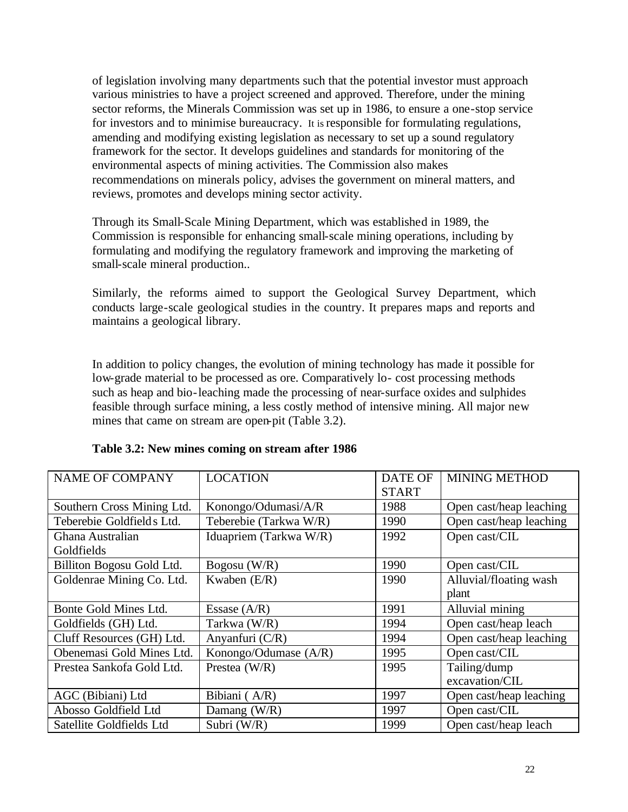of legislation involving many departments such that the potential investor must approach various ministries to have a project screened and approved. Therefore, under the mining sector reforms, the Minerals Commission was set up in 1986, to ensure a one-stop service for investors and to minimise bureaucracy. It is responsible for formulating regulations, amending and modifying existing legislation as necessary to set up a sound regulatory framework for the sector. It develops guidelines and standards for monitoring of the environmental aspects of mining activities. The Commission also makes recommendations on minerals policy, advises the government on mineral matters, and reviews, promotes and develops mining sector activity.

Through its Small-Scale Mining Department, which was established in 1989, the Commission is responsible for enhancing small-scale mining operations, including by formulating and modifying the regulatory framework and improving the marketing of small-scale mineral production..

Similarly, the reforms aimed to support the Geological Survey Department, which conducts large-scale geological studies in the country. It prepares maps and reports and maintains a geological library.

In addition to policy changes, the evolution of mining technology has made it possible for low-grade material to be processed as ore. Comparatively lo- cost processing methods such as heap and bio-leaching made the processing of near-surface oxides and sulphides feasible through surface mining, a less costly method of intensive mining. All major new mines that came on stream are open-pit (Table 3.2).

| <b>NAME OF COMPANY</b>         | <b>LOCATION</b>        | <b>DATE OF</b><br><b>START</b> | <b>MINING METHOD</b>    |
|--------------------------------|------------------------|--------------------------------|-------------------------|
| Southern Cross Mining Ltd.     | Konongo/Odumasi/A/R    | 1988                           | Open cast/heap leaching |
| Teberebie Goldfields Ltd.      | Teberebie (Tarkwa W/R) | 1990                           | Open cast/heap leaching |
| Ghana Australian<br>Goldfields | Iduapriem (Tarkwa W/R) | 1992                           | Open cast/CIL           |
| Billiton Bogosu Gold Ltd.      | Bogosu (W/R)           | 1990                           | Open cast/CIL           |
| Goldenrae Mining Co. Ltd.      | Kwaben $(E/R)$         | 1990                           | Alluvial/floating wash  |
|                                |                        |                                | plant                   |
| Bonte Gold Mines Ltd.          | Essase $(A/R)$         | 1991                           | Alluvial mining         |
| Goldfields (GH) Ltd.           | Tarkwa (W/R)           | 1994                           | Open cast/heap leach    |
| Cluff Resources (GH) Ltd.      | Anyanfuri (C/R)        | 1994                           | Open cast/heap leaching |
| Obenemasi Gold Mines Ltd.      | Konongo/Odumase (A/R)  | 1995                           | Open cast/CIL           |
| Prestea Sankofa Gold Ltd.      | Prestea $(W/R)$        | 1995                           | Tailing/dump            |
|                                |                        |                                | excavation/CIL          |
| AGC (Bibiani) Ltd              | Bibiani (A/R)          | 1997                           | Open cast/heap leaching |
| Abosso Goldfield Ltd           | Damang $(W/R)$         | 1997                           | Open cast/CIL           |
| Satellite Goldfields Ltd       | Subri (W/R)            | 1999                           | Open cast/heap leach    |

#### **Table 3.2: New mines coming on stream after 1986**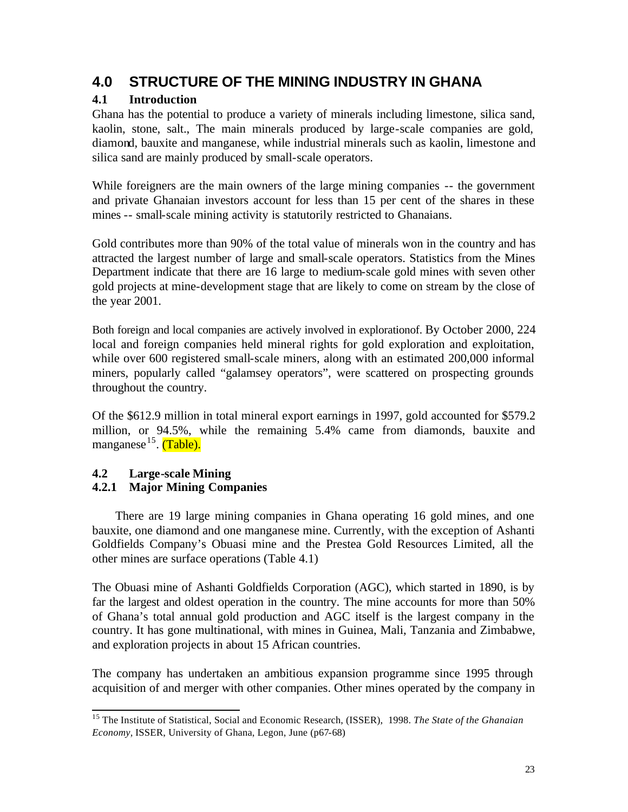# **4.0 STRUCTURE OF THE MINING INDUSTRY IN GHANA**

# **4.1 Introduction**

Ghana has the potential to produce a variety of minerals including limestone, silica sand, kaolin, stone, salt., The main minerals produced by large-scale companies are gold, diamond, bauxite and manganese, while industrial minerals such as kaolin, limestone and silica sand are mainly produced by small-scale operators.

While foreigners are the main owners of the large mining companies -- the government and private Ghanaian investors account for less than 15 per cent of the shares in these mines -- small-scale mining activity is statutorily restricted to Ghanaians.

Gold contributes more than 90% of the total value of minerals won in the country and has attracted the largest number of large and small-scale operators. Statistics from the Mines Department indicate that there are 16 large to medium-scale gold mines with seven other gold projects at mine-development stage that are likely to come on stream by the close of the year 2001.

Both foreign and local companies are actively involved in explorationof. By October 2000, 224 local and foreign companies held mineral rights for gold exploration and exploitation, while over 600 registered small-scale miners, along with an estimated 200,000 informal miners, popularly called "galamsey operators", were scattered on prospecting grounds throughout the country.

Of the \$612.9 million in total mineral export earnings in 1997, gold accounted for \$579.2 million, or 94.5%, while the remaining 5.4% came from diamonds, bauxite and manganese<sup>15</sup>. <mark>(Table).</mark>

# **4.2 Large-scale Mining**

# **4.2.1 Major Mining Companies**

There are 19 large mining companies in Ghana operating 16 gold mines, and one bauxite, one diamond and one manganese mine. Currently, with the exception of Ashanti Goldfields Company's Obuasi mine and the Prestea Gold Resources Limited, all the other mines are surface operations (Table 4.1)

The Obuasi mine of Ashanti Goldfields Corporation (AGC), which started in 1890, is by far the largest and oldest operation in the country. The mine accounts for more than 50% of Ghana's total annual gold production and AGC itself is the largest company in the country. It has gone multinational, with mines in Guinea, Mali, Tanzania and Zimbabwe, and exploration projects in about 15 African countries.

The company has undertaken an ambitious expansion programme since 1995 through acquisition of and merger with other companies. Other mines operated by the company in

 $\overline{a}$ <sup>15</sup> The Institute of Statistical, Social and Economic Research, (ISSER), 1998. *The State of the Ghanaian Economy,* ISSER, University of Ghana, Legon, June (p67-68)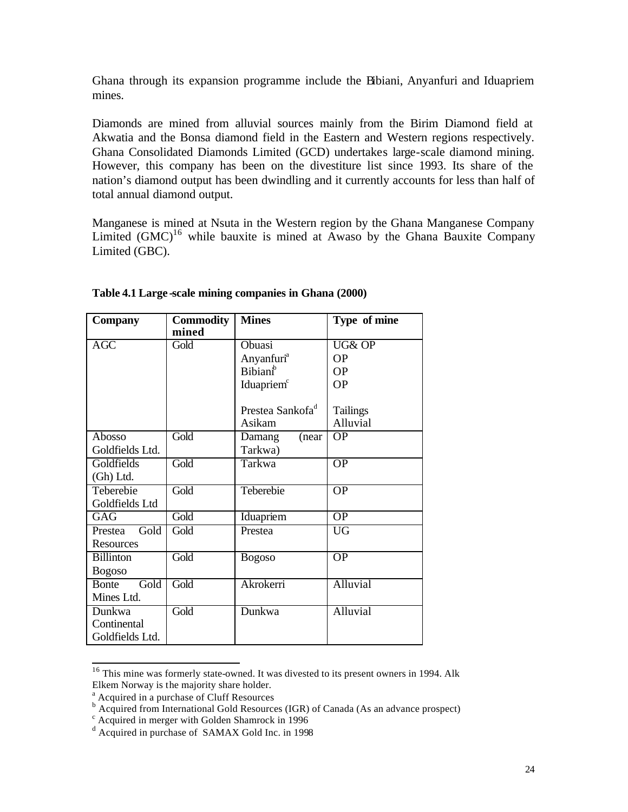Ghana through its expansion programme include the Bibiani, Anyanfuri and Iduapriem mines.

Diamonds are mined from alluvial sources mainly from the Birim Diamond field at Akwatia and the Bonsa diamond field in the Eastern and Western regions respectively. Ghana Consolidated Diamonds Limited (GCD) undertakes large-scale diamond mining. However, this company has been on the divestiture list since 1993. Its share of the nation's diamond output has been dwindling and it currently accounts for less than half of total annual diamond output.

Manganese is mined at Nsuta in the Western region by the Ghana Manganese Company Limited  $(GMC)^{16}$  while bauxite is mined at Awaso by the Ghana Bauxite Company Limited (GBC).

| <b>Company</b>       | <b>Commodity</b><br>mined | <b>Mines</b>                 | Type of mine    |
|----------------------|---------------------------|------------------------------|-----------------|
| AGC                  | Gold                      | Obuasi                       | UG& OP          |
|                      |                           | Anyanfuri <sup>a</sup>       | <b>OP</b>       |
|                      |                           | Bibian <sup>b</sup>          | <b>OP</b>       |
|                      |                           | Iduapriem <sup>c</sup>       | <b>OP</b>       |
|                      |                           |                              |                 |
|                      |                           | Prestea Sankofa <sup>d</sup> | Tailings        |
|                      |                           | Asikam                       | Alluvial        |
| Abosso               | Gold                      | (near<br>Damang              | <b>OP</b>       |
| Goldfields Ltd.      |                           | Tarkwa)                      |                 |
| Goldfields           | Gold                      | Tarkwa                       | $\overline{OP}$ |
| (Gh) Ltd.            |                           |                              |                 |
| Teberebie            | Gold                      | Teberebie                    | $\overline{OP}$ |
| Goldfields Ltd       |                           |                              |                 |
| GAG                  | Gold                      | Iduapriem                    | $\overline{OP}$ |
| Gold<br>Prestea      | Gold                      | Prestea                      | <b>UG</b>       |
| Resources            |                           |                              |                 |
| <b>Billinton</b>     | Gold                      | <b>Bogoso</b>                | $\overline{OP}$ |
| <b>Bogoso</b>        |                           |                              |                 |
| Gold<br><b>Bonte</b> | Gold                      | Akrokerri                    | Alluvial        |
| Mines Ltd.           |                           |                              |                 |
| Dunkwa               | Gold                      | Dunkwa                       | Alluvial        |
| Continental          |                           |                              |                 |
| Goldfields Ltd.      |                           |                              |                 |

#### **Table 4.1 Large -scale mining companies in Ghana (2000)**

 $\overline{a}$ <sup>16</sup> This mine was formerly state-owned. It was divested to its present owners in 1994. Alk Elkem Norway is the majority share holder.

<sup>&</sup>lt;sup>a</sup> Acquired in a purchase of Cluff Resources<br><sup>b</sup> Acquired from International Gold Resources (IGR) of Canada (As an advance prospect)

c Acquired in merger with Golden Shamrock in 1996

<sup>&</sup>lt;sup>d</sup> Acquired in purchase of SAMAX Gold Inc. in 1998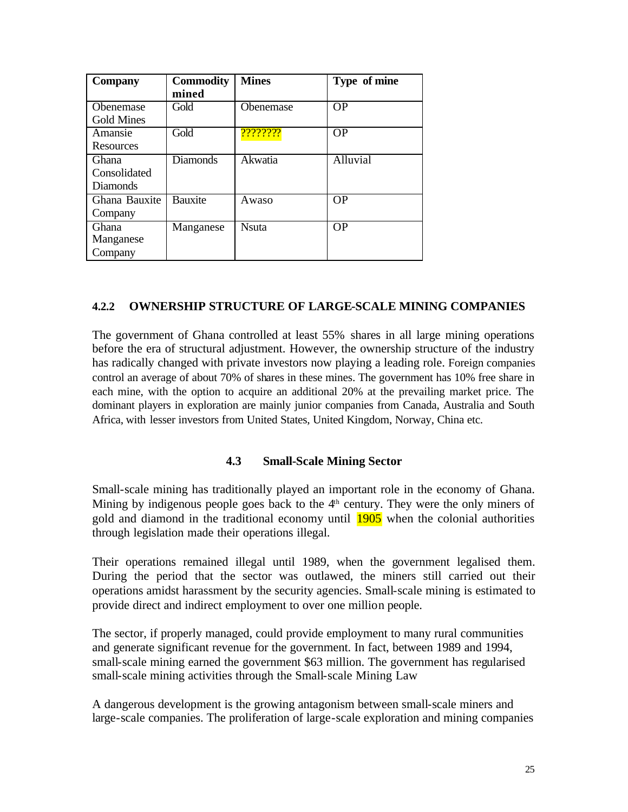| <b>Company</b>    | <b>Commodity</b><br>mined | <b>Mines</b>  | Type of mine |
|-------------------|---------------------------|---------------|--------------|
| <b>O</b> benemase | Gold                      | Obenemase     | <b>OP</b>    |
| Gold Mines        |                           |               |              |
| Amansie           | Gold                      | ????????      | <b>OP</b>    |
| Resources         |                           |               |              |
| Ghana             | <b>Diamonds</b>           | Akwatia       | Alluvial     |
| Consolidated      |                           |               |              |
| <b>Diamonds</b>   |                           |               |              |
| Ghana Bauxite     | <b>Bauxite</b>            | Awaso         | <b>OP</b>    |
| Company           |                           |               |              |
| <b>Ghana</b>      | Manganese                 | <b>N</b> suta | <b>OP</b>    |
| Manganese         |                           |               |              |
| Company           |                           |               |              |

#### **4.2.2 OWNERSHIP STRUCTURE OF LARGE-SCALE MINING COMPANIES**

The government of Ghana controlled at least 55% shares in all large mining operations before the era of structural adjustment. However, the ownership structure of the industry has radically changed with private investors now playing a leading role. Foreign companies control an average of about 70% of shares in these mines. The government has 10% free share in each mine, with the option to acquire an additional 20% at the prevailing market price. The dominant players in exploration are mainly junior companies from Canada, Australia and South Africa, with lesser investors from United States, United Kingdom, Norway, China etc.

#### **4.3 Small-Scale Mining Sector**

Small-scale mining has traditionally played an important role in the economy of Ghana. Mining by indigenous people goes back to the  $4<sup>th</sup>$  century. They were the only miners of gold and diamond in the traditional economy until 1905 when the colonial authorities through legislation made their operations illegal.

Their operations remained illegal until 1989, when the government legalised them. During the period that the sector was outlawed, the miners still carried out their operations amidst harassment by the security agencies. Small-scale mining is estimated to provide direct and indirect employment to over one million people.

The sector, if properly managed, could provide employment to many rural communities and generate significant revenue for the government. In fact, between 1989 and 1994, small-scale mining earned the government \$63 million. The government has regularised small-scale mining activities through the Small-scale Mining Law

A dangerous development is the growing antagonism between small-scale miners and large-scale companies. The proliferation of large-scale exploration and mining companies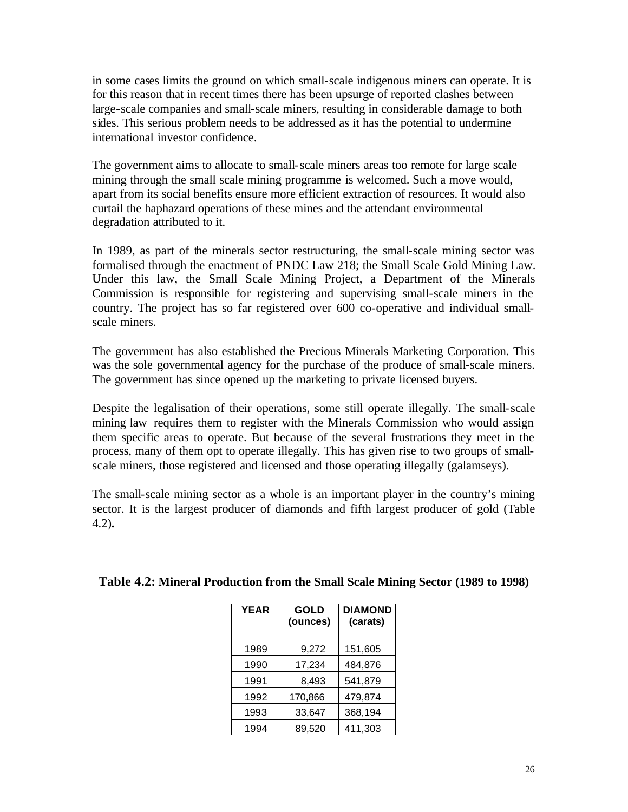in some cases limits the ground on which small-scale indigenous miners can operate. It is for this reason that in recent times there has been upsurge of reported clashes between large-scale companies and small-scale miners, resulting in considerable damage to both sides. This serious problem needs to be addressed as it has the potential to undermine international investor confidence.

The government aims to allocate to small-scale miners areas too remote for large scale mining through the small scale mining programme is welcomed. Such a move would, apart from its social benefits ensure more efficient extraction of resources. It would also curtail the haphazard operations of these mines and the attendant environmental degradation attributed to it.

In 1989, as part of the minerals sector restructuring, the small-scale mining sector was formalised through the enactment of PNDC Law 218; the Small Scale Gold Mining Law. Under this law, the Small Scale Mining Project, a Department of the Minerals Commission is responsible for registering and supervising small-scale miners in the country. The project has so far registered over 600 co-operative and individual smallscale miners.

The government has also established the Precious Minerals Marketing Corporation. This was the sole governmental agency for the purchase of the produce of small-scale miners. The government has since opened up the marketing to private licensed buyers.

Despite the legalisation of their operations, some still operate illegally. The small-scale mining law requires them to register with the Minerals Commission who would assign them specific areas to operate. But because of the several frustrations they meet in the process, many of them opt to operate illegally. This has given rise to two groups of smallscale miners, those registered and licensed and those operating illegally (galamseys).

The small-scale mining sector as a whole is an important player in the country's mining sector. It is the largest producer of diamonds and fifth largest producer of gold (Table 4.2)**.**

| <b>YEAR</b> | <b>GOLD</b><br>(ounces) | <b>DIAMOND</b><br>(carats) |
|-------------|-------------------------|----------------------------|
| 1989        | 9,272                   | 151,605                    |
| 1990        | 17,234                  | 484,876                    |
| 1991        | 8.493                   | 541,879                    |
| 1992        | 170,866                 | 479,874                    |
| 1993        | 33,647                  | 368,194                    |
| 1994        | 89,520                  | 411,303                    |

#### **Table 4.2: Mineral Production from the Small Scale Mining Sector (1989 to 1998)**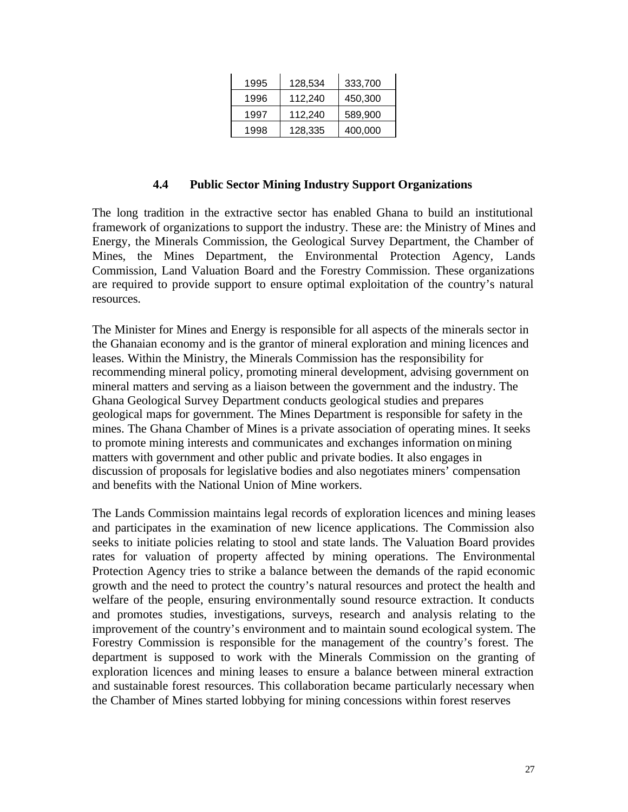| 1995 | 128,534 | 333,700 |
|------|---------|---------|
| 1996 | 112,240 | 450,300 |
| 1997 | 112,240 | 589.900 |
| 1998 | 128,335 | 400,000 |

#### **4.4 Public Sector Mining Industry Support Organizations**

The long tradition in the extractive sector has enabled Ghana to build an institutional framework of organizations to support the industry. These are: the Ministry of Mines and Energy, the Minerals Commission, the Geological Survey Department, the Chamber of Mines, the Mines Department, the Environmental Protection Agency, Lands Commission, Land Valuation Board and the Forestry Commission. These organizations are required to provide support to ensure optimal exploitation of the country's natural resources.

The Minister for Mines and Energy is responsible for all aspects of the minerals sector in the Ghanaian economy and is the grantor of mineral exploration and mining licences and leases. Within the Ministry, the Minerals Commission has the responsibility for recommending mineral policy, promoting mineral development, advising government on mineral matters and serving as a liaison between the government and the industry. The Ghana Geological Survey Department conducts geological studies and prepares geological maps for government. The Mines Department is responsible for safety in the mines. The Ghana Chamber of Mines is a private association of operating mines. It seeks to promote mining interests and communicates and exchanges information on mining matters with government and other public and private bodies. It also engages in discussion of proposals for legislative bodies and also negotiates miners' compensation and benefits with the National Union of Mine workers.

The Lands Commission maintains legal records of exploration licences and mining leases and participates in the examination of new licence applications. The Commission also seeks to initiate policies relating to stool and state lands. The Valuation Board provides rates for valuation of property affected by mining operations. The Environmental Protection Agency tries to strike a balance between the demands of the rapid economic growth and the need to protect the country's natural resources and protect the health and welfare of the people, ensuring environmentally sound resource extraction. It conducts and promotes studies, investigations, surveys, research and analysis relating to the improvement of the country's environment and to maintain sound ecological system. The Forestry Commission is responsible for the management of the country's forest. The department is supposed to work with the Minerals Commission on the granting of exploration licences and mining leases to ensure a balance between mineral extraction and sustainable forest resources. This collaboration became particularly necessary when the Chamber of Mines started lobbying for mining concessions within forest reserves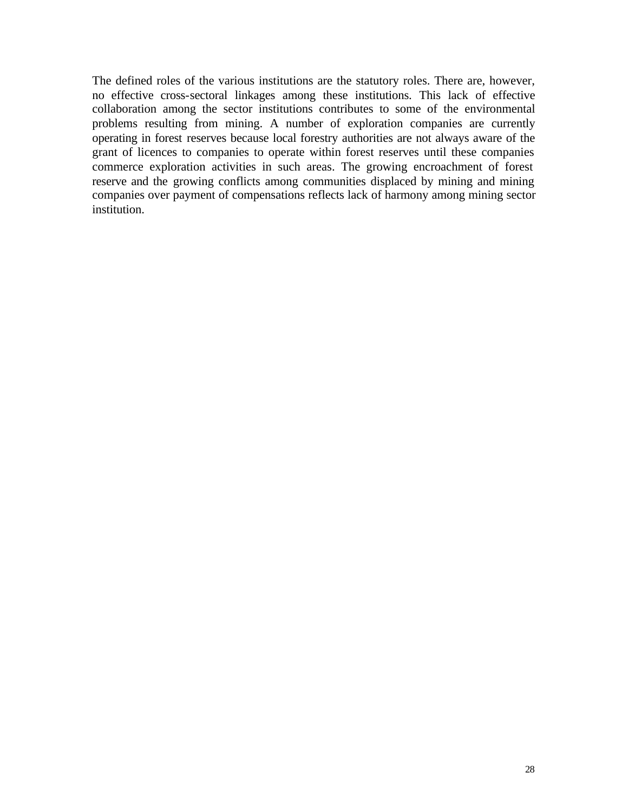The defined roles of the various institutions are the statutory roles. There are, however, no effective cross-sectoral linkages among these institutions. This lack of effective collaboration among the sector institutions contributes to some of the environmental problems resulting from mining. A number of exploration companies are currently operating in forest reserves because local forestry authorities are not always aware of the grant of licences to companies to operate within forest reserves until these companies commerce exploration activities in such areas. The growing encroachment of forest reserve and the growing conflicts among communities displaced by mining and mining companies over payment of compensations reflects lack of harmony among mining sector institution.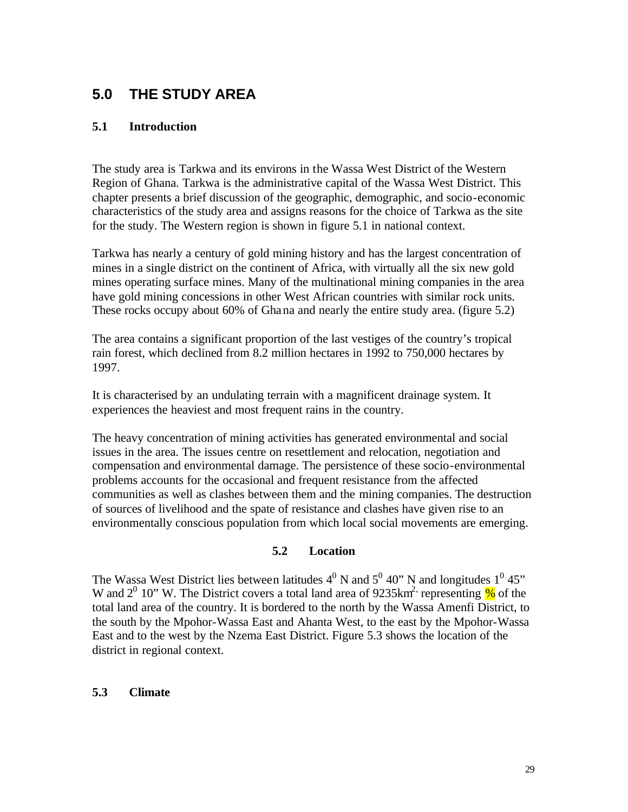# **5.0 THE STUDY AREA**

### **5.1 Introduction**

The study area is Tarkwa and its environs in the Wassa West District of the Western Region of Ghana. Tarkwa is the administrative capital of the Wassa West District. This chapter presents a brief discussion of the geographic, demographic, and socio-economic characteristics of the study area and assigns reasons for the choice of Tarkwa as the site for the study. The Western region is shown in figure 5.1 in national context.

Tarkwa has nearly a century of gold mining history and has the largest concentration of mines in a single district on the continent of Africa, with virtually all the six new gold mines operating surface mines. Many of the multinational mining companies in the area have gold mining concessions in other West African countries with similar rock units. These rocks occupy about 60% of Ghana and nearly the entire study area. (figure 5.2)

The area contains a significant proportion of the last vestiges of the country's tropical rain forest, which declined from 8.2 million hectares in 1992 to 750,000 hectares by 1997.

It is characterised by an undulating terrain with a magnificent drainage system. It experiences the heaviest and most frequent rains in the country.

The heavy concentration of mining activities has generated environmental and social issues in the area. The issues centre on resettlement and relocation, negotiation and compensation and environmental damage. The persistence of these socio-environmental problems accounts for the occasional and frequent resistance from the affected communities as well as clashes between them and the mining companies. The destruction of sources of livelihood and the spate of resistance and clashes have given rise to an environmentally conscious population from which local social movements are emerging.

#### **5.2 Location**

The Wassa West District lies between latitudes  $4^0$  N and  $5^0$  40" N and longitudes  $1^0$  45" W and  $2^0$  10" W. The District covers a total land area of 9235 km<sup>2</sup> representing  $\%$  of the total land area of the country. It is bordered to the north by the Wassa Amenfi District, to the south by the Mpohor-Wassa East and Ahanta West, to the east by the Mpohor-Wassa East and to the west by the Nzema East District. Figure 5.3 shows the location of the district in regional context.

### **5.3 Climate**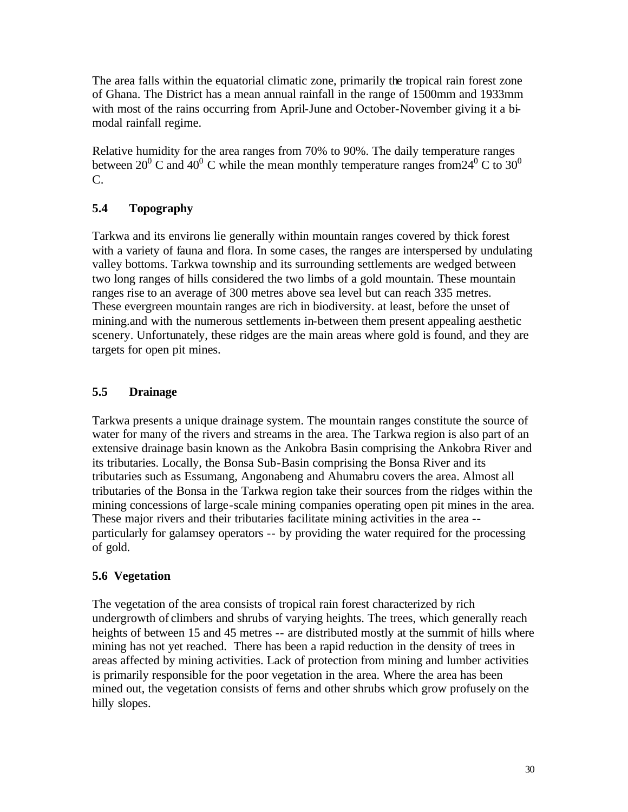The area falls within the equatorial climatic zone, primarily the tropical rain forest zone of Ghana. The District has a mean annual rainfall in the range of 1500mm and 1933mm with most of the rains occurring from April-June and October-November giving it a bimodal rainfall regime.

Relative humidity for the area ranges from 70% to 90%. The daily temperature ranges between 20<sup>0</sup> C and 40<sup>0</sup> C while the mean monthly temperature ranges from 24<sup>0</sup> C to 30<sup>0</sup> C.

# **5.4 Topography**

Tarkwa and its environs lie generally within mountain ranges covered by thick forest with a variety of fauna and flora. In some cases, the ranges are interspersed by undulating valley bottoms. Tarkwa township and its surrounding settlements are wedged between two long ranges of hills considered the two limbs of a gold mountain. These mountain ranges rise to an average of 300 metres above sea level but can reach 335 metres. These evergreen mountain ranges are rich in biodiversity. at least, before the unset of mining.and with the numerous settlements in-between them present appealing aesthetic scenery. Unfortunately, these ridges are the main areas where gold is found, and they are targets for open pit mines.

# **5.5 Drainage**

Tarkwa presents a unique drainage system. The mountain ranges constitute the source of water for many of the rivers and streams in the area. The Tarkwa region is also part of an extensive drainage basin known as the Ankobra Basin comprising the Ankobra River and its tributaries. Locally, the Bonsa Sub-Basin comprising the Bonsa River and its tributaries such as Essumang, Angonabeng and Ahumabru covers the area. Almost all tributaries of the Bonsa in the Tarkwa region take their sources from the ridges within the mining concessions of large-scale mining companies operating open pit mines in the area. These major rivers and their tributaries facilitate mining activities in the area - particularly for galamsey operators -- by providing the water required for the processing of gold.

# **5.6 Vegetation**

The vegetation of the area consists of tropical rain forest characterized by rich undergrowth of climbers and shrubs of varying heights. The trees, which generally reach heights of between 15 and 45 metres -- are distributed mostly at the summit of hills where mining has not yet reached. There has been a rapid reduction in the density of trees in areas affected by mining activities. Lack of protection from mining and lumber activities is primarily responsible for the poor vegetation in the area. Where the area has been mined out, the vegetation consists of ferns and other shrubs which grow profusely on the hilly slopes.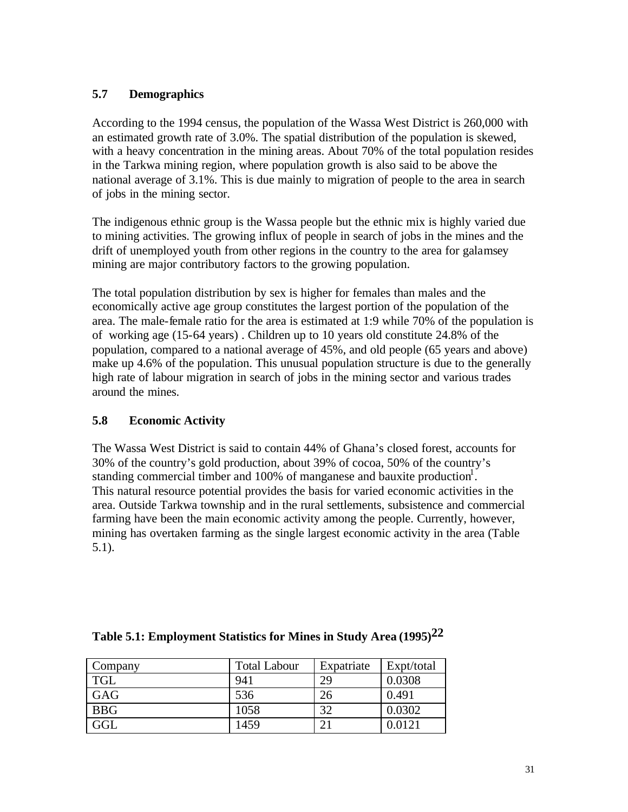## **5.7 Demographics**

According to the 1994 census, the population of the Wassa West District is 260,000 with an estimated growth rate of 3.0%. The spatial distribution of the population is skewed, with a heavy concentration in the mining areas. About 70% of the total population resides in the Tarkwa mining region, where population growth is also said to be above the national average of 3.1%. This is due mainly to migration of people to the area in search of jobs in the mining sector.

The indigenous ethnic group is the Wassa people but the ethnic mix is highly varied due to mining activities. The growing influx of people in search of jobs in the mines and the drift of unemployed youth from other regions in the country to the area for galamsey mining are major contributory factors to the growing population.

The total population distribution by sex is higher for females than males and the economically active age group constitutes the largest portion of the population of the area. The male-female ratio for the area is estimated at 1:9 while 70% of the population is of working age (15-64 years) . Children up to 10 years old constitute 24.8% of the population, compared to a national average of 45%, and old people (65 years and above) make up 4.6% of the population. This unusual population structure is due to the generally high rate of labour migration in search of jobs in the mining sector and various trades around the mines.

# **5.8 Economic Activity**

The Wassa West District is said to contain 44% of Ghana's closed forest, accounts for 30% of the country's gold production, about 39% of cocoa, 50% of the country's standing commercial timber and 100% of manganese and bauxite production<sup>1</sup>. This natural resource potential provides the basis for varied economic activities in the area. Outside Tarkwa township and in the rural settlements, subsistence and commercial farming have been the main economic activity among the people. Currently, however, mining has overtaken farming as the single largest economic activity in the area (Table 5.1).

| Company    | <b>Total Labour</b> | Expatriate | Expt/total |
|------------|---------------------|------------|------------|
| <b>TGL</b> | 941                 | 29         | 0.0308     |
| GAG        | 536                 | 26         | 0.491      |
| <b>BBG</b> | 1058                | 32         | 0.0302     |
| GGL        | 1459                | 21         | 0.0121     |

# **Table 5.1: Employment Statistics for Mines in Study Area (1995)22**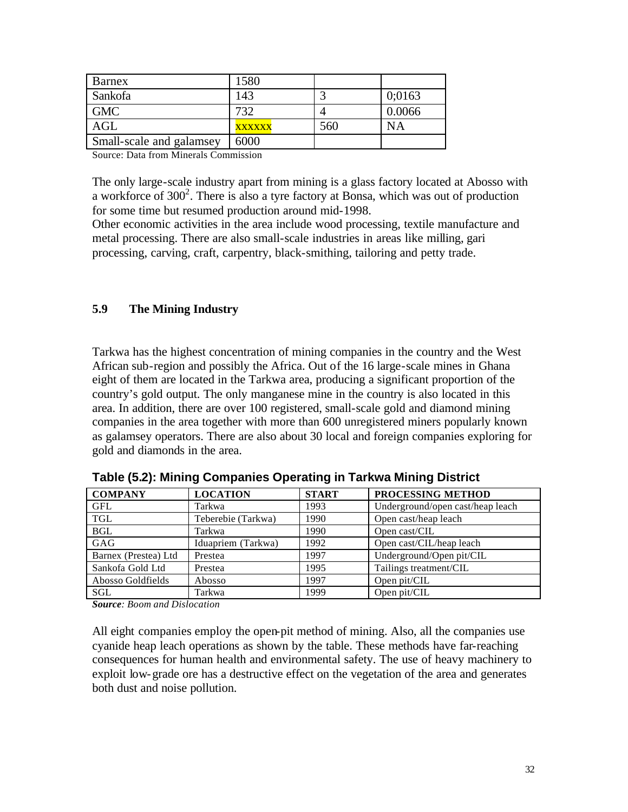| Barnex                   | 1580          |     |           |
|--------------------------|---------------|-----|-----------|
| Sankofa                  | 143           |     | 0:0163    |
| <b>GMC</b>               | 732           |     | 0.0066    |
| <b>AGL</b>               | <b>XXXXXX</b> | 560 | <b>NA</b> |
| Small-scale and galamsey | 6000          |     |           |

Source: Data from Minerals Commission

The only large-scale industry apart from mining is a glass factory located at Abosso with a workforce of 300<sup>2</sup>. There is also a tyre factory at Bonsa, which was out of production for some time but resumed production around mid-1998.

Other economic activities in the area include wood processing, textile manufacture and metal processing. There are also small-scale industries in areas like milling, gari processing, carving, craft, carpentry, black-smithing, tailoring and petty trade.

### **5.9 The Mining Industry**

Tarkwa has the highest concentration of mining companies in the country and the West African sub-region and possibly the Africa. Out of the 16 large-scale mines in Ghana eight of them are located in the Tarkwa area, producing a significant proportion of the country's gold output. The only manganese mine in the country is also located in this area. In addition, there are over 100 registered, small-scale gold and diamond mining companies in the area together with more than 600 unregistered miners popularly known as galamsey operators. There are also about 30 local and foreign companies exploring for gold and diamonds in the area.

| <b>COMPANY</b>       | <b>LOCATION</b>    | <b>START</b> | PROCESSING METHOD                |
|----------------------|--------------------|--------------|----------------------------------|
| <b>GFL</b>           | Tarkwa             | 1993         | Underground/open cast/heap leach |
| <b>TGL</b>           | Teberebie (Tarkwa) | 1990         | Open cast/heap leach             |
| <b>BGL</b>           | Tarkwa             | 1990         | Open cast/CIL                    |
| GAG                  | Iduapriem (Tarkwa) | 1992         | Open cast/CIL/heap leach         |
| Barnex (Prestea) Ltd | Prestea            | 1997         | Underground/Open pit/CIL         |
| Sankofa Gold Ltd     | Prestea            | 1995         | Tailings treatment/CIL           |
| Abosso Goldfields    | Abosso             | 1997         | Open pit/CIL                     |
| SGL                  | Tarkwa             | 1999         | Open pit/CIL                     |

**Table (5.2): Mining Companies Operating in Tarkwa Mining District**

*Source: Boom and Dislocation*

All eight companies employ the open-pit method of mining. Also, all the companies use cyanide heap leach operations as shown by the table. These methods have far-reaching consequences for human health and environmental safety. The use of heavy machinery to exploit low-grade ore has a destructive effect on the vegetation of the area and generates both dust and noise pollution.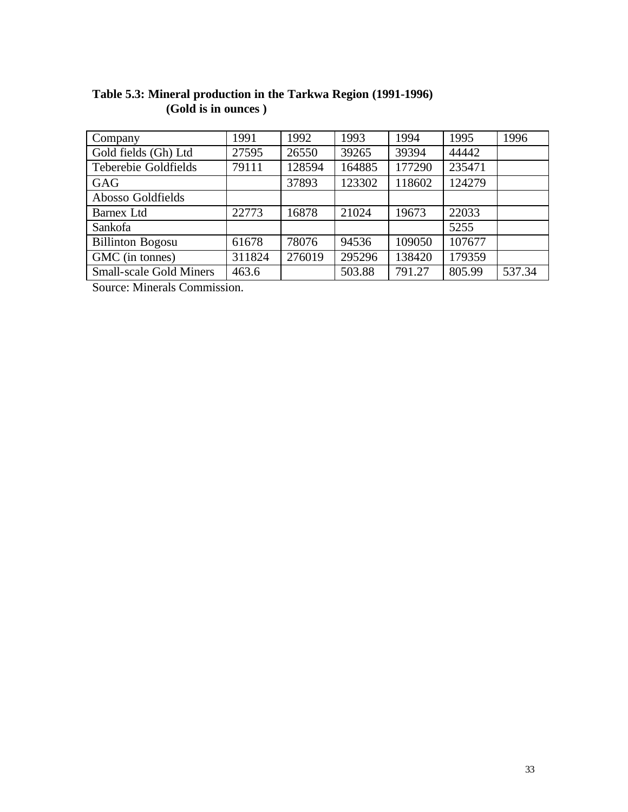| Company                        | 1991   | 1992   | 1993   | 1994   | 1995   | 1996   |
|--------------------------------|--------|--------|--------|--------|--------|--------|
| Gold fields (Gh) Ltd           | 27595  | 26550  | 39265  | 39394  | 44442  |        |
| Teberebie Goldfields           | 79111  | 128594 | 164885 | 177290 | 235471 |        |
| GAG                            |        | 37893  | 123302 | 118602 | 124279 |        |
| Abosso Goldfields              |        |        |        |        |        |        |
| <b>Barnex Ltd</b>              | 22773  | 16878  | 21024  | 19673  | 22033  |        |
| Sankofa                        |        |        |        |        | 5255   |        |
| <b>Billinton Bogosu</b>        | 61678  | 78076  | 94536  | 109050 | 107677 |        |
| GMC (in tonnes)                | 311824 | 276019 | 295296 | 138420 | 179359 |        |
| <b>Small-scale Gold Miners</b> | 463.6  |        | 503.88 | 791.27 | 805.99 | 537.34 |

# **Table 5.3: Mineral production in the Tarkwa Region (1991-1996) (Gold is in ounces )**

Source: Minerals Commission.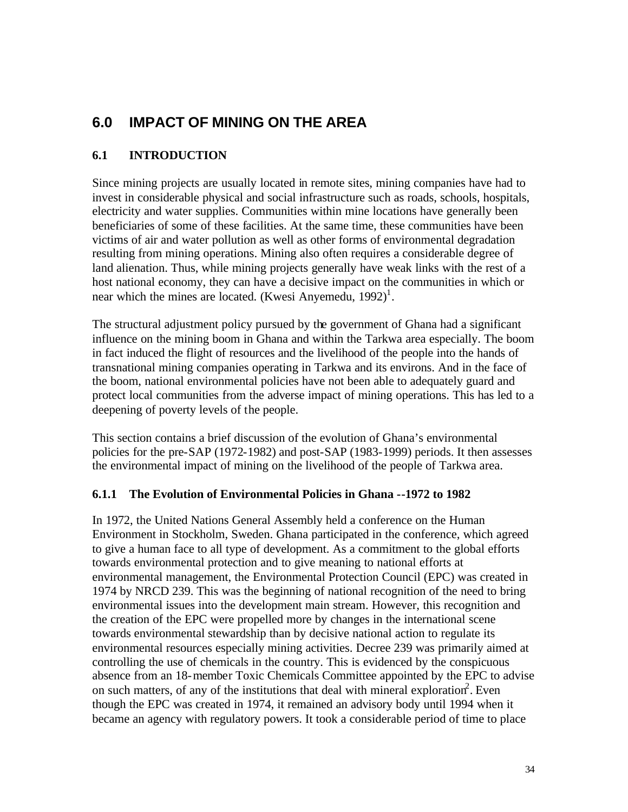# **6.0 IMPACT OF MINING ON THE AREA**

# **6.1 INTRODUCTION**

Since mining projects are usually located in remote sites, mining companies have had to invest in considerable physical and social infrastructure such as roads, schools, hospitals, electricity and water supplies. Communities within mine locations have generally been beneficiaries of some of these facilities. At the same time, these communities have been victims of air and water pollution as well as other forms of environmental degradation resulting from mining operations. Mining also often requires a considerable degree of land alienation. Thus, while mining projects generally have weak links with the rest of a host national economy, they can have a decisive impact on the communities in which or near which the mines are located. (Kwesi Anyemedu,  $1992$ )<sup>1</sup>.

The structural adjustment policy pursued by the government of Ghana had a significant influence on the mining boom in Ghana and within the Tarkwa area especially. The boom in fact induced the flight of resources and the livelihood of the people into the hands of transnational mining companies operating in Tarkwa and its environs. And in the face of the boom, national environmental policies have not been able to adequately guard and protect local communities from the adverse impact of mining operations. This has led to a deepening of poverty levels of the people.

This section contains a brief discussion of the evolution of Ghana's environmental policies for the pre-SAP (1972-1982) and post-SAP (1983-1999) periods. It then assesses the environmental impact of mining on the livelihood of the people of Tarkwa area.

### **6.1.1 The Evolution of Environmental Policies in Ghana --1972 to 1982**

In 1972, the United Nations General Assembly held a conference on the Human Environment in Stockholm, Sweden. Ghana participated in the conference, which agreed to give a human face to all type of development. As a commitment to the global efforts towards environmental protection and to give meaning to national efforts at environmental management, the Environmental Protection Council (EPC) was created in 1974 by NRCD 239. This was the beginning of national recognition of the need to bring environmental issues into the development main stream. However, this recognition and the creation of the EPC were propelled more by changes in the international scene towards environmental stewardship than by decisive national action to regulate its environmental resources especially mining activities. Decree 239 was primarily aimed at controlling the use of chemicals in the country. This is evidenced by the conspicuous absence from an 18-member Toxic Chemicals Committee appointed by the EPC to advise on such matters, of any of the institutions that deal with mineral exploration<sup>2</sup>. Even though the EPC was created in 1974, it remained an advisory body until 1994 when it became an agency with regulatory powers. It took a considerable period of time to place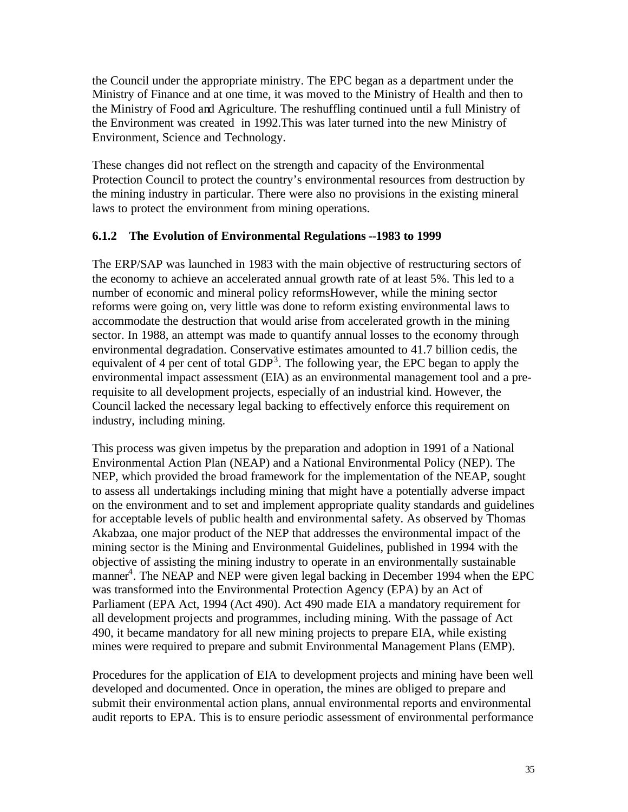the Council under the appropriate ministry. The EPC began as a department under the Ministry of Finance and at one time, it was moved to the Ministry of Health and then to the Ministry of Food and Agriculture. The reshuffling continued until a full Ministry of the Environment was created in 1992.This was later turned into the new Ministry of Environment, Science and Technology.

These changes did not reflect on the strength and capacity of the Environmental Protection Council to protect the country's environmental resources from destruction by the mining industry in particular. There were also no provisions in the existing mineral laws to protect the environment from mining operations.

#### **6.1.2 The Evolution of Environmental Regulations --1983 to 1999**

The ERP/SAP was launched in 1983 with the main objective of restructuring sectors of the economy to achieve an accelerated annual growth rate of at least 5%. This led to a number of economic and mineral policy reformsHowever, while the mining sector reforms were going on, very little was done to reform existing environmental laws to accommodate the destruction that would arise from accelerated growth in the mining sector. In 1988, an attempt was made to quantify annual losses to the economy through environmental degradation. Conservative estimates amounted to 41.7 billion cedis, the equivalent of 4 per cent of total  $GDP<sup>3</sup>$ . The following year, the EPC began to apply the environmental impact assessment (EIA) as an environmental management tool and a prerequisite to all development projects, especially of an industrial kind. However, the Council lacked the necessary legal backing to effectively enforce this requirement on industry, including mining.

This process was given impetus by the preparation and adoption in 1991 of a National Environmental Action Plan (NEAP) and a National Environmental Policy (NEP). The NEP, which provided the broad framework for the implementation of the NEAP, sought to assess all undertakings including mining that might have a potentially adverse impact on the environment and to set and implement appropriate quality standards and guidelines for acceptable levels of public health and environmental safety. As observed by Thomas Akabzaa, one major product of the NEP that addresses the environmental impact of the mining sector is the Mining and Environmental Guidelines, published in 1994 with the objective of assisting the mining industry to operate in an environmentally sustainable manner<sup>4</sup>. The NEAP and NEP were given legal backing in December 1994 when the EPC was transformed into the Environmental Protection Agency (EPA) by an Act of Parliament (EPA Act, 1994 (Act 490). Act 490 made EIA a mandatory requirement for all development projects and programmes, including mining. With the passage of Act 490, it became mandatory for all new mining projects to prepare EIA, while existing mines were required to prepare and submit Environmental Management Plans (EMP).

Procedures for the application of EIA to development projects and mining have been well developed and documented. Once in operation, the mines are obliged to prepare and submit their environmental action plans, annual environmental reports and environmental audit reports to EPA. This is to ensure periodic assessment of environmental performance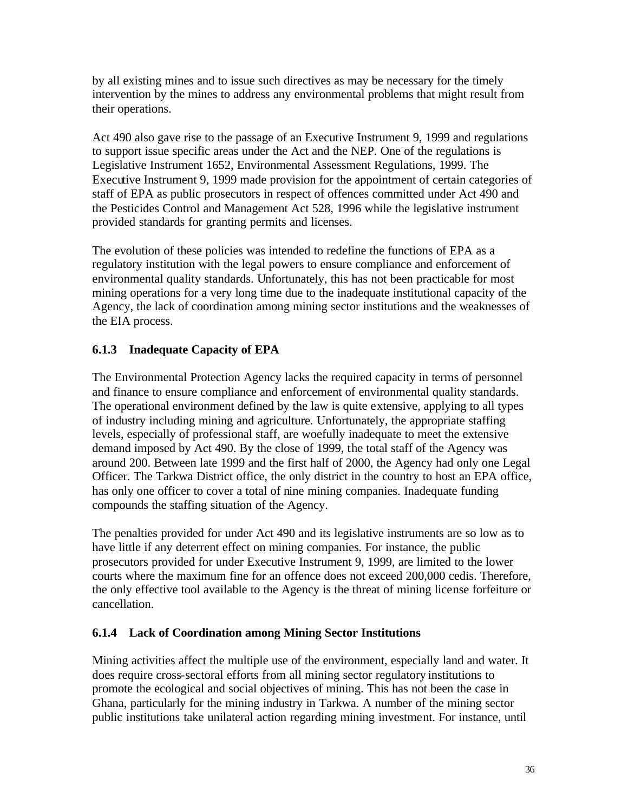by all existing mines and to issue such directives as may be necessary for the timely intervention by the mines to address any environmental problems that might result from their operations.

Act 490 also gave rise to the passage of an Executive Instrument 9, 1999 and regulations to support issue specific areas under the Act and the NEP. One of the regulations is Legislative Instrument 1652, Environmental Assessment Regulations, 1999. The Executive Instrument 9, 1999 made provision for the appointment of certain categories of staff of EPA as public prosecutors in respect of offences committed under Act 490 and the Pesticides Control and Management Act 528, 1996 while the legislative instrument provided standards for granting permits and licenses.

The evolution of these policies was intended to redefine the functions of EPA as a regulatory institution with the legal powers to ensure compliance and enforcement of environmental quality standards. Unfortunately, this has not been practicable for most mining operations for a very long time due to the inadequate institutional capacity of the Agency, the lack of coordination among mining sector institutions and the weaknesses of the EIA process.

# **6.1.3 Inadequate Capacity of EPA**

The Environmental Protection Agency lacks the required capacity in terms of personnel and finance to ensure compliance and enforcement of environmental quality standards. The operational environment defined by the law is quite extensive, applying to all types of industry including mining and agriculture. Unfortunately, the appropriate staffing levels, especially of professional staff, are woefully inadequate to meet the extensive demand imposed by Act 490. By the close of 1999, the total staff of the Agency was around 200. Between late 1999 and the first half of 2000, the Agency had only one Legal Officer. The Tarkwa District office, the only district in the country to host an EPA office, has only one officer to cover a total of nine mining companies. Inadequate funding compounds the staffing situation of the Agency.

The penalties provided for under Act 490 and its legislative instruments are so low as to have little if any deterrent effect on mining companies. For instance, the public prosecutors provided for under Executive Instrument 9, 1999, are limited to the lower courts where the maximum fine for an offence does not exceed 200,000 cedis. Therefore, the only effective tool available to the Agency is the threat of mining license forfeiture or cancellation.

# **6.1.4 Lack of Coordination among Mining Sector Institutions**

Mining activities affect the multiple use of the environment, especially land and water. It does require cross-sectoral efforts from all mining sector regulatory institutions to promote the ecological and social objectives of mining. This has not been the case in Ghana, particularly for the mining industry in Tarkwa. A number of the mining sector public institutions take unilateral action regarding mining investment. For instance, until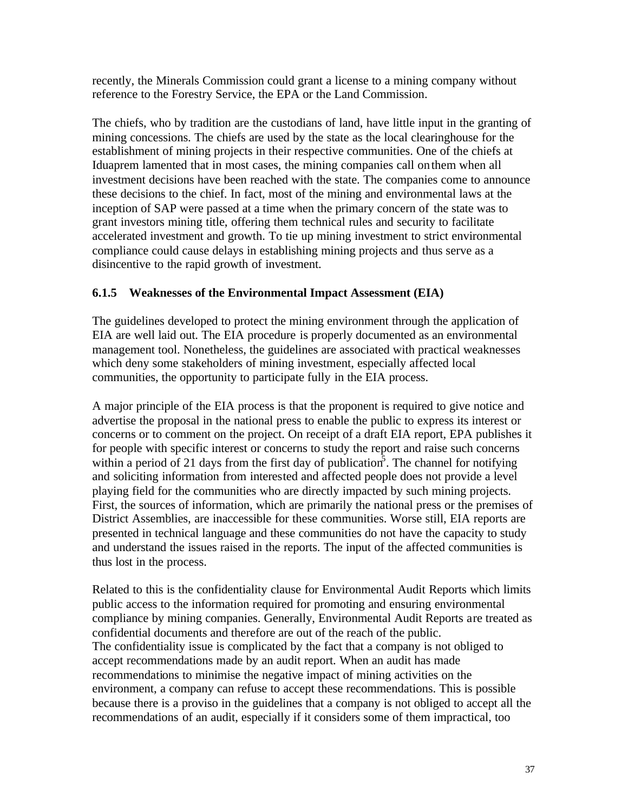recently, the Minerals Commission could grant a license to a mining company without reference to the Forestry Service, the EPA or the Land Commission.

The chiefs, who by tradition are the custodians of land, have little input in the granting of mining concessions. The chiefs are used by the state as the local clearinghouse for the establishment of mining projects in their respective communities. One of the chiefs at Iduaprem lamented that in most cases, the mining companies call on them when all investment decisions have been reached with the state. The companies come to announce these decisions to the chief. In fact, most of the mining and environmental laws at the inception of SAP were passed at a time when the primary concern of the state was to grant investors mining title, offering them technical rules and security to facilitate accelerated investment and growth. To tie up mining investment to strict environmental compliance could cause delays in establishing mining projects and thus serve as a disincentive to the rapid growth of investment.

### **6.1.5 Weaknesses of the Environmental Impact Assessment (EIA)**

The guidelines developed to protect the mining environment through the application of EIA are well laid out. The EIA procedure is properly documented as an environmental management tool. Nonetheless, the guidelines are associated with practical weaknesses which deny some stakeholders of mining investment, especially affected local communities, the opportunity to participate fully in the EIA process.

A major principle of the EIA process is that the proponent is required to give notice and advertise the proposal in the national press to enable the public to express its interest or concerns or to comment on the project. On receipt of a draft EIA report, EPA publishes it for people with specific interest or concerns to study the report and raise such concerns within a period of 21 days from the first day of publication<sup>5</sup>. The channel for notifying and soliciting information from interested and affected people does not provide a level playing field for the communities who are directly impacted by such mining projects. First, the sources of information, which are primarily the national press or the premises of District Assemblies, are inaccessible for these communities. Worse still, EIA reports are presented in technical language and these communities do not have the capacity to study and understand the issues raised in the reports. The input of the affected communities is thus lost in the process.

Related to this is the confidentiality clause for Environmental Audit Reports which limits public access to the information required for promoting and ensuring environmental compliance by mining companies. Generally, Environmental Audit Reports are treated as confidential documents and therefore are out of the reach of the public. The confidentiality issue is complicated by the fact that a company is not obliged to accept recommendations made by an audit report. When an audit has made recommendations to minimise the negative impact of mining activities on the environment, a company can refuse to accept these recommendations. This is possible because there is a proviso in the guidelines that a company is not obliged to accept all the recommendations of an audit, especially if it considers some of them impractical, too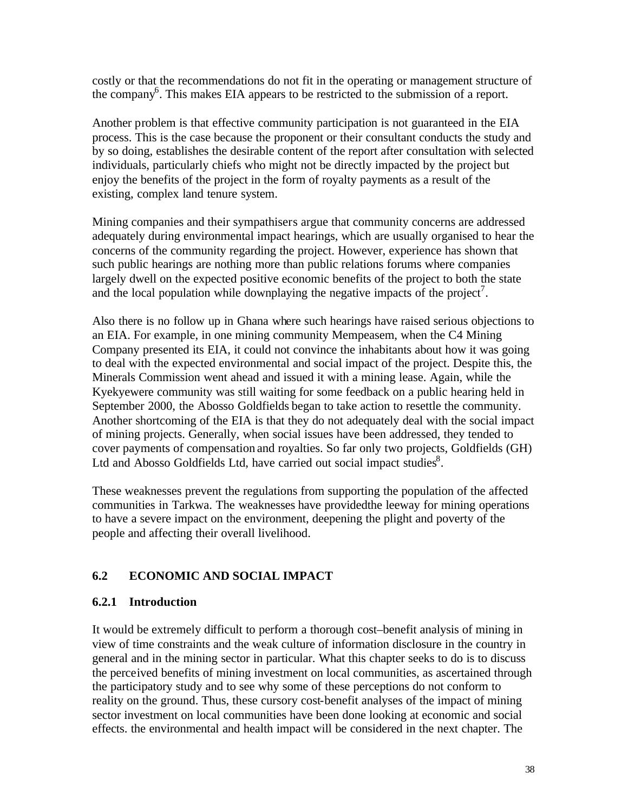costly or that the recommendations do not fit in the operating or management structure of the company<sup>6</sup>. This makes EIA appears to be restricted to the submission of a report.

Another problem is that effective community participation is not guaranteed in the EIA process. This is the case because the proponent or their consultant conducts the study and by so doing, establishes the desirable content of the report after consultation with selected individuals, particularly chiefs who might not be directly impacted by the project but enjoy the benefits of the project in the form of royalty payments as a result of the existing, complex land tenure system.

Mining companies and their sympathisers argue that community concerns are addressed adequately during environmental impact hearings, which are usually organised to hear the concerns of the community regarding the project. However, experience has shown that such public hearings are nothing more than public relations forums where companies largely dwell on the expected positive economic benefits of the project to both the state and the local population while downplaying the negative impacts of the project<sup>7</sup>.

Also there is no follow up in Ghana where such hearings have raised serious objections to an EIA. For example, in one mining community Mempeasem, when the C4 Mining Company presented its EIA, it could not convince the inhabitants about how it was going to deal with the expected environmental and social impact of the project. Despite this, the Minerals Commission went ahead and issued it with a mining lease. Again, while the Kyekyewere community was still waiting for some feedback on a public hearing held in September 2000, the Abosso Goldfields began to take action to resettle the community. Another shortcoming of the EIA is that they do not adequately deal with the social impact of mining projects. Generally, when social issues have been addressed, they tended to cover payments of compensation and royalties. So far only two projects, Goldfields (GH) Ltd and Abosso Goldfields Ltd, have carried out social impact studies<sup>8</sup>.

These weaknesses prevent the regulations from supporting the population of the affected communities in Tarkwa. The weaknesses have providedthe leeway for mining operations to have a severe impact on the environment, deepening the plight and poverty of the people and affecting their overall livelihood.

# **6.2 ECONOMIC AND SOCIAL IMPACT**

### **6.2.1 Introduction**

It would be extremely difficult to perform a thorough cost–benefit analysis of mining in view of time constraints and the weak culture of information disclosure in the country in general and in the mining sector in particular. What this chapter seeks to do is to discuss the perceived benefits of mining investment on local communities, as ascertained through the participatory study and to see why some of these perceptions do not conform to reality on the ground. Thus, these cursory cost-benefit analyses of the impact of mining sector investment on local communities have been done looking at economic and social effects. the environmental and health impact will be considered in the next chapter. The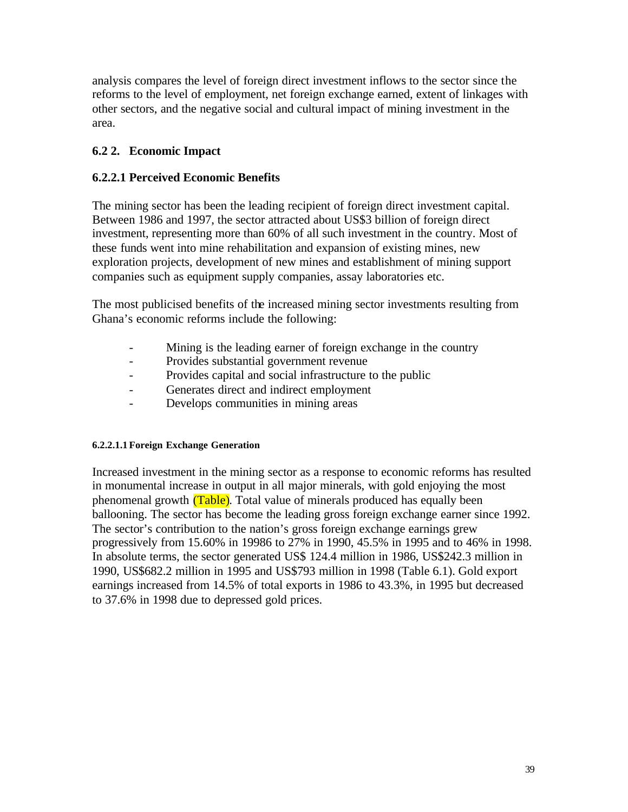analysis compares the level of foreign direct investment inflows to the sector since the reforms to the level of employment, net foreign exchange earned, extent of linkages with other sectors, and the negative social and cultural impact of mining investment in the area.

## **6.2 2. Economic Impact**

### **6.2.2.1 Perceived Economic Benefits**

The mining sector has been the leading recipient of foreign direct investment capital. Between 1986 and 1997, the sector attracted about US\$3 billion of foreign direct investment, representing more than 60% of all such investment in the country. Most of these funds went into mine rehabilitation and expansion of existing mines, new exploration projects, development of new mines and establishment of mining support companies such as equipment supply companies, assay laboratories etc.

The most publicised benefits of the increased mining sector investments resulting from Ghana's economic reforms include the following:

- Mining is the leading earner of foreign exchange in the country
- Provides substantial government revenue
- Provides capital and social infrastructure to the public
- Generates direct and indirect employment
- Develops communities in mining areas

### **6.2.2.1.1 Foreign Exchange Generation**

Increased investment in the mining sector as a response to economic reforms has resulted in monumental increase in output in all major minerals, with gold enjoying the most phenomenal growth (Table). Total value of minerals produced has equally been ballooning. The sector has become the leading gross foreign exchange earner since 1992. The sector's contribution to the nation's gross foreign exchange earnings grew progressively from 15.60% in 19986 to 27% in 1990, 45.5% in 1995 and to 46% in 1998. In absolute terms, the sector generated US\$ 124.4 million in 1986, US\$242.3 million in 1990, US\$682.2 million in 1995 and US\$793 million in 1998 (Table 6.1). Gold export earnings increased from 14.5% of total exports in 1986 to 43.3%, in 1995 but decreased to 37.6% in 1998 due to depressed gold prices.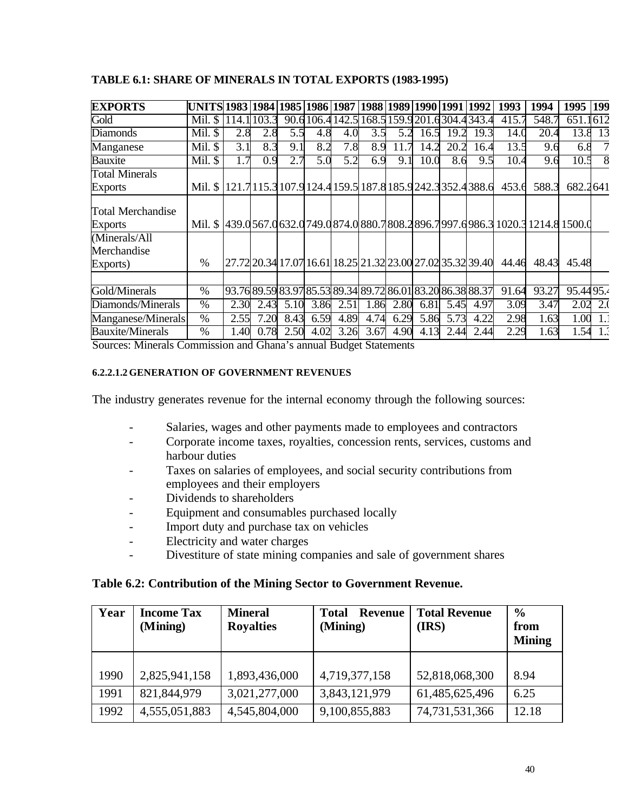| <b>EXPORTS</b>                      | UNITS  1983  1984  1985  1986  1987  1988  1989  1990  1991                     |       |       |      |      |                                                             |      |      |      |      | 1992 | 1993  | 1994  | 1995 199          |     |
|-------------------------------------|---------------------------------------------------------------------------------|-------|-------|------|------|-------------------------------------------------------------|------|------|------|------|------|-------|-------|-------------------|-----|
| Gold                                | Mil. \$                                                                         | 114.1 | 103.3 |      |      | 90.6106.4142.5168.5159.9201.6304.4343.4                     |      |      |      |      |      | 415.7 | 548.7 | 651.1612          |     |
| <b>Diamonds</b>                     | Mil. \$                                                                         | 2.8   | 2.8   | 5.5  | 4.8  | 4.0                                                         | 3.5  | 5.2  | 16.5 | 19.2 | 19.3 | 14.0  | 20.4  | 13.8              | 13  |
| Manganese                           | Mil. \$                                                                         | 3.1   | 8.3   | 9.1  | 8.2  | 7.8                                                         | 8.9  | 11.7 | 14   | 20.2 | 16.4 | 13.5  | 9.6   | 6.8               |     |
| Bauxite                             | Mil. \$                                                                         | 1.7   | 0.9   | 2.7  | 5.0  | 5.2                                                         | 6.9  | 9.1  | 10.0 | 8.6  | 9.5  | 10.4  | 9.6   | 10.5              |     |
| <b>Total Minerals</b>               |                                                                                 |       |       |      |      |                                                             |      |      |      |      |      |       |       |                   |     |
| <b>Exports</b>                      | Mil. \$   121.7 115.3 107.9 124.4 159.5 187.8 185.9 242.3 352.4 388.6           |       |       |      |      |                                                             |      |      |      |      |      | 453.6 | 588.3 | 682.2641          |     |
| Total Merchandise<br><b>Exports</b> | Mil. \$ 439.0567.0632.0749.0874.0880.7808.2896.7997.0986.3 1020.3 1214.8 1500.0 |       |       |      |      |                                                             |      |      |      |      |      |       |       |                   |     |
| (Minerals/All                       |                                                                                 |       |       |      |      |                                                             |      |      |      |      |      |       |       |                   |     |
| Merchandise<br>Exports)             | %                                                                               |       |       |      |      | 27.72 20.34 17.07 16.61 18.25 21.32 23.00 27.02 35.32 39.40 |      |      |      |      |      | 44.46 | 48.43 | 45.48             |     |
| Gold/Minerals                       | $\%$                                                                            |       |       |      |      | 93.76 89.59 83.97 85.53 89.34 89.72 86.01 83.20 86.38 88.37 |      |      |      |      |      | 91.64 | 93.27 | 95.4495.4         |     |
| Diamonds/Minerals                   | $\%$                                                                            | 2.30  | 2.43  | 5.10 | 3.86 | 2.51                                                        | 1.86 | 2.80 | 6.81 | 5.45 | 4.97 | 3.09  | 3.47  | 2.02              | 2.0 |
| Manganese/Minerals                  | $\%$                                                                            | 2.55  | 7.20  | 8.43 | 6.59 | 4.89                                                        | 4.74 | 6.29 | 5.86 | 5.73 | 4.22 | 2.98  | 1.63  | $\overline{1.00}$ |     |
| <b>Bauxite/Minerals</b>             | $\%$                                                                            | 1.40  | 0.78  | 2.50 | 4.02 | 3.26                                                        | 3.67 | 4.90 | 4.13 | 2.44 | 2.44 | 2.29  | 1.63  | 1.54              | 1.3 |

#### **TABLE 6.1: SHARE OF MINERALS IN TOTAL EXPORTS (1983-1995)**

Sources: Minerals Commission and Ghana's annual Budget Statements

#### **6.2.2.1.2 GENERATION OF GOVERNMENT REVENUES**

The industry generates revenue for the internal economy through the following sources:

- Salaries, wages and other payments made to employees and contractors
- Corporate income taxes, royalties, concession rents, services, customs and harbour duties
- Taxes on salaries of employees, and social security contributions from employees and their employers
- Dividends to shareholders
- Equipment and consumables purchased locally
- Import duty and purchase tax on vehicles
- Electricity and water charges
- Divestiture of state mining companies and sale of government shares

#### **Table 6.2: Contribution of the Mining Sector to Government Revenue.**

| Year | <b>Income Tax</b><br>(Mining) | <b>Mineral</b><br><b>Royalties</b> | <b>Total</b><br><b>Revenue</b><br>(Mining) | <b>Total Revenue</b><br>(IRS) | $\frac{0}{0}$<br>from<br><b>Mining</b> |
|------|-------------------------------|------------------------------------|--------------------------------------------|-------------------------------|----------------------------------------|
| 1990 | 2,825,941,158                 | 1,893,436,000                      | 4,719,377,158                              | 52,818,068,300                | 8.94                                   |
| 1991 | 821,844,979                   | 3,021,277,000                      | 3,843,121,979                              | 61,485,625,496                | 6.25                                   |
| 1992 | 4,555,051,883                 | 4,545,804,000                      | 9,100,855,883                              | 74,731,531,366                | 12.18                                  |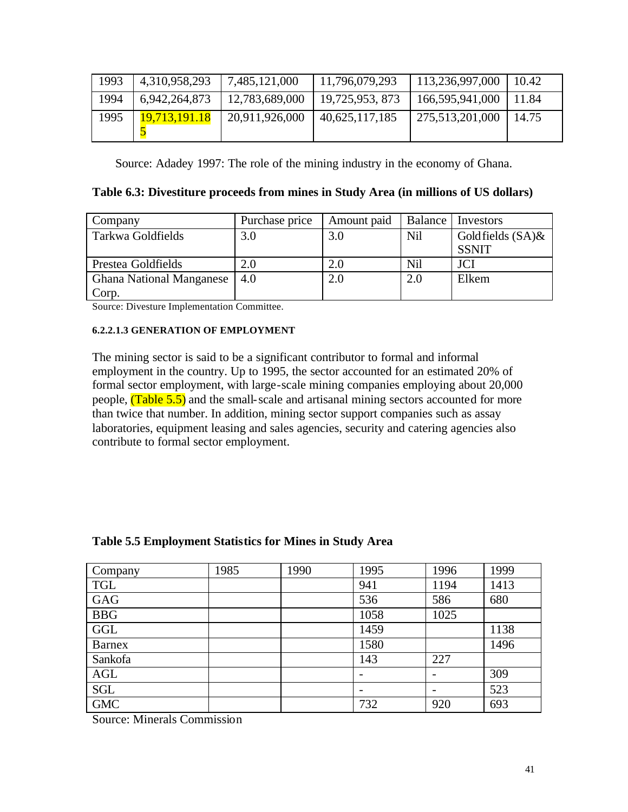| 1993 | 4,310,958,293 | 7,485,121,000  | 11,796,079,293 | 113,236,997,000 | 10.42 |
|------|---------------|----------------|----------------|-----------------|-------|
| 1994 | 6,942,264,873 | 12,783,689,000 | 19,725,953,873 | 166,595,941,000 | 11.84 |
| 1995 | 19,713,191.18 | 20,911,926,000 | 40,625,117,185 | 275,513,201,000 | 14.75 |

Source: Adadey 1997: The role of the mining industry in the economy of Ghana.

| Company                         | Purchase price | Amount paid | Balance | Investors           |
|---------------------------------|----------------|-------------|---------|---------------------|
| Tarkwa Goldfields               | 3.0            | 3.0         | Nil     | Goldfields $(SA)$ & |
|                                 |                |             |         | <b>SSNIT</b>        |
| Prestea Goldfields              | 2.0            | 2.0         | Nil     | <b>JCI</b>          |
| <b>Ghana National Manganese</b> | 4.0            | 2.0         | 2.0     | Elkem               |
| Corp.                           |                |             |         |                     |

Source: Divesture Implementation Committee.

#### **6.2.2.1.3 GENERATION OF EMPLOYMENT**

The mining sector is said to be a significant contributor to formal and informal employment in the country. Up to 1995, the sector accounted for an estimated 20% of formal sector employment, with large-scale mining companies employing about 20,000 people, (Table 5.5) and the small-scale and artisanal mining sectors accounted for more than twice that number. In addition, mining sector support companies such as assay laboratories, equipment leasing and sales agencies, security and catering agencies also contribute to formal sector employment.

| Company    | 1985 | 1990 | 1995 | 1996 | 1999 |
|------------|------|------|------|------|------|
| <b>TGL</b> |      |      | 941  | 1194 | 1413 |
| <b>GAG</b> |      |      | 536  | 586  | 680  |
| <b>BBG</b> |      |      | 1058 | 1025 |      |
| GGL        |      |      | 1459 |      | 1138 |
| Barnex     |      |      | 1580 |      | 1496 |
| Sankofa    |      |      | 143  | 227  |      |
| AGL        |      |      |      |      | 309  |
| SGL        |      |      | -    |      | 523  |
| <b>GMC</b> |      |      | 732  | 920  | 693  |

#### **Table 5.5 Employment Statistics for Mines in Study Area**

Source: Minerals Commission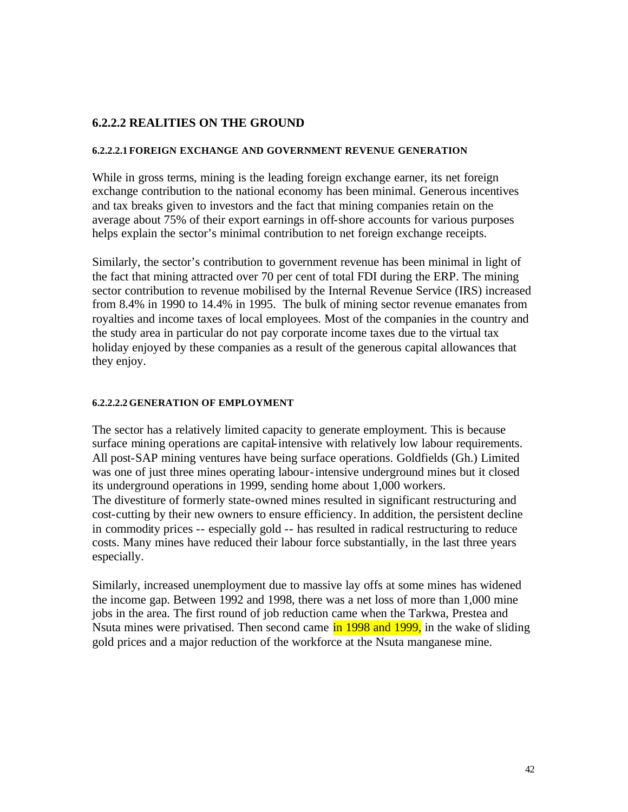#### **6.2.2.2 REALITIES ON THE GROUND**

#### **6.2.2.2.1 FOREIGN EXCHANGE AND GOVERNMENT REVENUE GENERATION**

While in gross terms, mining is the leading foreign exchange earner, its net foreign exchange contribution to the national economy has been minimal. Generous incentives and tax breaks given to investors and the fact that mining companies retain on the average about 75% of their export earnings in off-shore accounts for various purposes helps explain the sector's minimal contribution to net foreign exchange receipts.

Similarly, the sector's contribution to government revenue has been minimal in light of the fact that mining attracted over 70 per cent of total FDI during the ERP. The mining sector contribution to revenue mobilised by the Internal Revenue Service (IRS) increased from 8.4% in 1990 to 14.4% in 1995. The bulk of mining sector revenue emanates from royalties and income taxes of local employees. Most of the companies in the country and the study area in particular do not pay corporate income taxes due to the virtual tax holiday enjoyed by these companies as a result of the generous capital allowances that they enjoy.

#### **6.2.2.2.2 GENERATION OF EMPLOYMENT**

The sector has a relatively limited capacity to generate employment. This is because surface mining operations are capital-intensive with relatively low labour requirements. All post-SAP mining ventures have being surface operations. Goldfields (Gh.) Limited was one of just three mines operating labour-intensive underground mines but it closed its underground operations in 1999, sending home about 1,000 workers. The divestiture of formerly state-owned mines resulted in significant restructuring and cost-cutting by their new owners to ensure efficiency. In addition, the persistent decline in commodity prices -- especially gold -- has resulted in radical restructuring to reduce costs. Many mines have reduced their labour force substantially, in the last three years especially.

Similarly, increased unemployment due to massive lay offs at some mines has widened the income gap. Between 1992 and 1998, there was a net loss of more than 1,000 mine jobs in the area. The first round of job reduction came when the Tarkwa, Prestea and Nsuta mines were privatised. Then second came in 1998 and 1999, in the wake of sliding gold prices and a major reduction of the workforce at the Nsuta manganese mine.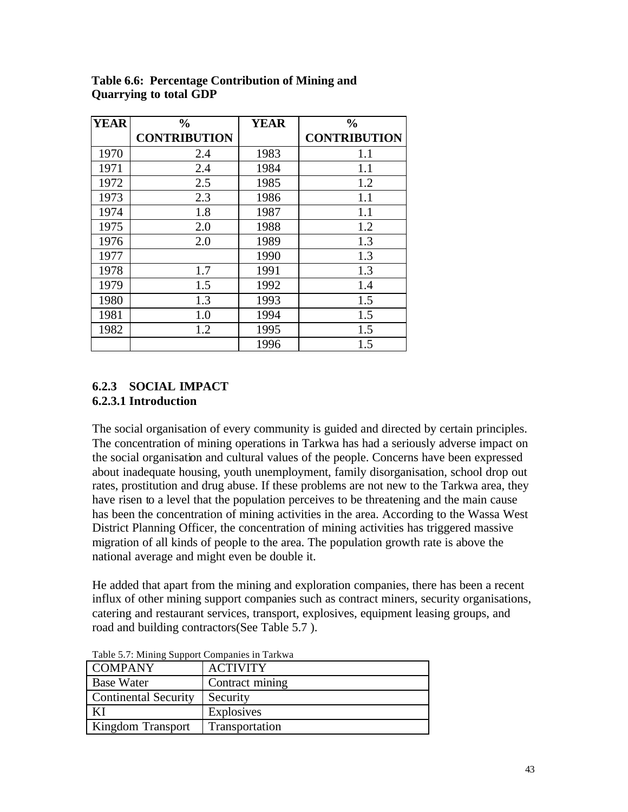| <b>YEAR</b> | $\frac{0}{0}$       | <b>YEAR</b> | $\frac{0}{0}$       |
|-------------|---------------------|-------------|---------------------|
|             | <b>CONTRIBUTION</b> |             | <b>CONTRIBUTION</b> |
| 1970        | 2.4                 | 1983        | 1.1                 |
| 1971        | 2.4                 | 1984        | 1.1                 |
| 1972        | 2.5                 | 1985        | 1.2                 |
| 1973        | 2.3                 | 1986        | 1.1                 |
| 1974        | 1.8                 | 1987        | 1.1                 |
| 1975        | 2.0                 | 1988        | 1.2                 |
| 1976        | 2.0                 | 1989        | 1.3                 |
| 1977        |                     | 1990        | 1.3                 |
| 1978        | 1.7                 | 1991        | 1.3                 |
| 1979        | 1.5                 | 1992        | 1.4                 |
| 1980        | 1.3                 | 1993        | 1.5                 |
| 1981        | 1.0                 | 1994        | 1.5                 |
| 1982        | 1.2                 | 1995        | 1.5                 |
|             |                     | 1996        | 1.5                 |

**Table 6.6: Percentage Contribution of Mining and Quarrying to total GDP**

### **6.2.3 SOCIAL IMPACT 6.2.3.1 Introduction**

The social organisation of every community is guided and directed by certain principles. The concentration of mining operations in Tarkwa has had a seriously adverse impact on the social organisation and cultural values of the people. Concerns have been expressed about inadequate housing, youth unemployment, family disorganisation, school drop out rates, prostitution and drug abuse. If these problems are not new to the Tarkwa area, they have risen to a level that the population perceives to be threatening and the main cause has been the concentration of mining activities in the area. According to the Wassa West District Planning Officer, the concentration of mining activities has triggered massive migration of all kinds of people to the area. The population growth rate is above the national average and might even be double it.

He added that apart from the mining and exploration companies, there has been a recent influx of other mining support companies such as contract miners, security organisations, catering and restaurant services, transport, explosives, equipment leasing groups, and road and building contractors(See Table 5.7 ).

| .                           |                   |
|-----------------------------|-------------------|
| <b>COMPANY</b>              | <b>ACTIVITY</b>   |
| <b>Base Water</b>           | Contract mining   |
| <b>Continental Security</b> | Security          |
| ΚI                          | <b>Explosives</b> |
| Kingdom Transport           | Transportation    |

Table 5.7: Mining Support Companies in Tarkwa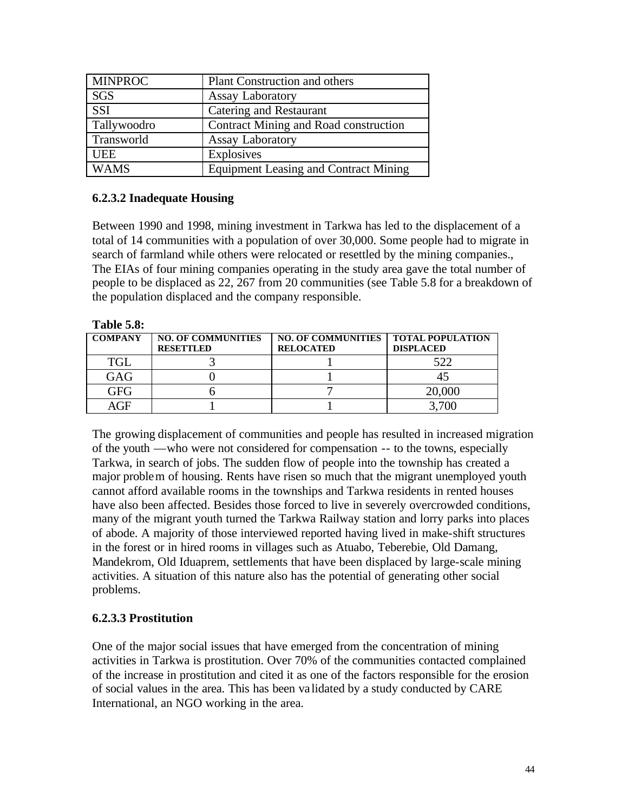| <b>MINPROC</b> | Plant Construction and others                |
|----------------|----------------------------------------------|
| <b>SGS</b>     | <b>Assay Laboratory</b>                      |
| <b>SSI</b>     | Catering and Restaurant                      |
| Tallywoodro    | Contract Mining and Road construction        |
| Transworld     | <b>Assay Laboratory</b>                      |
| <b>UEE</b>     | Explosives                                   |
| <b>WAMS</b>    | <b>Equipment Leasing and Contract Mining</b> |

#### **6.2.3.2 Inadequate Housing**

Between 1990 and 1998, mining investment in Tarkwa has led to the displacement of a total of 14 communities with a population of over 30,000. Some people had to migrate in search of farmland while others were relocated or resettled by the mining companies., The EIAs of four mining companies operating in the study area gave the total number of people to be displaced as 22, 267 from 20 communities (see Table 5.8 for a breakdown of the population displaced and the company responsible.

| <b>COMPANY</b> | <b>NO. OF COMMUNITIES</b><br><b>RESETTLED</b> | NO. OF COMMUNITIES   TOTAL POPULATION<br><b>RELOCATED</b> | <b>DISPLACED</b> |
|----------------|-----------------------------------------------|-----------------------------------------------------------|------------------|
| <b>TGL</b>     |                                               |                                                           | 522              |
| GAG            |                                               |                                                           |                  |
| GFG            |                                               |                                                           | 20,000           |
| AGF            |                                               |                                                           | 3.700            |

The growing displacement of communities and people has resulted in increased migration of the youth —who were not considered for compensation -- to the towns, especially Tarkwa, in search of jobs. The sudden flow of people into the township has created a major problem of housing. Rents have risen so much that the migrant unemployed youth cannot afford available rooms in the townships and Tarkwa residents in rented houses have also been affected. Besides those forced to live in severely overcrowded conditions, many of the migrant youth turned the Tarkwa Railway station and lorry parks into places of abode. A majority of those interviewed reported having lived in make-shift structures in the forest or in hired rooms in villages such as Atuabo, Teberebie, Old Damang, Mandekrom, Old Iduaprem, settlements that have been displaced by large-scale mining activities. A situation of this nature also has the potential of generating other social problems.

### **6.2.3.3 Prostitution**

One of the major social issues that have emerged from the concentration of mining activities in Tarkwa is prostitution. Over 70% of the communities contacted complained of the increase in prostitution and cited it as one of the factors responsible for the erosion of social values in the area. This has been validated by a study conducted by CARE International, an NGO working in the area.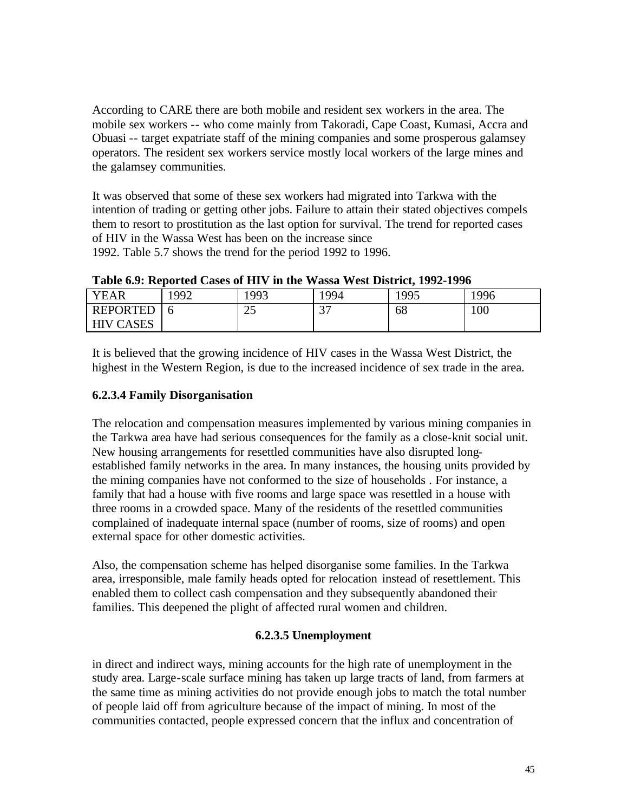According to CARE there are both mobile and resident sex workers in the area. The mobile sex workers -- who come mainly from Takoradi, Cape Coast, Kumasi, Accra and Obuasi -- target expatriate staff of the mining companies and some prosperous galamsey operators. The resident sex workers service mostly local workers of the large mines and the galamsey communities.

It was observed that some of these sex workers had migrated into Tarkwa with the intention of trading or getting other jobs. Failure to attain their stated objectives compels them to resort to prostitution as the last option for survival. The trend for reported cases of HIV in the Wassa West has been on the increase since 1992. Table 5.7 shows the trend for the period 1992 to 1996.

**Table 6.9: Reported Cases of HIV in the Wassa West District, 1992-1996**

| YEAR                       | 1992 | 1993           | '994        | 1995 | 1996 |
|----------------------------|------|----------------|-------------|------|------|
| <b>REPORTED</b>            |      | $\Omega$<br>رے | $\sim$<br>ັ | 68   | 100  |
| <b>CASES</b><br><b>HIV</b> |      |                |             |      |      |

It is believed that the growing incidence of HIV cases in the Wassa West District, the highest in the Western Region, is due to the increased incidence of sex trade in the area.

## **6.2.3.4 Family Disorganisation**

The relocation and compensation measures implemented by various mining companies in the Tarkwa area have had serious consequences for the family as a close-knit social unit. New housing arrangements for resettled communities have also disrupted longestablished family networks in the area. In many instances, the housing units provided by the mining companies have not conformed to the size of households . For instance, a family that had a house with five rooms and large space was resettled in a house with three rooms in a crowded space. Many of the residents of the resettled communities complained of inadequate internal space (number of rooms, size of rooms) and open external space for other domestic activities.

Also, the compensation scheme has helped disorganise some families. In the Tarkwa area, irresponsible, male family heads opted for relocation instead of resettlement. This enabled them to collect cash compensation and they subsequently abandoned their families. This deepened the plight of affected rural women and children.

### **6.2.3.5 Unemployment**

in direct and indirect ways, mining accounts for the high rate of unemployment in the study area. Large-scale surface mining has taken up large tracts of land, from farmers at the same time as mining activities do not provide enough jobs to match the total number of people laid off from agriculture because of the impact of mining. In most of the communities contacted, people expressed concern that the influx and concentration of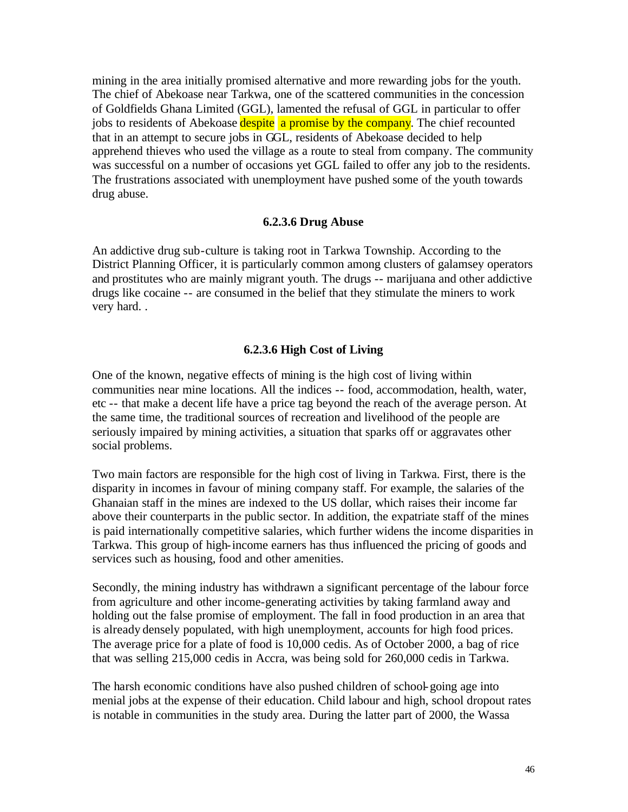mining in the area initially promised alternative and more rewarding jobs for the youth. The chief of Abekoase near Tarkwa, one of the scattered communities in the concession of Goldfields Ghana Limited (GGL), lamented the refusal of GGL in particular to offer jobs to residents of Abekoase despite a promise by the company. The chief recounted that in an attempt to secure jobs in GGL, residents of Abekoase decided to help apprehend thieves who used the village as a route to steal from company. The community was successful on a number of occasions yet GGL failed to offer any job to the residents. The frustrations associated with unemployment have pushed some of the youth towards drug abuse.

#### **6.2.3.6 Drug Abuse**

An addictive drug sub-culture is taking root in Tarkwa Township. According to the District Planning Officer, it is particularly common among clusters of galamsey operators and prostitutes who are mainly migrant youth. The drugs -- marijuana and other addictive drugs like cocaine -- are consumed in the belief that they stimulate the miners to work very hard. .

#### **6.2.3.6 High Cost of Living**

One of the known, negative effects of mining is the high cost of living within communities near mine locations. All the indices -- food, accommodation, health, water, etc -- that make a decent life have a price tag beyond the reach of the average person. At the same time, the traditional sources of recreation and livelihood of the people are seriously impaired by mining activities, a situation that sparks off or aggravates other social problems.

Two main factors are responsible for the high cost of living in Tarkwa. First, there is the disparity in incomes in favour of mining company staff. For example, the salaries of the Ghanaian staff in the mines are indexed to the US dollar, which raises their income far above their counterparts in the public sector. In addition, the expatriate staff of the mines is paid internationally competitive salaries, which further widens the income disparities in Tarkwa. This group of high-income earners has thus influenced the pricing of goods and services such as housing, food and other amenities.

Secondly, the mining industry has withdrawn a significant percentage of the labour force from agriculture and other income-generating activities by taking farmland away and holding out the false promise of employment. The fall in food production in an area that is already densely populated, with high unemployment, accounts for high food prices. The average price for a plate of food is 10,000 cedis. As of October 2000, a bag of rice that was selling 215,000 cedis in Accra, was being sold for 260,000 cedis in Tarkwa.

The harsh economic conditions have also pushed children of school-going age into menial jobs at the expense of their education. Child labour and high, school dropout rates is notable in communities in the study area. During the latter part of 2000, the Wassa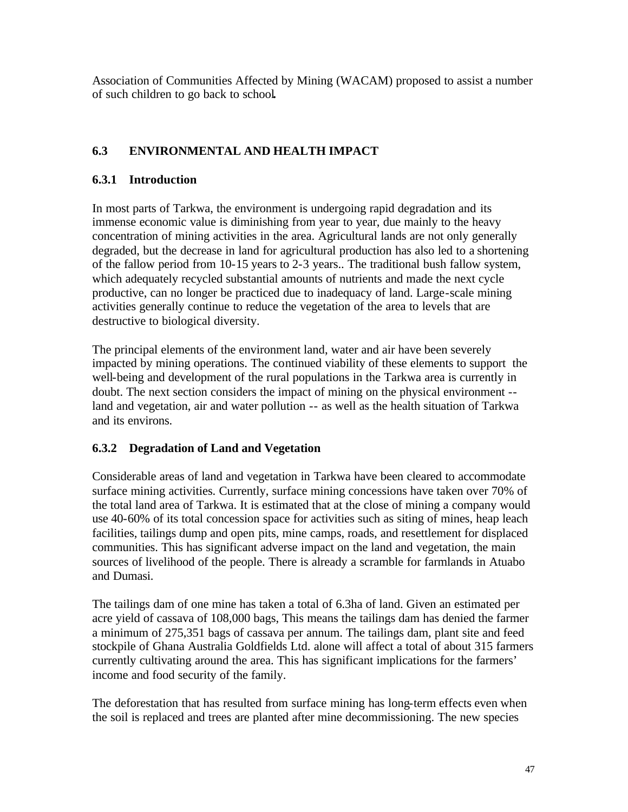Association of Communities Affected by Mining (WACAM) proposed to assist a number of such children to go back to school**.** 

# **6.3 ENVIRONMENTAL AND HEALTH IMPACT**

### **6.3.1 Introduction**

In most parts of Tarkwa, the environment is undergoing rapid degradation and its immense economic value is diminishing from year to year, due mainly to the heavy concentration of mining activities in the area. Agricultural lands are not only generally degraded, but the decrease in land for agricultural production has also led to a shortening of the fallow period from 10-15 years to 2-3 years.. The traditional bush fallow system, which adequately recycled substantial amounts of nutrients and made the next cycle productive, can no longer be practiced due to inadequacy of land. Large-scale mining activities generally continue to reduce the vegetation of the area to levels that are destructive to biological diversity.

The principal elements of the environment land, water and air have been severely impacted by mining operations. The continued viability of these elements to support the well-being and development of the rural populations in the Tarkwa area is currently in doubt. The next section considers the impact of mining on the physical environment - land and vegetation, air and water pollution -- as well as the health situation of Tarkwa and its environs.

# **6.3.2 Degradation of Land and Vegetation**

Considerable areas of land and vegetation in Tarkwa have been cleared to accommodate surface mining activities. Currently, surface mining concessions have taken over 70% of the total land area of Tarkwa. It is estimated that at the close of mining a company would use 40-60% of its total concession space for activities such as siting of mines, heap leach facilities, tailings dump and open pits, mine camps, roads, and resettlement for displaced communities. This has significant adverse impact on the land and vegetation, the main sources of livelihood of the people. There is already a scramble for farmlands in Atuabo and Dumasi.

The tailings dam of one mine has taken a total of 6.3ha of land. Given an estimated per acre yield of cassava of 108,000 bags, This means the tailings dam has denied the farmer a minimum of 275,351 bags of cassava per annum. The tailings dam, plant site and feed stockpile of Ghana Australia Goldfields Ltd. alone will affect a total of about 315 farmers currently cultivating around the area. This has significant implications for the farmers' income and food security of the family.

The deforestation that has resulted from surface mining has long-term effects even when the soil is replaced and trees are planted after mine decommissioning. The new species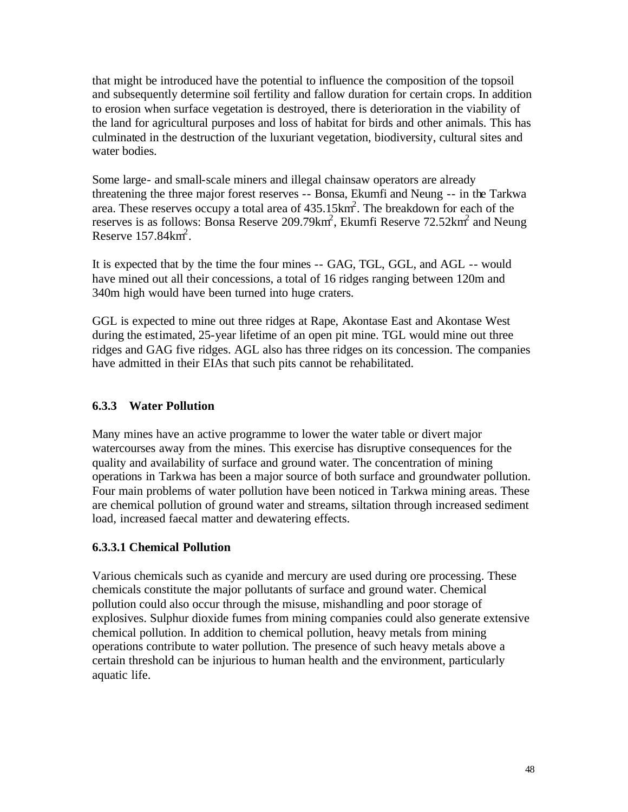that might be introduced have the potential to influence the composition of the topsoil and subsequently determine soil fertility and fallow duration for certain crops. In addition to erosion when surface vegetation is destroyed, there is deterioration in the viability of the land for agricultural purposes and loss of habitat for birds and other animals. This has culminated in the destruction of the luxuriant vegetation, biodiversity, cultural sites and water bodies.

Some large- and small-scale miners and illegal chainsaw operators are already threatening the three major forest reserves -- Bonsa, Ekumfi and Neung -- in the Tarkwa area. These reserves occupy a total area of  $435.15 \text{km}^2$ . The breakdown for each of the reserves is as follows: Bonsa Reserve 209.79 $km^2$ , Ekumfi Reserve 72.52 $km^2$  and Neung Reserve  $157.84 \text{km}^2$ .

It is expected that by the time the four mines -- GAG, TGL, GGL, and AGL -- would have mined out all their concessions, a total of 16 ridges ranging between 120m and 340m high would have been turned into huge craters.

GGL is expected to mine out three ridges at Rape, Akontase East and Akontase West during the estimated, 25-year lifetime of an open pit mine. TGL would mine out three ridges and GAG five ridges. AGL also has three ridges on its concession. The companies have admitted in their EIAs that such pits cannot be rehabilitated.

### **6.3.3 Water Pollution**

Many mines have an active programme to lower the water table or divert major watercourses away from the mines. This exercise has disruptive consequences for the quality and availability of surface and ground water. The concentration of mining operations in Tarkwa has been a major source of both surface and groundwater pollution. Four main problems of water pollution have been noticed in Tarkwa mining areas. These are chemical pollution of ground water and streams, siltation through increased sediment load, increased faecal matter and dewatering effects.

### **6.3.3.1 Chemical Pollution**

Various chemicals such as cyanide and mercury are used during ore processing. These chemicals constitute the major pollutants of surface and ground water. Chemical pollution could also occur through the misuse, mishandling and poor storage of explosives. Sulphur dioxide fumes from mining companies could also generate extensive chemical pollution. In addition to chemical pollution, heavy metals from mining operations contribute to water pollution. The presence of such heavy metals above a certain threshold can be injurious to human health and the environment, particularly aquatic life.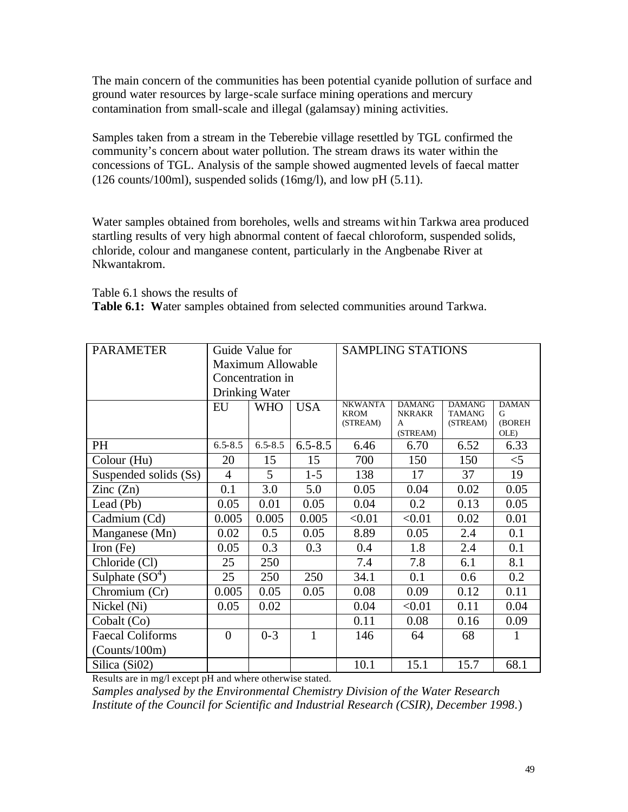The main concern of the communities has been potential cyanide pollution of surface and ground water resources by large-scale surface mining operations and mercury contamination from small-scale and illegal (galamsay) mining activities.

Samples taken from a stream in the Teberebie village resettled by TGL confirmed the community's concern about water pollution. The stream draws its water within the concessions of TGL. Analysis of the sample showed augmented levels of faecal matter (126 counts/100ml), suspended solids (16mg/l), and low pH (5.11).

Water samples obtained from boreholes, wells and streams within Tarkwa area produced startling results of very high abnormal content of faecal chloroform, suspended solids, chloride, colour and manganese content, particularly in the Angbenabe River at Nkwantakrom.

Table 6.1 shows the results of

**Table 6.1: W**ater samples obtained from selected communities around Tarkwa.

| <b>PARAMETER</b>         |                  | Guide Value for          |             | <b>SAMPLING STATIONS</b>                  |                                                 |                                            |                                     |
|--------------------------|------------------|--------------------------|-------------|-------------------------------------------|-------------------------------------------------|--------------------------------------------|-------------------------------------|
|                          |                  | <b>Maximum Allowable</b> |             |                                           |                                                 |                                            |                                     |
|                          | Concentration in |                          |             |                                           |                                                 |                                            |                                     |
|                          |                  | Drinking Water           |             |                                           |                                                 |                                            |                                     |
|                          | EU               | <b>WHO</b>               | <b>USA</b>  | <b>NKWANTA</b><br><b>KROM</b><br>(STREAM) | <b>DAMANG</b><br><b>NKRAKR</b><br>A<br>(STREAM) | <b>DAMANG</b><br><b>TAMANG</b><br>(STREAM) | <b>DAMAN</b><br>G<br>(BOREH<br>OLE) |
| <b>PH</b>                | $6.5 - 8.5$      | $6.5 - 8.5$              | $6.5 - 8.5$ | 6.46                                      | 6.70                                            | 6.52                                       | 6.33                                |
| Colour (Hu)              | 20               | 15                       | 15          | 700                                       | 150                                             | 150                                        | $<$ 5                               |
| Suspended solids (Ss)    | $\overline{4}$   | 5                        | $1 - 5$     | 138                                       | 17                                              | 37                                         | 19                                  |
| $\text{Zinc}(\text{Zn})$ | 0.1              | 3.0                      | 5.0         | 0.05                                      | 0.04                                            | 0.02                                       | 0.05                                |
| Lead (Pb)                | 0.05             | 0.01                     | 0.05        | 0.04                                      | 0.2                                             | 0.13                                       | 0.05                                |
| Cadmium (Cd)             | 0.005            | 0.005                    | 0.005       | < 0.01                                    | < 0.01                                          | 0.02                                       | 0.01                                |
| Manganese (Mn)           | 0.02             | 0.5                      | 0.05        | 8.89                                      | 0.05                                            | 2.4                                        | 0.1                                 |
| Iron $(Fe)$              | 0.05             | 0.3                      | 0.3         | 0.4                                       | 1.8                                             | 2.4                                        | 0.1                                 |
| Chloride (Cl)            | 25               | 250                      |             | 7.4                                       | 7.8                                             | 6.1                                        | 8.1                                 |
| Sulphate $(SO4)$         | 25               | 250                      | 250         | 34.1                                      | 0.1                                             | 0.6                                        | 0.2                                 |
| Chromium (Cr)            | 0.005            | 0.05                     | 0.05        | 0.08                                      | 0.09                                            | 0.12                                       | 0.11                                |
| Nickel (Ni)              | 0.05             | 0.02                     |             | 0.04                                      | < 0.01                                          | 0.11                                       | 0.04                                |
| Cobalt (Co)              |                  |                          |             | 0.11                                      | 0.08                                            | 0.16                                       | 0.09                                |
| <b>Faecal Coliforms</b>  | $\theta$         | $0 - 3$                  | 1           | 146                                       | 64                                              | 68                                         | 1                                   |
| (Counts/100m)            |                  |                          |             |                                           |                                                 |                                            |                                     |
| Silica (Si02)            |                  |                          |             | 10.1                                      | 15.1                                            | 15.7                                       | 68.1                                |

Results are in mg/l except pH and where otherwise stated.

*Samples analysed by the Environmental Chemistry Division of the Water Research Institute of the Council for Scientific and Industrial Research (CSIR), December 1998*.)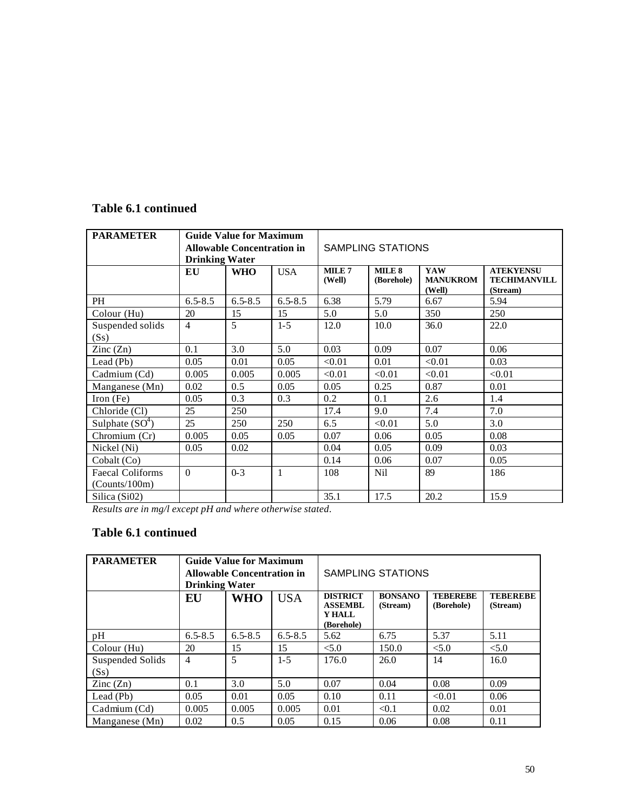# **Table 6.1 continued**

| <b>PARAMETER</b>                         | <b>Guide Value for Maximum</b><br><b>Allowable Concentration in</b><br><b>Drinking Water</b> |             |             | <b>SAMPLING STATIONS</b>    |                                 |                                  |                                                     |
|------------------------------------------|----------------------------------------------------------------------------------------------|-------------|-------------|-----------------------------|---------------------------------|----------------------------------|-----------------------------------------------------|
|                                          | EU                                                                                           | <b>WHO</b>  | <b>USA</b>  | MILE <sub>7</sub><br>(Well) | MILE <sub>8</sub><br>(Borehole) | YAW<br><b>MANUKROM</b><br>(Well) | <b>ATEKYENSU</b><br><b>TECHIMANVILL</b><br>(Stream) |
| PH                                       | $6.5 - 8.5$                                                                                  | $6.5 - 8.5$ | $6.5 - 8.5$ | 6.38                        | 5.79                            | 6.67                             | 5.94                                                |
| Colour (Hu)                              | 20                                                                                           | 15          | 15          | 5.0                         | 5.0                             | 350                              | 250                                                 |
| Suspended solids<br>(Ss)                 | $\overline{4}$                                                                               | 5           | $1 - 5$     | 12.0                        | 10.0                            | 36.0                             | 22.0                                                |
| $\text{Zinc}(\text{Zn})$                 | 0.1                                                                                          | 3.0         | 5.0         | 0.03                        | 0.09                            | 0.07                             | 0.06                                                |
| Lead (Pb)                                | 0.05                                                                                         | 0.01        | 0.05        | < 0.01                      | 0.01                            | < 0.01                           | 0.03                                                |
| Cadmium (Cd)                             | 0.005                                                                                        | 0.005       | 0.005       | < 0.01                      | < 0.01                          | < 0.01                           | < 0.01                                              |
| Manganese (Mn)                           | 0.02                                                                                         | 0.5         | 0.05        | 0.05                        | 0.25                            | 0.87                             | 0.01                                                |
| Iron $(Fe)$                              | 0.05                                                                                         | 0.3         | 0.3         | 0.2                         | 0.1                             | 2.6                              | 1.4                                                 |
| Chloride (Cl)                            | 25                                                                                           | 250         |             | 17.4                        | 9.0                             | 7.4                              | 7.0                                                 |
| Sulphate $(SO4)$                         | 25                                                                                           | 250         | 250         | 6.5                         | < 0.01                          | 5.0                              | 3.0                                                 |
| Chromium (Cr)                            | 0.005                                                                                        | 0.05        | 0.05        | 0.07                        | 0.06                            | 0.05                             | 0.08                                                |
| Nickel (Ni)                              | 0.05                                                                                         | 0.02        |             | 0.04                        | 0.05                            | 0.09                             | 0.03                                                |
| Cobalt (Co)                              |                                                                                              |             |             | 0.14                        | 0.06                            | 0.07                             | 0.05                                                |
| <b>Faecal Coliforms</b><br>(Counts/100m) | $\Omega$                                                                                     | $0 - 3$     | 1           | 108                         | Nil                             | 89                               | 186                                                 |
| Silica (Si02)                            |                                                                                              |             |             | 35.1                        | 17.5                            | 20.2                             | 15.9                                                |

*Results are in mg/l except pH and where otherwise stated*.

# **Table 6.1 continued**

| <b>PARAMETER</b>         | <b>Guide Value for Maximum</b><br><b>Allowable Concentration in</b><br><b>Drinking Water</b> |             |             |                                                           | SAMPLING STATIONS          |                               |                             |  |
|--------------------------|----------------------------------------------------------------------------------------------|-------------|-------------|-----------------------------------------------------------|----------------------------|-------------------------------|-----------------------------|--|
|                          | EU                                                                                           | <b>WHO</b>  | <b>USA</b>  | <b>DISTRICT</b><br><b>ASSEMBL</b><br>Y HALL<br>(Borehole) | <b>BONSANO</b><br>(Stream) | <b>TEBEREBE</b><br>(Borehole) | <b>TEBEREBE</b><br>(Stream) |  |
| pH                       | $6.5 - 8.5$                                                                                  | $6.5 - 8.5$ | $6.5 - 8.5$ | 5.62                                                      | 6.75                       | 5.37                          | 5.11                        |  |
| Colour (Hu)              | 20                                                                                           | 15          | 15          | < 5.0                                                     | 150.0                      | < 5.0                         | < 5.0                       |  |
| Suspended Solids<br>(Ss) | $\overline{4}$                                                                               | 5           | $1-5$       | 176.0                                                     | 26.0                       | 14                            | 16.0                        |  |
| $\text{Zinc}(\text{Zn})$ | 0.1                                                                                          | 3.0         | 5.0         | 0.07                                                      | 0.04                       | 0.08                          | 0.09                        |  |
| Lead (Pb)                | 0.05                                                                                         | 0.01        | 0.05        | 0.10                                                      | 0.11                       | < 0.01                        | 0.06                        |  |
| Cadmium (Cd)             | 0.005                                                                                        | 0.005       | 0.005       | 0.01                                                      | < 0.1                      | 0.02                          | 0.01                        |  |
| Manganese (Mn)           | 0.02                                                                                         | 0.5         | 0.05        | 0.15                                                      | 0.06                       | 0.08                          | 0.11                        |  |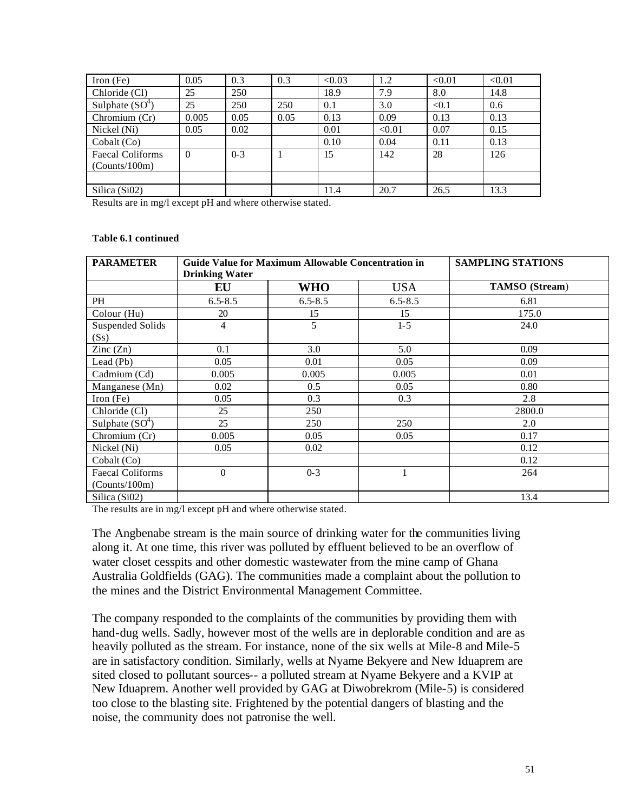| Iron (Fe)        | 0.05     | 0.3     | 0.3  | < 0.03 | 1.2    | < 0.01 | < 0.01 |
|------------------|----------|---------|------|--------|--------|--------|--------|
| Chloride (Cl)    | 25       | 250     |      | 18.9   | 7.9    | 8.0    | 14.8   |
| Sulphate $(SO4)$ | 25       | 250     | 250  | 0.1    | 3.0    | < 0.1  | 0.6    |
| Chromium (Cr)    | 0.005    | 0.05    | 0.05 | 0.13   | 0.09   | 0.13   | 0.13   |
| Nickel (Ni)      | 0.05     | 0.02    |      | 0.01   | < 0.01 | 0.07   | 0.15   |
| Cobalt (Co)      |          |         |      | 0.10   | 0.04   | 0.11   | 0.13   |
| Faecal Coliforms | $\Omega$ | $0 - 3$ |      | 15     | 142    | 28     | 126    |
| (Counts/100m)    |          |         |      |        |        |        |        |
|                  |          |         |      |        |        |        |        |
| Silica (Si02)    |          |         |      | 11.4   | 20.7   | 26.5   | 13.3   |

Results are in mg/l except pH and where otherwise stated.

#### **Table 6.1 continued**

| <b>PARAMETER</b>                         | <b>Drinking Water</b> | Guide Value for Maximum Allowable Concentration in | <b>SAMPLING STATIONS</b> |                       |
|------------------------------------------|-----------------------|----------------------------------------------------|--------------------------|-----------------------|
|                                          | EU                    | <b>WHO</b>                                         | <b>USA</b>               | <b>TAMSO</b> (Stream) |
| PH                                       | $6.5 - 8.5$           | $6.5 - 8.5$                                        | $6.5 - 8.5$              | 6.81                  |
| Colour (Hu)                              | 20                    | 15                                                 | 15                       | 175.0                 |
| <b>Suspended Solids</b><br>(Ss)          | $\overline{4}$        | 5                                                  | $1 - 5$                  | 24.0                  |
| $\text{Zinc}(\text{Zn})$                 | 0.1                   | 3.0                                                | 5.0                      | 0.09                  |
| Lead (Pb)                                | 0.05                  | 0.01                                               | 0.05                     | 0.09                  |
| Cadmium (Cd)                             | 0.005                 | 0.005                                              | 0.005                    | 0.01                  |
| Manganese (Mn)                           | 0.02                  | 0.5                                                | 0.05                     | 0.80                  |
| Iron $(Fe)$                              | 0.05                  | 0.3                                                | 0.3                      | 2.8                   |
| Chloride (Cl)                            | 25                    | 250                                                |                          | 2800.0                |
| Sulphate $(SO4)$                         | 25                    | 250                                                | 250                      | 2.0                   |
| Chromium (Cr)                            | 0.005                 | 0.05                                               | 0.05                     | 0.17                  |
| Nickel (Ni)                              | 0.05                  | 0.02                                               |                          | 0.12                  |
| Cobalt (Co)                              |                       |                                                    |                          | 0.12                  |
| <b>Faecal Coliforms</b><br>(Counts/100m) | $\mathbf{0}$          | $0 - 3$                                            |                          | 264                   |
| Silica (Si02)                            |                       |                                                    |                          | 13.4                  |

The results are in mg/l except pH and where otherwise stated.

The Angbenabe stream is the main source of drinking water for the communities living along it. At one time, this river was polluted by effluent believed to be an overflow of water closet cesspits and other domestic wastewater from the mine camp of Ghana Australia Goldfields (GAG). The communities made a complaint about the pollution to the mines and the District Environmental Management Committee.

The company responded to the complaints of the communities by providing them with hand-dug wells. Sadly, however most of the wells are in deplorable condition and are as heavily polluted as the stream. For instance, none of the six wells at Mile-8 and Mile-5 are in satisfactory condition. Similarly, wells at Nyame Bekyere and New Iduaprem are sited closed to pollutant sources-- a polluted stream at Nyame Bekyere and a KVIP at New Iduaprem. Another well provided by GAG at Diwobrekrom (Mile-5) is considered too close to the blasting site. Frightened by the potential dangers of blasting and the noise, the community does not patronise the well.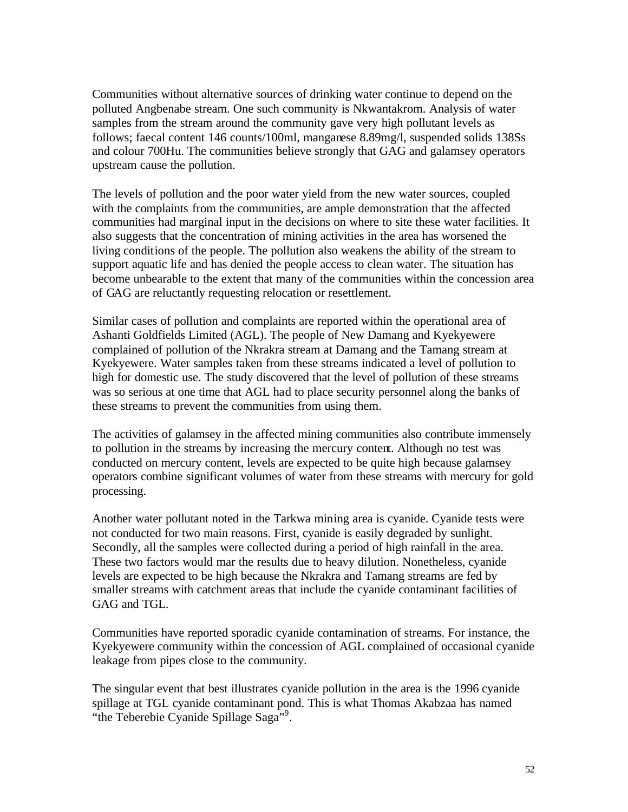Communities without alternative sources of drinking water continue to depend on the polluted Angbenabe stream. One such community is Nkwantakrom. Analysis of water samples from the stream around the community gave very high pollutant levels as follows; faecal content 146 counts/100ml, manganese 8.89mg/l, suspended solids 138Ss and colour 700Hu. The communities believe strongly that GAG and galamsey operators upstream cause the pollution.

The levels of pollution and the poor water yield from the new water sources, coupled with the complaints from the communities, are ample demonstration that the affected communities had marginal input in the decisions on where to site these water facilities. It also suggests that the concentration of mining activities in the area has worsened the living conditions of the people. The pollution also weakens the ability of the stream to support aquatic life and has denied the people access to clean water. The situation has become unbearable to the extent that many of the communities within the concession area of GAG are reluctantly requesting relocation or resettlement.

Similar cases of pollution and complaints are reported within the operational area of Ashanti Goldfields Limited (AGL). The people of New Damang and Kyekyewere complained of pollution of the Nkrakra stream at Damang and the Tamang stream at Kyekyewere. Water samples taken from these streams indicated a level of pollution to high for domestic use. The study discovered that the level of pollution of these streams was so serious at one time that AGL had to place security personnel along the banks of these streams to prevent the communities from using them.

The activities of galamsey in the affected mining communities also contribute immensely to pollution in the streams by increasing the mercury content. Although no test was conducted on mercury content, levels are expected to be quite high because galamsey operators combine significant volumes of water from these streams with mercury for gold processing.

Another water pollutant noted in the Tarkwa mining area is cyanide. Cyanide tests were not conducted for two main reasons. First, cyanide is easily degraded by sunlight. Secondly, all the samples were collected during a period of high rainfall in the area. These two factors would mar the results due to heavy dilution. Nonetheless, cyanide levels are expected to be high because the Nkrakra and Tamang streams are fed by smaller streams with catchment areas that include the cyanide contaminant facilities of GAG and TGL.

Communities have reported sporadic cyanide contamination of streams. For instance, the Kyekyewere community within the concession of AGL complained of occasional cyanide leakage from pipes close to the community.

The singular event that best illustrates cyanide pollution in the area is the 1996 cyanide spillage at TGL cyanide contaminant pond. This is what Thomas Akabzaa has named "the Teberebie Cyanide Spillage Saga"<sup>9</sup>.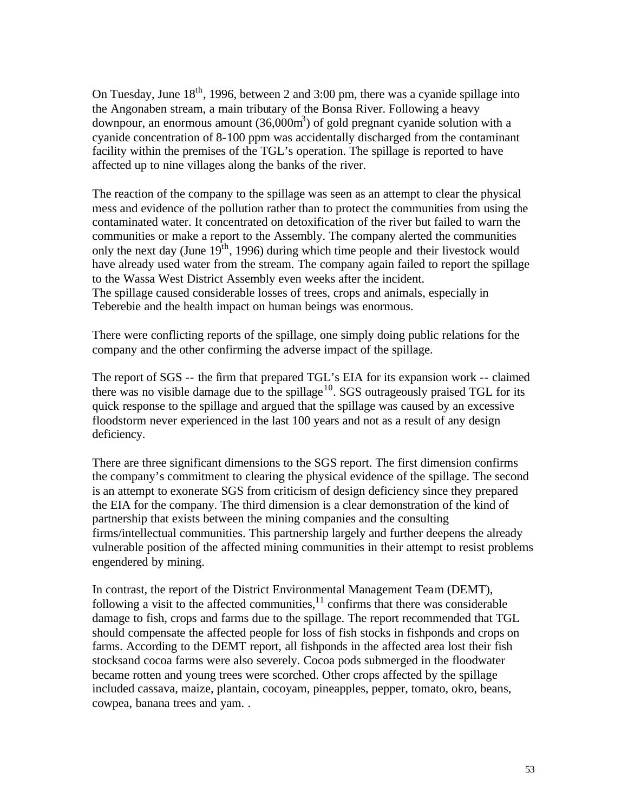On Tuesday, June  $18<sup>th</sup>$ , 1996, between 2 and 3:00 pm, there was a cyanide spillage into the Angonaben stream, a main tributary of the Bonsa River. Following a heavy downpour, an enormous amount  $(36,000m^3)$  of gold pregnant cyanide solution with a cyanide concentration of 8-100 ppm was accidentally discharged from the contaminant facility within the premises of the TGL's operation. The spillage is reported to have affected up to nine villages along the banks of the river.

The reaction of the company to the spillage was seen as an attempt to clear the physical mess and evidence of the pollution rather than to protect the communities from using the contaminated water. It concentrated on detoxification of the river but failed to warn the communities or make a report to the Assembly. The company alerted the communities only the next day (June  $19<sup>th</sup>$ , 1996) during which time people and their livestock would have already used water from the stream. The company again failed to report the spillage to the Wassa West District Assembly even weeks after the incident. The spillage caused considerable losses of trees, crops and animals, especially in Teberebie and the health impact on human beings was enormous.

There were conflicting reports of the spillage, one simply doing public relations for the company and the other confirming the adverse impact of the spillage.

The report of SGS -- the firm that prepared TGL's EIA for its expansion work -- claimed there was no visible damage due to the spillage<sup>10</sup>. SGS outrageously praised TGL for its quick response to the spillage and argued that the spillage was caused by an excessive floodstorm never experienced in the last 100 years and not as a result of any design deficiency.

There are three significant dimensions to the SGS report. The first dimension confirms the company's commitment to clearing the physical evidence of the spillage. The second is an attempt to exonerate SGS from criticism of design deficiency since they prepared the EIA for the company. The third dimension is a clear demonstration of the kind of partnership that exists between the mining companies and the consulting firms/intellectual communities. This partnership largely and further deepens the already vulnerable position of the affected mining communities in their attempt to resist problems engendered by mining.

In contrast, the report of the District Environmental Management Team (DEMT), following a visit to the affected communities, $\frac{11}{11}$  confirms that there was considerable damage to fish, crops and farms due to the spillage. The report recommended that TGL should compensate the affected people for loss of fish stocks in fishponds and crops on farms. According to the DEMT report, all fishponds in the affected area lost their fish stocksand cocoa farms were also severely. Cocoa pods submerged in the floodwater became rotten and young trees were scorched. Other crops affected by the spillage included cassava, maize, plantain, cocoyam, pineapples, pepper, tomato, okro, beans, cowpea, banana trees and yam. .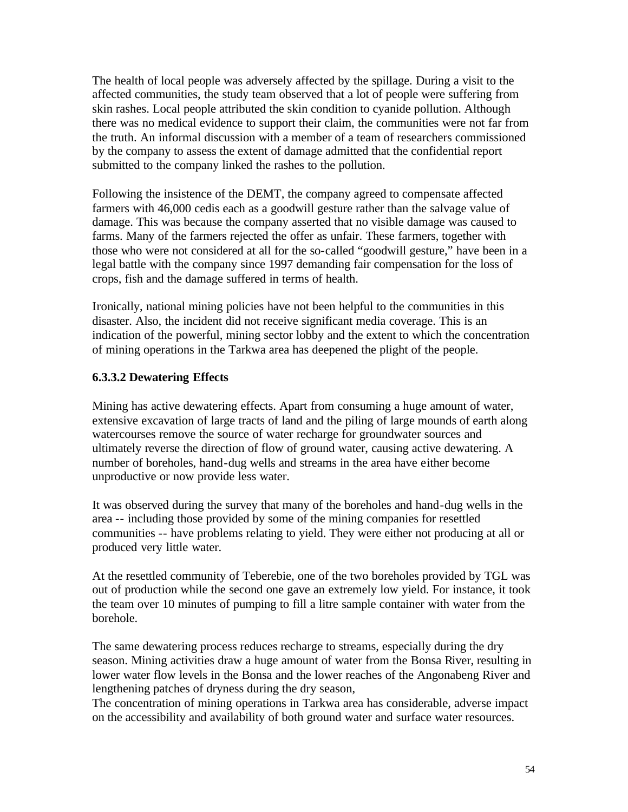The health of local people was adversely affected by the spillage. During a visit to the affected communities, the study team observed that a lot of people were suffering from skin rashes. Local people attributed the skin condition to cyanide pollution. Although there was no medical evidence to support their claim, the communities were not far from the truth. An informal discussion with a member of a team of researchers commissioned by the company to assess the extent of damage admitted that the confidential report submitted to the company linked the rashes to the pollution.

Following the insistence of the DEMT, the company agreed to compensate affected farmers with 46,000 cedis each as a goodwill gesture rather than the salvage value of damage. This was because the company asserted that no visible damage was caused to farms. Many of the farmers rejected the offer as unfair. These farmers, together with those who were not considered at all for the so-called "goodwill gesture," have been in a legal battle with the company since 1997 demanding fair compensation for the loss of crops, fish and the damage suffered in terms of health.

Ironically, national mining policies have not been helpful to the communities in this disaster. Also, the incident did not receive significant media coverage. This is an indication of the powerful, mining sector lobby and the extent to which the concentration of mining operations in the Tarkwa area has deepened the plight of the people.

### **6.3.3.2 Dewatering Effects**

Mining has active dewatering effects. Apart from consuming a huge amount of water, extensive excavation of large tracts of land and the piling of large mounds of earth along watercourses remove the source of water recharge for groundwater sources and ultimately reverse the direction of flow of ground water, causing active dewatering. A number of boreholes, hand-dug wells and streams in the area have either become unproductive or now provide less water.

It was observed during the survey that many of the boreholes and hand-dug wells in the area -- including those provided by some of the mining companies for resettled communities -- have problems relating to yield. They were either not producing at all or produced very little water.

At the resettled community of Teberebie, one of the two boreholes provided by TGL was out of production while the second one gave an extremely low yield. For instance, it took the team over 10 minutes of pumping to fill a litre sample container with water from the borehole.

The same dewatering process reduces recharge to streams, especially during the dry season. Mining activities draw a huge amount of water from the Bonsa River, resulting in lower water flow levels in the Bonsa and the lower reaches of the Angonabeng River and lengthening patches of dryness during the dry season,

The concentration of mining operations in Tarkwa area has considerable, adverse impact on the accessibility and availability of both ground water and surface water resources.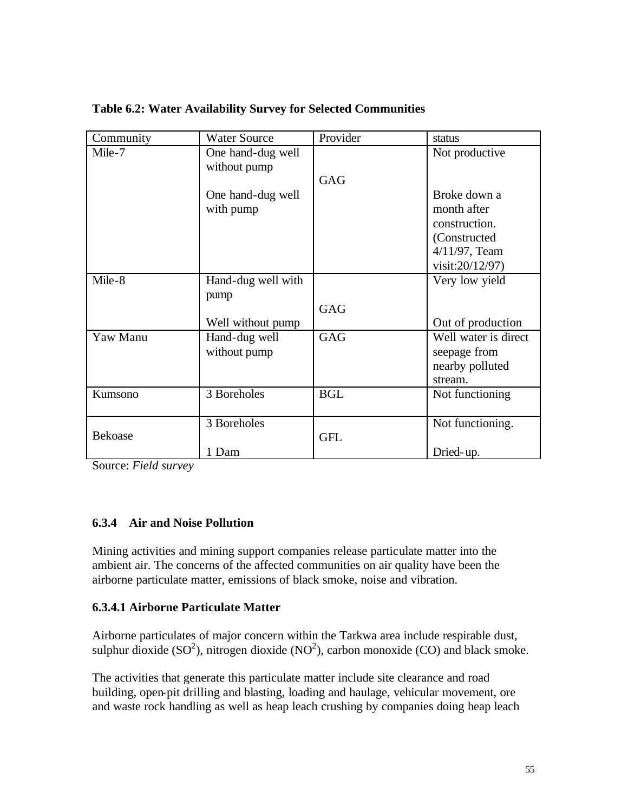| Community      | <b>Water Source</b> | Provider   | status               |
|----------------|---------------------|------------|----------------------|
| Mile-7         | One hand-dug well   |            | Not productive       |
|                | without pump        |            |                      |
|                |                     | <b>GAG</b> |                      |
|                | One hand-dug well   |            | Broke down a         |
|                | with pump           |            | month after          |
|                |                     |            | construction.        |
|                |                     |            | (Constructed)        |
|                |                     |            | $4/11/97$ , Team     |
|                |                     |            | visit:20/12/97)      |
| Mile-8         | Hand-dug well with  |            | Very low yield       |
|                | pump                |            |                      |
|                |                     | GAG        |                      |
|                | Well without pump   |            | Out of production    |
| Yaw Manu       | Hand-dug well       | <b>GAG</b> | Well water is direct |
|                | without pump        |            | seepage from         |
|                |                     |            | nearby polluted      |
|                |                     |            | stream.              |
| Kumsono        | 3 Boreholes         | <b>BGL</b> | Not functioning      |
|                |                     |            |                      |
|                | 3 Boreholes         |            | Not functioning.     |
| <b>Bekoase</b> |                     | <b>GFL</b> |                      |
|                | 1 Dam               |            | Dried-up.            |

**Table 6.2: Water Availability Survey for Selected Communities**

Source: *Field survey*

### **6.3.4 Air and Noise Pollution**

Mining activities and mining support companies release particulate matter into the ambient air. The concerns of the affected communities on air quality have been the airborne particulate matter, emissions of black smoke, noise and vibration.

#### **6.3.4.1 Airborne Particulate Matter**

Airborne particulates of major concern within the Tarkwa area include respirable dust, sulphur dioxide (SO<sup>2</sup>), nitrogen dioxide (NO<sup>2</sup>), carbon monoxide (CO) and black smoke.

The activities that generate this particulate matter include site clearance and road building, open-pit drilling and blasting, loading and haulage, vehicular movement, ore and waste rock handling as well as heap leach crushing by companies doing heap leach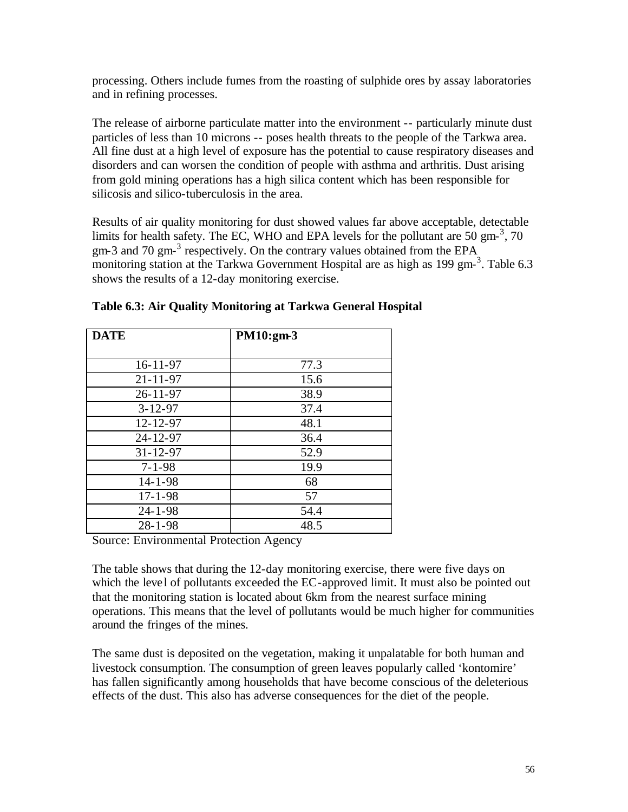processing. Others include fumes from the roasting of sulphide ores by assay laboratories and in refining processes.

The release of airborne particulate matter into the environment -- particularly minute dust particles of less than 10 microns -- poses health threats to the people of the Tarkwa area. All fine dust at a high level of exposure has the potential to cause respiratory diseases and disorders and can worsen the condition of people with asthma and arthritis. Dust arising from gold mining operations has a high silica content which has been responsible for silicosis and silico-tuberculosis in the area.

Results of air quality monitoring for dust showed values far above acceptable, detectable limits for health safety. The EC, WHO and EPA levels for the pollutant are 50 gm- $^3$ , 70 gm-3 and 70 gm- $3$  respectively. On the contrary values obtained from the EPA monitoring station at the Tarkwa Government Hospital are as high as 199 gm-<sup>3</sup>. Table 6.3 shows the results of a 12-day monitoring exercise.

| <b>DATE</b>    | PM10:gm-3 |
|----------------|-----------|
| $16 - 11 - 97$ | 77.3      |
| $21 - 11 - 97$ | 15.6      |
| $26 - 11 - 97$ | 38.9      |
| $3 - 12 - 97$  | 37.4      |
| $12 - 12 - 97$ | 48.1      |
| 24-12-97       | 36.4      |
| $31 - 12 - 97$ | 52.9      |
| $7 - 1 - 98$   | 19.9      |
| $14 - 1 - 98$  | 68        |
| $17 - 1 - 98$  | 57        |
| $24 - 1 - 98$  | 54.4      |
| $28 - 1 - 98$  | 48.5      |

**Table 6.3: Air Quality Monitoring at Tarkwa General Hospital**

Source: Environmental Protection Agency

The table shows that during the 12-day monitoring exercise, there were five days on which the level of pollutants exceeded the EC-approved limit. It must also be pointed out that the monitoring station is located about 6km from the nearest surface mining operations. This means that the level of pollutants would be much higher for communities around the fringes of the mines.

The same dust is deposited on the vegetation, making it unpalatable for both human and livestock consumption. The consumption of green leaves popularly called 'kontomire' has fallen significantly among households that have become conscious of the deleterious effects of the dust. This also has adverse consequences for the diet of the people.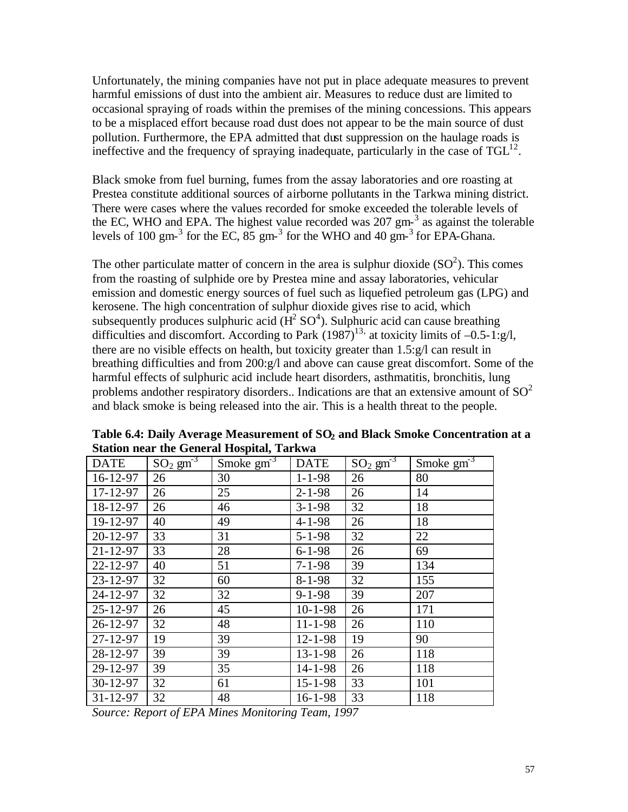Unfortunately, the mining companies have not put in place adequate measures to prevent harmful emissions of dust into the ambient air. Measures to reduce dust are limited to occasional spraying of roads within the premises of the mining concessions. This appears to be a misplaced effort because road dust does not appear to be the main source of dust pollution. Furthermore, the EPA admitted that dust suppression on the haulage roads is ineffective and the frequency of spraying inadequate, particularly in the case of  $TGL<sup>12</sup>$ .

Black smoke from fuel burning, fumes from the assay laboratories and ore roasting at Prestea constitute additional sources of airborne pollutants in the Tarkwa mining district. There were cases where the values recorded for smoke exceeded the tolerable levels of the EC, WHO and EPA. The highest value recorded was  $207 \text{ gm}^{-3}$  as against the tolerable levels of 100 gm- $^3$  for the EC,  $85$  gm- $^3$  for the WHO and 40 gm- $^3$  for EPA-Ghana.

The other particulate matter of concern in the area is sulphur dioxide  $(SO<sup>2</sup>)$ . This comes from the roasting of sulphide ore by Prestea mine and assay laboratories, vehicular emission and domestic energy sources of fuel such as liquefied petroleum gas (LPG) and kerosene. The high concentration of sulphur dioxide gives rise to acid, which subsequently produces sulphuric acid ( $H^2 SO^4$ ). Sulphuric acid can cause breathing difficulties and discomfort. According to Park  $(1987)^{13}$ , at toxicity limits of  $-0.5-1:g/l$ , there are no visible effects on health, but toxicity greater than 1.5:g/l can result in breathing difficulties and from 200:g/l and above can cause great discomfort. Some of the harmful effects of sulphuric acid include heart disorders, asthmatitis, bronchitis, lung problems andother respiratory disorders.. Indications are that an extensive amount of  $SO<sup>2</sup>$ and black smoke is being released into the air. This is a health threat to the people.

| <b>DATE</b>    | $SO_2$ $g m^3$ | Smoke $\overline{\text{gm}^3}$ | <b>DATE</b>   | $SO_2$ $gm^{-3}$ | Smoke $\overline{\text{gm}^3}$ |
|----------------|----------------|--------------------------------|---------------|------------------|--------------------------------|
| 16-12-97       | 26             | 30                             | $1 - 1 - 98$  | 26               | 80                             |
| 17-12-97       | 26             | 25                             | $2 - 1 - 98$  | 26               | 14                             |
| 18-12-97       | 26             | 46                             | $3 - 1 - 98$  | 32               | 18                             |
| 19-12-97       | 40             | 49                             | $4 - 1 - 98$  | 26               | 18                             |
| $20 - 12 - 97$ | 33             | 31                             | $5 - 1 - 98$  | 32               | 22                             |
| $21 - 12 - 97$ | 33             | 28                             | $6 - 1 - 98$  | 26               | 69                             |
| 22-12-97       | 40             | 51                             | $7 - 1 - 98$  | 39               | 134                            |
| 23-12-97       | 32             | 60                             | $8 - 1 - 98$  | 32               | 155                            |
| 24-12-97       | 32             | 32                             | $9 - 1 - 98$  | 39               | 207                            |
| $25 - 12 - 97$ | 26             | 45                             | $10 - 1 - 98$ | 26               | 171                            |
| 26-12-97       | 32             | 48                             | $11 - 1 - 98$ | 26               | 110                            |
| $27 - 12 - 97$ | 19             | 39                             | $12 - 1 - 98$ | 19               | 90                             |
| 28-12-97       | 39             | 39                             | $13 - 1 - 98$ | 26               | 118                            |
| 29-12-97       | 39             | 35                             | $14 - 1 - 98$ | 26               | 118                            |
| 30-12-97       | 32             | 61                             | $15 - 1 - 98$ | 33               | 101                            |
| $31 - 12 - 97$ | 32             | 48                             | $16 - 1 - 98$ | 33               | 118                            |

**Table 6.4: Daily Average Measurement of SO2 and Black Smoke Concentration at a Station near the General Hospital, Tarkwa**

*Source: Report of EPA Mines Monitoring Team, 1997*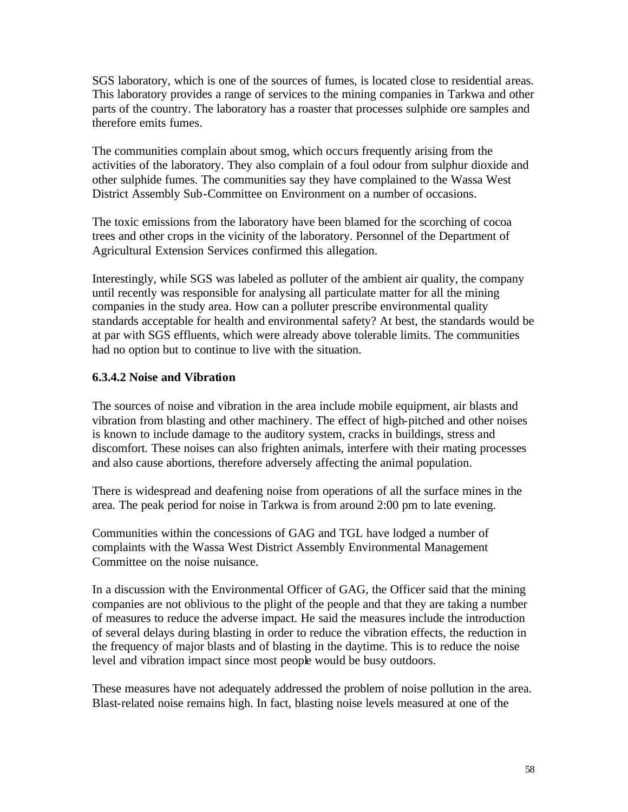SGS laboratory, which is one of the sources of fumes, is located close to residential areas. This laboratory provides a range of services to the mining companies in Tarkwa and other parts of the country. The laboratory has a roaster that processes sulphide ore samples and therefore emits fumes.

The communities complain about smog, which occurs frequently arising from the activities of the laboratory. They also complain of a foul odour from sulphur dioxide and other sulphide fumes. The communities say they have complained to the Wassa West District Assembly Sub-Committee on Environment on a number of occasions.

The toxic emissions from the laboratory have been blamed for the scorching of cocoa trees and other crops in the vicinity of the laboratory. Personnel of the Department of Agricultural Extension Services confirmed this allegation.

Interestingly, while SGS was labeled as polluter of the ambient air quality, the company until recently was responsible for analysing all particulate matter for all the mining companies in the study area. How can a polluter prescribe environmental quality standards acceptable for health and environmental safety? At best, the standards would be at par with SGS effluents, which were already above tolerable limits. The communities had no option but to continue to live with the situation.

### **6.3.4.2 Noise and Vibration**

The sources of noise and vibration in the area include mobile equipment, air blasts and vibration from blasting and other machinery. The effect of high-pitched and other noises is known to include damage to the auditory system, cracks in buildings, stress and discomfort. These noises can also frighten animals, interfere with their mating processes and also cause abortions, therefore adversely affecting the animal population.

There is widespread and deafening noise from operations of all the surface mines in the area. The peak period for noise in Tarkwa is from around 2:00 pm to late evening.

Communities within the concessions of GAG and TGL have lodged a number of complaints with the Wassa West District Assembly Environmental Management Committee on the noise nuisance.

In a discussion with the Environmental Officer of GAG, the Officer said that the mining companies are not oblivious to the plight of the people and that they are taking a number of measures to reduce the adverse impact. He said the measures include the introduction of several delays during blasting in order to reduce the vibration effects, the reduction in the frequency of major blasts and of blasting in the daytime. This is to reduce the noise level and vibration impact since most people would be busy outdoors.

These measures have not adequately addressed the problem of noise pollution in the area. Blast-related noise remains high. In fact, blasting noise levels measured at one of the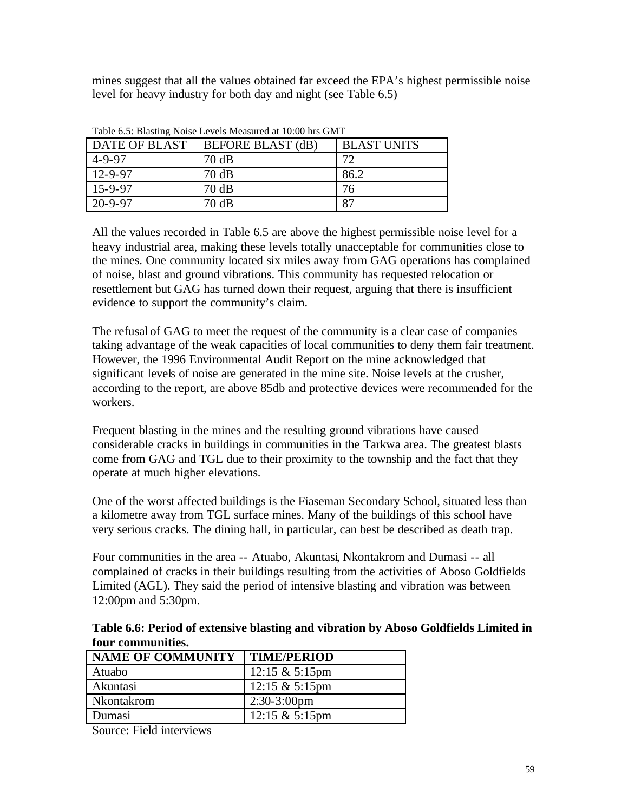mines suggest that all the values obtained far exceed the EPA's highest permissible noise level for heavy industry for both day and night (see Table 6.5)

| Table 0.5. Blasting indise Levels inteasured at 10.00 lifts On I |                          |                    |  |
|------------------------------------------------------------------|--------------------------|--------------------|--|
| <b>DATE OF BLAST</b>                                             | <b>BEFORE BLAST (dB)</b> | <b>BLAST UNITS</b> |  |
| $4 - 9 - 97$                                                     | 70 dB                    | 72                 |  |
| 12-9-97                                                          | 70dB                     | 86.2               |  |
| $15 - 9 - 97$                                                    | 70dB                     | 76                 |  |
| $20 - 9 - 97$                                                    | 70dB                     | 87                 |  |

Table 6.5: Blasting Noise Levels Measured at 10:00 hrs GMT

All the values recorded in Table 6.5 are above the highest permissible noise level for a heavy industrial area, making these levels totally unacceptable for communities close to the mines. One community located six miles away from GAG operations has complained of noise, blast and ground vibrations. This community has requested relocation or resettlement but GAG has turned down their request, arguing that there is insufficient evidence to support the community's claim.

The refusal of GAG to meet the request of the community is a clear case of companies taking advantage of the weak capacities of local communities to deny them fair treatment. However, the 1996 Environmental Audit Report on the mine acknowledged that significant levels of noise are generated in the mine site. Noise levels at the crusher, according to the report, are above 85db and protective devices were recommended for the workers.

Frequent blasting in the mines and the resulting ground vibrations have caused considerable cracks in buildings in communities in the Tarkwa area. The greatest blasts come from GAG and TGL due to their proximity to the township and the fact that they operate at much higher elevations.

One of the worst affected buildings is the Fiaseman Secondary School, situated less than a kilometre away from TGL surface mines. Many of the buildings of this school have very serious cracks. The dining hall, in particular, can best be described as death trap.

Four communities in the area -- Atuabo, Akuntasi, Nkontakrom and Dumasi -- all complained of cracks in their buildings resulting from the activities of Aboso Goldfields Limited (AGL). They said the period of intensive blasting and vibration was between 12:00pm and 5:30pm.

**Table 6.6: Period of extensive blasting and vibration by Aboso Goldfields Limited in four communities.**

| <b>NAME OF COMMUNITY</b> | <b>TIME/PERIOD</b>        |
|--------------------------|---------------------------|
| Atuabo                   | 12:15 $& 5:15 \text{pm}$  |
| Akuntasi                 | $12:15 \& 5:15 \text{pm}$ |
| Nkontakrom               | $2:30-3:00$ pm            |
| Dumasi                   | $12:15 \& 5:15 \text{pm}$ |

Source: Field interviews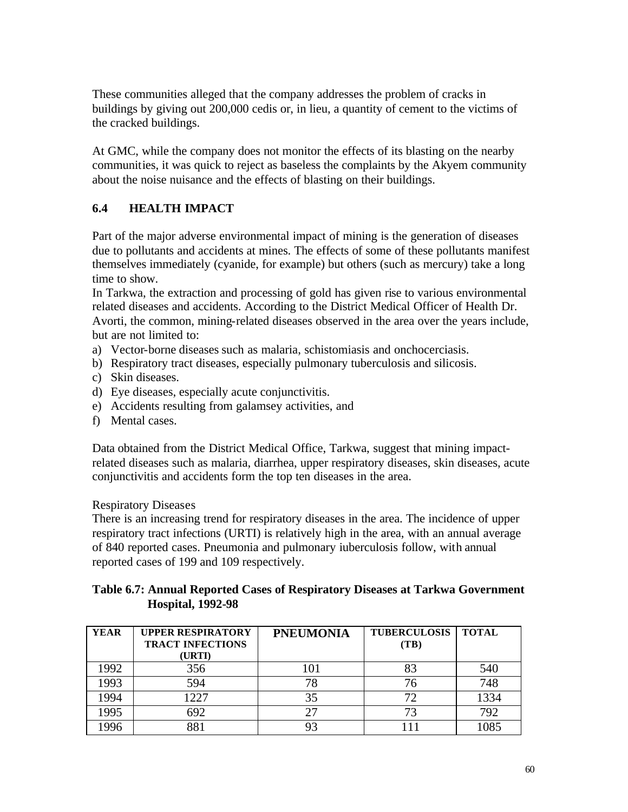These communities alleged that the company addresses the problem of cracks in buildings by giving out 200,000 cedis or, in lieu, a quantity of cement to the victims of the cracked buildings.

At GMC, while the company does not monitor the effects of its blasting on the nearby communities, it was quick to reject as baseless the complaints by the Akyem community about the noise nuisance and the effects of blasting on their buildings.

# **6.4 HEALTH IMPACT**

Part of the major adverse environmental impact of mining is the generation of diseases due to pollutants and accidents at mines. The effects of some of these pollutants manifest themselves immediately (cyanide, for example) but others (such as mercury) take a long time to show.

In Tarkwa, the extraction and processing of gold has given rise to various environmental related diseases and accidents. According to the District Medical Officer of Health Dr. Avorti, the common, mining-related diseases observed in the area over the years include, but are not limited to:

- a) Vector-borne diseases such as malaria, schistomiasis and onchocerciasis.
- b) Respiratory tract diseases, especially pulmonary tuberculosis and silicosis.
- c) Skin diseases.
- d) Eye diseases, especially acute conjunctivitis.
- e) Accidents resulting from galamsey activities, and
- f) Mental cases.

Data obtained from the District Medical Office, Tarkwa, suggest that mining impactrelated diseases such as malaria, diarrhea, upper respiratory diseases, skin diseases, acute conjunctivitis and accidents form the top ten diseases in the area.

#### Respiratory Diseases

There is an increasing trend for respiratory diseases in the area. The incidence of upper respiratory tract infections (URTI) is relatively high in the area, with an annual average of 840 reported cases. Pneumonia and pulmonary iuberculosis follow, with annual reported cases of 199 and 109 respectively.

#### **Table 6.7: Annual Reported Cases of Respiratory Diseases at Tarkwa Government Hospital, 1992-98**

| <b>YEAR</b> | <b>UPPER RESPIRATORY</b><br><b>TRACT INFECTIONS</b><br>(URTI) | <b>PNEUMONIA</b> | <b>TUBERCULOSIS</b><br>(TB) | <b>TOTAL</b> |
|-------------|---------------------------------------------------------------|------------------|-----------------------------|--------------|
| 1992        | 356                                                           | 101              | 83                          | 540          |
| 1993        | 594                                                           | 78               | 76                          | 748          |
| 1994        | 1227                                                          | 35               |                             | 1334         |
| 1995        | 692                                                           | 27               | 73                          | 792          |
| 1996        |                                                               | 93               |                             | 085          |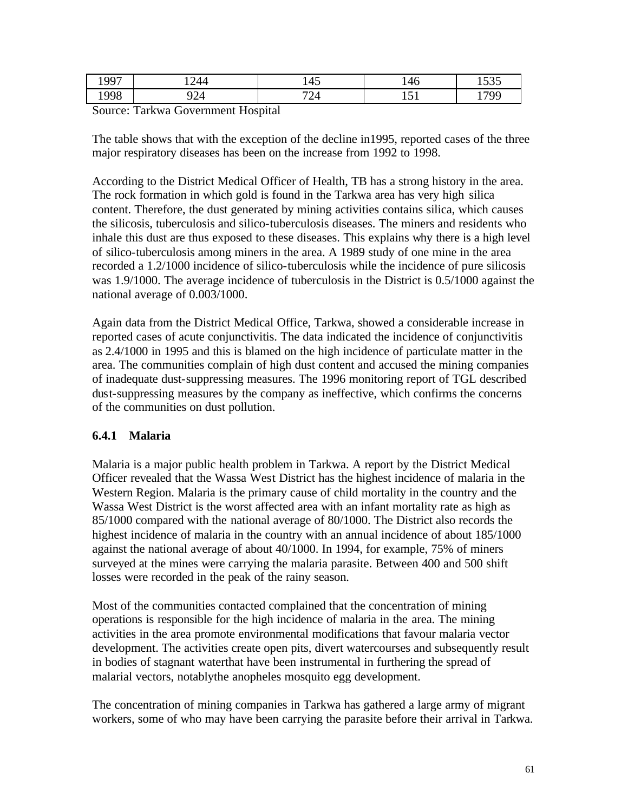| 1997 | 244    | $\overline{a}$<br>14J | $\sqrt{1}$<br>140 | $\epsilon \cap \epsilon$<br>1999 |
|------|--------|-----------------------|-------------------|----------------------------------|
| 1998 | $\sim$ | 701                   | $-1$              | 70C                              |
|      | '24    | ∠⊤                    | 1 J T             | 11/                              |

Source: Tarkwa Government Hospital

The table shows that with the exception of the decline in1995, reported cases of the three major respiratory diseases has been on the increase from 1992 to 1998.

According to the District Medical Officer of Health, TB has a strong history in the area. The rock formation in which gold is found in the Tarkwa area has very high silica content. Therefore, the dust generated by mining activities contains silica, which causes the silicosis, tuberculosis and silico-tuberculosis diseases. The miners and residents who inhale this dust are thus exposed to these diseases. This explains why there is a high level of silico-tuberculosis among miners in the area. A 1989 study of one mine in the area recorded a 1.2/1000 incidence of silico-tuberculosis while the incidence of pure silicosis was 1.9/1000. The average incidence of tuberculosis in the District is 0.5/1000 against the national average of 0.003/1000.

Again data from the District Medical Office, Tarkwa, showed a considerable increase in reported cases of acute conjunctivitis. The data indicated the incidence of conjunctivitis as 2.4/1000 in 1995 and this is blamed on the high incidence of particulate matter in the area. The communities complain of high dust content and accused the mining companies of inadequate dust-suppressing measures. The 1996 monitoring report of TGL described dust-suppressing measures by the company as ineffective, which confirms the concerns of the communities on dust pollution.

### **6.4.1 Malaria**

Malaria is a major public health problem in Tarkwa. A report by the District Medical Officer revealed that the Wassa West District has the highest incidence of malaria in the Western Region. Malaria is the primary cause of child mortality in the country and the Wassa West District is the worst affected area with an infant mortality rate as high as 85/1000 compared with the national average of 80/1000. The District also records the highest incidence of malaria in the country with an annual incidence of about 185/1000 against the national average of about 40/1000. In 1994, for example, 75% of miners surveyed at the mines were carrying the malaria parasite. Between 400 and 500 shift losses were recorded in the peak of the rainy season.

Most of the communities contacted complained that the concentration of mining operations is responsible for the high incidence of malaria in the area. The mining activities in the area promote environmental modifications that favour malaria vector development. The activities create open pits, divert watercourses and subsequently result in bodies of stagnant waterthat have been instrumental in furthering the spread of malarial vectors, notablythe anopheles mosquito egg development.

The concentration of mining companies in Tarkwa has gathered a large army of migrant workers, some of who may have been carrying the parasite before their arrival in Tarkwa.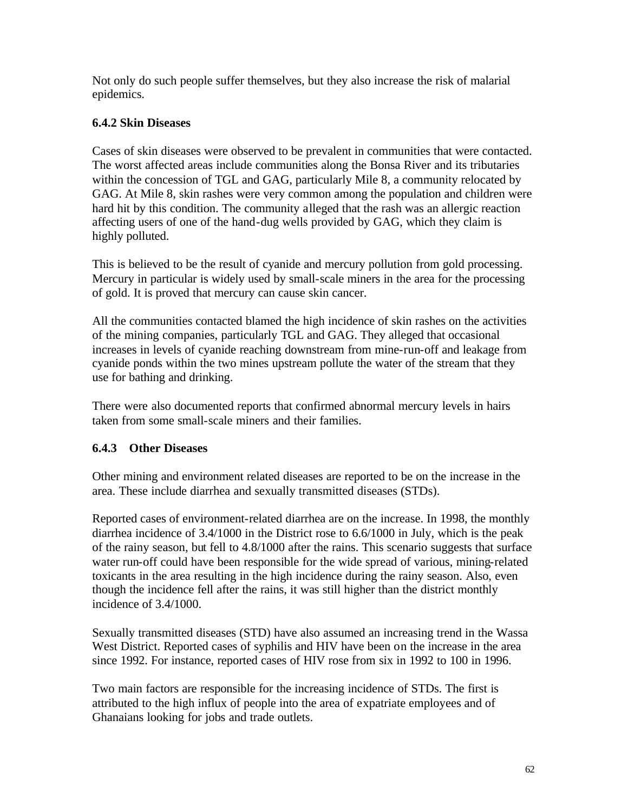Not only do such people suffer themselves, but they also increase the risk of malarial epidemics.

## **6.4.2 Skin Diseases**

Cases of skin diseases were observed to be prevalent in communities that were contacted. The worst affected areas include communities along the Bonsa River and its tributaries within the concession of TGL and GAG, particularly Mile 8, a community relocated by GAG. At Mile 8, skin rashes were very common among the population and children were hard hit by this condition. The community alleged that the rash was an allergic reaction affecting users of one of the hand-dug wells provided by GAG, which they claim is highly polluted.

This is believed to be the result of cyanide and mercury pollution from gold processing. Mercury in particular is widely used by small-scale miners in the area for the processing of gold. It is proved that mercury can cause skin cancer.

All the communities contacted blamed the high incidence of skin rashes on the activities of the mining companies, particularly TGL and GAG. They alleged that occasional increases in levels of cyanide reaching downstream from mine-run-off and leakage from cyanide ponds within the two mines upstream pollute the water of the stream that they use for bathing and drinking.

There were also documented reports that confirmed abnormal mercury levels in hairs taken from some small-scale miners and their families.

# **6.4.3 Other Diseases**

Other mining and environment related diseases are reported to be on the increase in the area. These include diarrhea and sexually transmitted diseases (STDs).

Reported cases of environment-related diarrhea are on the increase. In 1998, the monthly diarrhea incidence of 3.4/1000 in the District rose to 6.6/1000 in July, which is the peak of the rainy season, but fell to 4.8/1000 after the rains. This scenario suggests that surface water run-off could have been responsible for the wide spread of various, mining-related toxicants in the area resulting in the high incidence during the rainy season. Also, even though the incidence fell after the rains, it was still higher than the district monthly incidence of 3.4/1000.

Sexually transmitted diseases (STD) have also assumed an increasing trend in the Wassa West District. Reported cases of syphilis and HIV have been on the increase in the area since 1992. For instance, reported cases of HIV rose from six in 1992 to 100 in 1996.

Two main factors are responsible for the increasing incidence of STDs. The first is attributed to the high influx of people into the area of expatriate employees and of Ghanaians looking for jobs and trade outlets.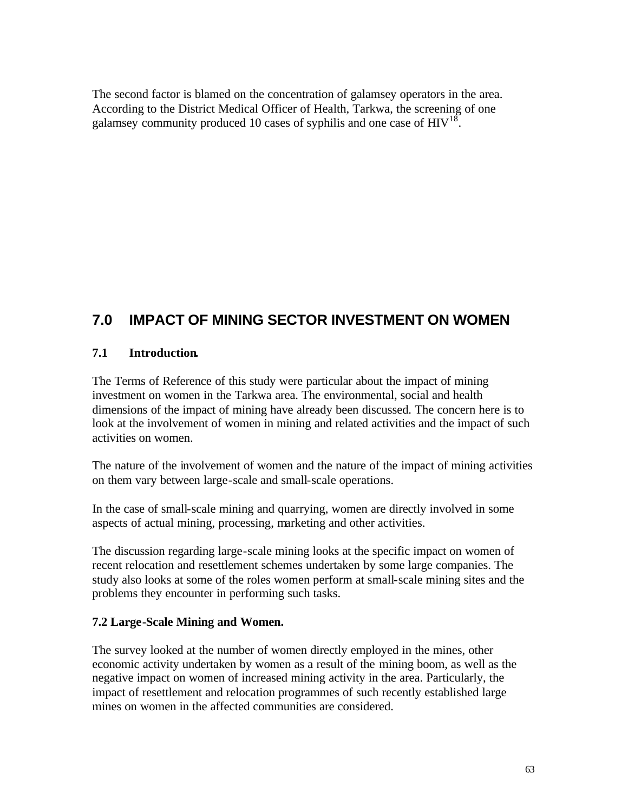The second factor is blamed on the concentration of galamsey operators in the area. According to the District Medical Officer of Health, Tarkwa, the screening of one galamsey community produced 10 cases of syphilis and one case of  $HIV^{18}$ .

# **7.0 IMPACT OF MINING SECTOR INVESTMENT ON WOMEN**

## **7.1 Introduction.**

The Terms of Reference of this study were particular about the impact of mining investment on women in the Tarkwa area. The environmental, social and health dimensions of the impact of mining have already been discussed. The concern here is to look at the involvement of women in mining and related activities and the impact of such activities on women.

The nature of the involvement of women and the nature of the impact of mining activities on them vary between large-scale and small-scale operations.

In the case of small-scale mining and quarrying, women are directly involved in some aspects of actual mining, processing, marketing and other activities.

The discussion regarding large-scale mining looks at the specific impact on women of recent relocation and resettlement schemes undertaken by some large companies. The study also looks at some of the roles women perform at small-scale mining sites and the problems they encounter in performing such tasks.

### **7.2 Large-Scale Mining and Women.**

The survey looked at the number of women directly employed in the mines, other economic activity undertaken by women as a result of the mining boom, as well as the negative impact on women of increased mining activity in the area. Particularly, the impact of resettlement and relocation programmes of such recently established large mines on women in the affected communities are considered.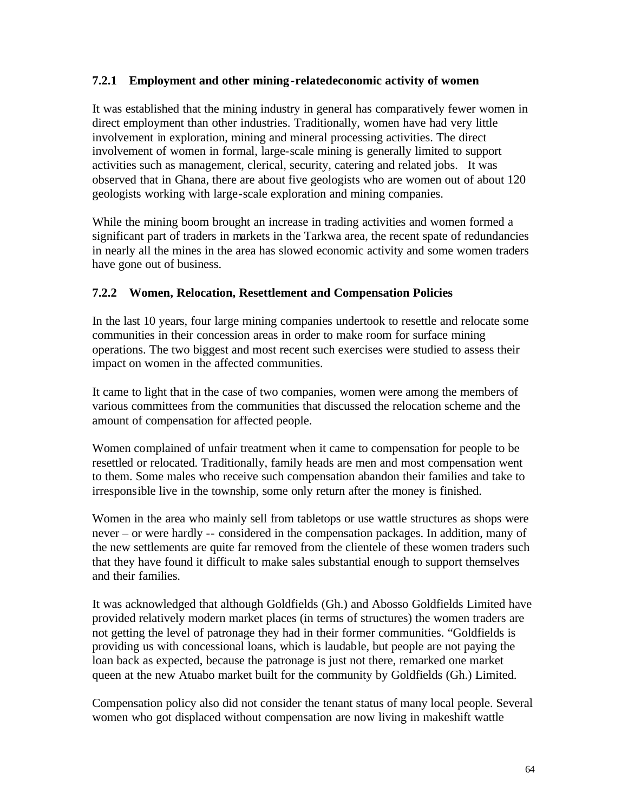#### **7.2.1 Employment and other mining-relatedeconomic activity of women**

It was established that the mining industry in general has comparatively fewer women in direct employment than other industries. Traditionally, women have had very little involvement in exploration, mining and mineral processing activities. The direct involvement of women in formal, large-scale mining is generally limited to support activities such as management, clerical, security, catering and related jobs. It was observed that in Ghana, there are about five geologists who are women out of about 120 geologists working with large-scale exploration and mining companies.

While the mining boom brought an increase in trading activities and women formed a significant part of traders in markets in the Tarkwa area, the recent spate of redundancies in nearly all the mines in the area has slowed economic activity and some women traders have gone out of business.

#### **7.2.2 Women, Relocation, Resettlement and Compensation Policies**

In the last 10 years, four large mining companies undertook to resettle and relocate some communities in their concession areas in order to make room for surface mining operations. The two biggest and most recent such exercises were studied to assess their impact on women in the affected communities.

It came to light that in the case of two companies, women were among the members of various committees from the communities that discussed the relocation scheme and the amount of compensation for affected people.

Women complained of unfair treatment when it came to compensation for people to be resettled or relocated. Traditionally, family heads are men and most compensation went to them. Some males who receive such compensation abandon their families and take to irresponsible live in the township, some only return after the money is finished.

Women in the area who mainly sell from tabletops or use wattle structures as shops were never – or were hardly -- considered in the compensation packages. In addition, many of the new settlements are quite far removed from the clientele of these women traders such that they have found it difficult to make sales substantial enough to support themselves and their families.

It was acknowledged that although Goldfields (Gh.) and Abosso Goldfields Limited have provided relatively modern market places (in terms of structures) the women traders are not getting the level of patronage they had in their former communities. "Goldfields is providing us with concessional loans, which is laudable, but people are not paying the loan back as expected, because the patronage is just not there, remarked one market queen at the new Atuabo market built for the community by Goldfields (Gh.) Limited.

Compensation policy also did not consider the tenant status of many local people. Several women who got displaced without compensation are now living in makeshift wattle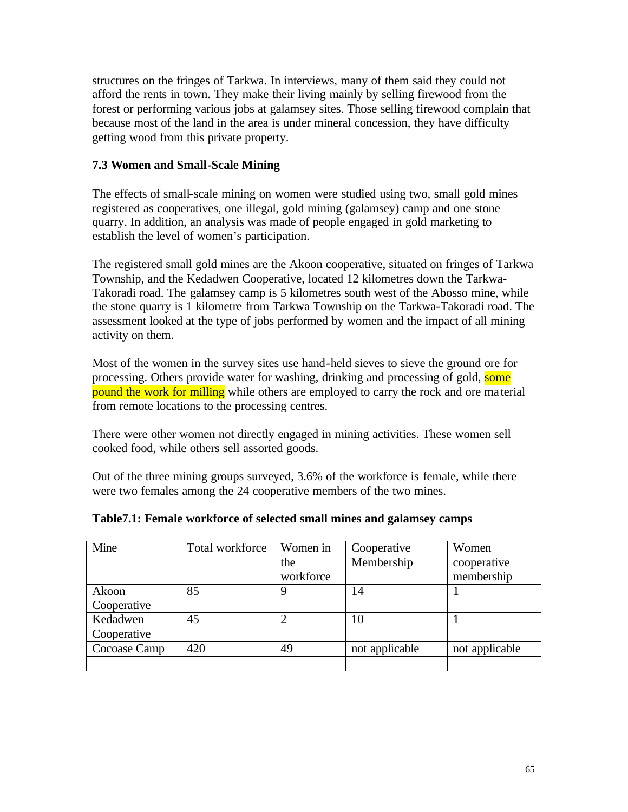structures on the fringes of Tarkwa. In interviews, many of them said they could not afford the rents in town. They make their living mainly by selling firewood from the forest or performing various jobs at galamsey sites. Those selling firewood complain that because most of the land in the area is under mineral concession, they have difficulty getting wood from this private property.

### **7.3 Women and Small-Scale Mining**

The effects of small-scale mining on women were studied using two, small gold mines registered as cooperatives, one illegal, gold mining (galamsey) camp and one stone quarry. In addition, an analysis was made of people engaged in gold marketing to establish the level of women's participation.

The registered small gold mines are the Akoon cooperative, situated on fringes of Tarkwa Township, and the Kedadwen Cooperative, located 12 kilometres down the Tarkwa-Takoradi road. The galamsey camp is 5 kilometres south west of the Abosso mine, while the stone quarry is 1 kilometre from Tarkwa Township on the Tarkwa-Takoradi road. The assessment looked at the type of jobs performed by women and the impact of all mining activity on them.

Most of the women in the survey sites use hand-held sieves to sieve the ground ore for processing. Others provide water for washing, drinking and processing of gold, some pound the work for milling while others are employed to carry the rock and ore material from remote locations to the processing centres.

There were other women not directly engaged in mining activities. These women sell cooked food, while others sell assorted goods.

Out of the three mining groups surveyed, 3.6% of the workforce is female, while there were two females among the 24 cooperative members of the two mines.

| Mine         | Total workforce | Women in  | Cooperative    | Women          |
|--------------|-----------------|-----------|----------------|----------------|
|              |                 | the       | Membership     | cooperative    |
|              |                 | workforce |                | membership     |
| Akoon        | 85              | 9         | 14             |                |
| Cooperative  |                 |           |                |                |
| Kedadwen     | 45              |           | 10             |                |
| Cooperative  |                 |           |                |                |
| Cocoase Camp | 420             | 49        | not applicable | not applicable |
|              |                 |           |                |                |

### **Table7.1: Female workforce of selected small mines and galamsey camps**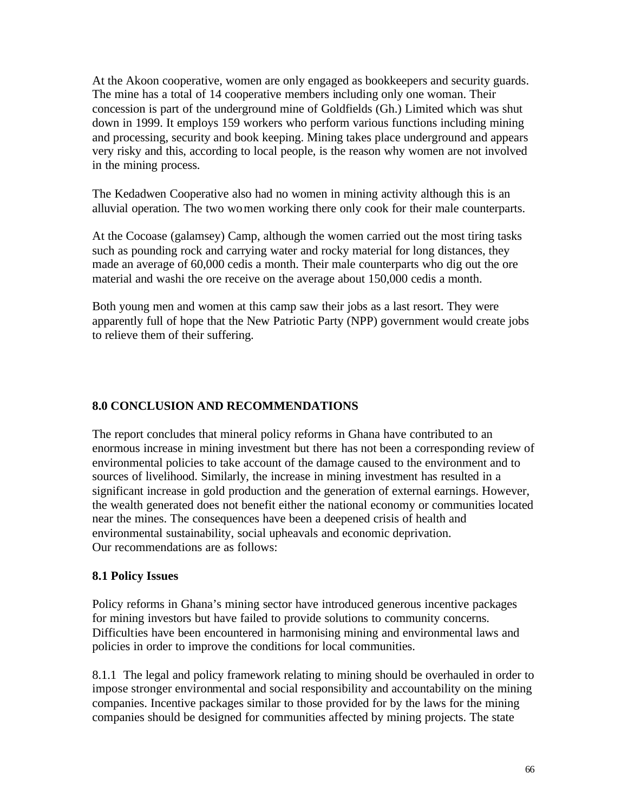At the Akoon cooperative, women are only engaged as bookkeepers and security guards. The mine has a total of 14 cooperative members including only one woman. Their concession is part of the underground mine of Goldfields (Gh.) Limited which was shut down in 1999. It employs 159 workers who perform various functions including mining and processing, security and book keeping. Mining takes place underground and appears very risky and this, according to local people, is the reason why women are not involved in the mining process.

The Kedadwen Cooperative also had no women in mining activity although this is an alluvial operation. The two women working there only cook for their male counterparts.

At the Cocoase (galamsey) Camp, although the women carried out the most tiring tasks such as pounding rock and carrying water and rocky material for long distances, they made an average of 60,000 cedis a month. Their male counterparts who dig out the ore material and washi the ore receive on the average about 150,000 cedis a month.

Both young men and women at this camp saw their jobs as a last resort. They were apparently full of hope that the New Patriotic Party (NPP) government would create jobs to relieve them of their suffering.

## **8.0 CONCLUSION AND RECOMMENDATIONS**

The report concludes that mineral policy reforms in Ghana have contributed to an enormous increase in mining investment but there has not been a corresponding review of environmental policies to take account of the damage caused to the environment and to sources of livelihood. Similarly, the increase in mining investment has resulted in a significant increase in gold production and the generation of external earnings. However, the wealth generated does not benefit either the national economy or communities located near the mines. The consequences have been a deepened crisis of health and environmental sustainability, social upheavals and economic deprivation. Our recommendations are as follows:

### **8.1 Policy Issues**

Policy reforms in Ghana's mining sector have introduced generous incentive packages for mining investors but have failed to provide solutions to community concerns. Difficulties have been encountered in harmonising mining and environmental laws and policies in order to improve the conditions for local communities.

8.1.1 The legal and policy framework relating to mining should be overhauled in order to impose stronger environmental and social responsibility and accountability on the mining companies. Incentive packages similar to those provided for by the laws for the mining companies should be designed for communities affected by mining projects. The state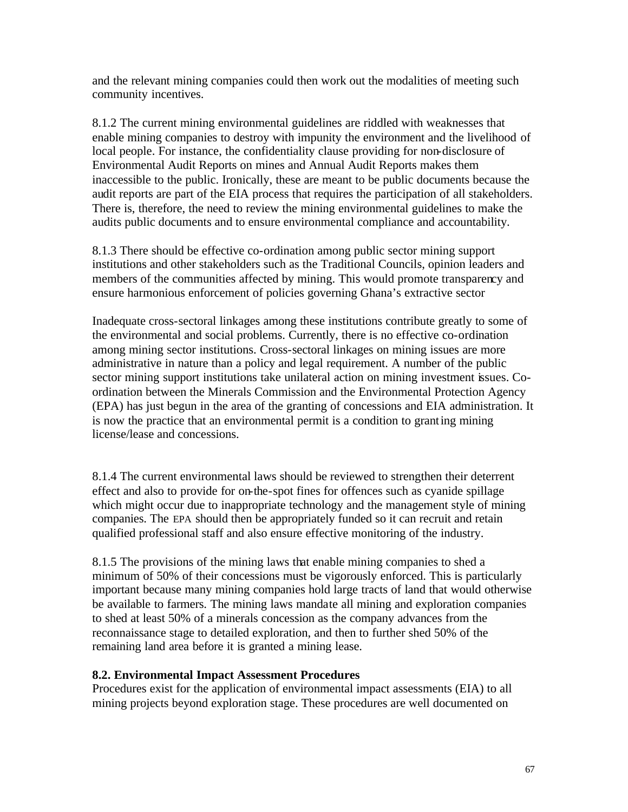and the relevant mining companies could then work out the modalities of meeting such community incentives.

8.1.2 The current mining environmental guidelines are riddled with weaknesses that enable mining companies to destroy with impunity the environment and the livelihood of local people. For instance, the confidentiality clause providing for non-disclosure of Environmental Audit Reports on mines and Annual Audit Reports makes them inaccessible to the public. Ironically, these are meant to be public documents because the audit reports are part of the EIA process that requires the participation of all stakeholders. There is, therefore, the need to review the mining environmental guidelines to make the audits public documents and to ensure environmental compliance and accountability.

8.1.3 There should be effective co-ordination among public sector mining support institutions and other stakeholders such as the Traditional Councils, opinion leaders and members of the communities affected by mining. This would promote transparency and ensure harmonious enforcement of policies governing Ghana's extractive sector

Inadequate cross-sectoral linkages among these institutions contribute greatly to some of the environmental and social problems. Currently, there is no effective co-ordination among mining sector institutions. Cross-sectoral linkages on mining issues are more administrative in nature than a policy and legal requirement. A number of the public sector mining support institutions take unilateral action on mining investment issues. Coordination between the Minerals Commission and the Environmental Protection Agency (EPA) has just begun in the area of the granting of concessions and EIA administration. It is now the practice that an environmental permit is a condition to granting mining license/lease and concessions.

8.1.4 The current environmental laws should be reviewed to strengthen their deterrent effect and also to provide for on-the-spot fines for offences such as cyanide spillage which might occur due to inappropriate technology and the management style of mining companies. The EPA should then be appropriately funded so it can recruit and retain qualified professional staff and also ensure effective monitoring of the industry.

8.1.5 The provisions of the mining laws that enable mining companies to shed a minimum of 50% of their concessions must be vigorously enforced. This is particularly important because many mining companies hold large tracts of land that would otherwise be available to farmers. The mining laws mandate all mining and exploration companies to shed at least 50% of a minerals concession as the company advances from the reconnaissance stage to detailed exploration, and then to further shed 50% of the remaining land area before it is granted a mining lease.

#### **8.2. Environmental Impact Assessment Procedures**

Procedures exist for the application of environmental impact assessments (EIA) to all mining projects beyond exploration stage. These procedures are well documented on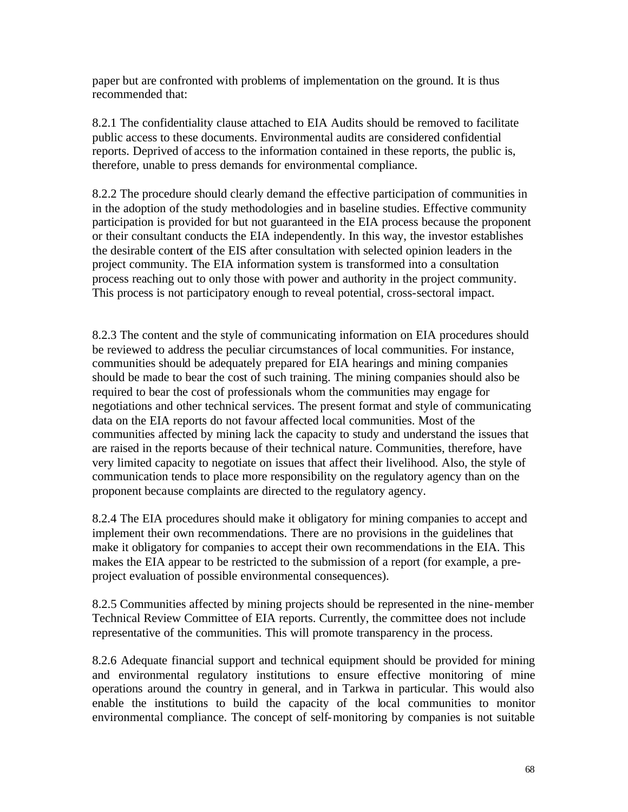paper but are confronted with problems of implementation on the ground. It is thus recommended that:

8.2.1 The confidentiality clause attached to EIA Audits should be removed to facilitate public access to these documents. Environmental audits are considered confidential reports. Deprived of access to the information contained in these reports, the public is, therefore, unable to press demands for environmental compliance.

8.2.2 The procedure should clearly demand the effective participation of communities in in the adoption of the study methodologies and in baseline studies. Effective community participation is provided for but not guaranteed in the EIA process because the proponent or their consultant conducts the EIA independently. In this way, the investor establishes the desirable content of the EIS after consultation with selected opinion leaders in the project community. The EIA information system is transformed into a consultation process reaching out to only those with power and authority in the project community. This process is not participatory enough to reveal potential, cross-sectoral impact.

8.2.3 The content and the style of communicating information on EIA procedures should be reviewed to address the peculiar circumstances of local communities. For instance, communities should be adequately prepared for EIA hearings and mining companies should be made to bear the cost of such training. The mining companies should also be required to bear the cost of professionals whom the communities may engage for negotiations and other technical services. The present format and style of communicating data on the EIA reports do not favour affected local communities. Most of the communities affected by mining lack the capacity to study and understand the issues that are raised in the reports because of their technical nature. Communities, therefore, have very limited capacity to negotiate on issues that affect their livelihood. Also, the style of communication tends to place more responsibility on the regulatory agency than on the proponent because complaints are directed to the regulatory agency.

8.2.4 The EIA procedures should make it obligatory for mining companies to accept and implement their own recommendations. There are no provisions in the guidelines that make it obligatory for companies to accept their own recommendations in the EIA. This makes the EIA appear to be restricted to the submission of a report (for example, a preproject evaluation of possible environmental consequences).

8.2.5 Communities affected by mining projects should be represented in the nine-member Technical Review Committee of EIA reports. Currently, the committee does not include representative of the communities. This will promote transparency in the process.

8.2.6 Adequate financial support and technical equipment should be provided for mining and environmental regulatory institutions to ensure effective monitoring of mine operations around the country in general, and in Tarkwa in particular. This would also enable the institutions to build the capacity of the local communities to monitor environmental compliance. The concept of self-monitoring by companies is not suitable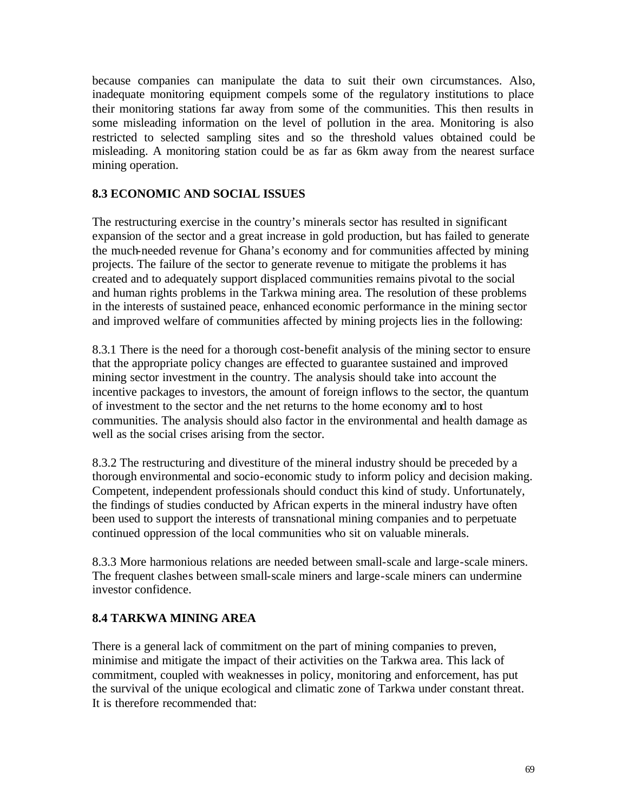because companies can manipulate the data to suit their own circumstances. Also, inadequate monitoring equipment compels some of the regulatory institutions to place their monitoring stations far away from some of the communities. This then results in some misleading information on the level of pollution in the area. Monitoring is also restricted to selected sampling sites and so the threshold values obtained could be misleading. A monitoring station could be as far as 6km away from the nearest surface mining operation.

#### **8.3 ECONOMIC AND SOCIAL ISSUES**

The restructuring exercise in the country's minerals sector has resulted in significant expansion of the sector and a great increase in gold production, but has failed to generate the much-needed revenue for Ghana's economy and for communities affected by mining projects. The failure of the sector to generate revenue to mitigate the problems it has created and to adequately support displaced communities remains pivotal to the social and human rights problems in the Tarkwa mining area. The resolution of these problems in the interests of sustained peace, enhanced economic performance in the mining sector and improved welfare of communities affected by mining projects lies in the following:

8.3.1 There is the need for a thorough cost-benefit analysis of the mining sector to ensure that the appropriate policy changes are effected to guarantee sustained and improved mining sector investment in the country. The analysis should take into account the incentive packages to investors, the amount of foreign inflows to the sector, the quantum of investment to the sector and the net returns to the home economy and to host communities. The analysis should also factor in the environmental and health damage as well as the social crises arising from the sector.

8.3.2 The restructuring and divestiture of the mineral industry should be preceded by a thorough environmental and socio-economic study to inform policy and decision making. Competent, independent professionals should conduct this kind of study. Unfortunately, the findings of studies conducted by African experts in the mineral industry have often been used to support the interests of transnational mining companies and to perpetuate continued oppression of the local communities who sit on valuable minerals.

8.3.3 More harmonious relations are needed between small-scale and large-scale miners. The frequent clashes between small-scale miners and large-scale miners can undermine investor confidence.

### **8.4 TARKWA MINING AREA**

There is a general lack of commitment on the part of mining companies to preven, minimise and mitigate the impact of their activities on the Tarkwa area. This lack of commitment, coupled with weaknesses in policy, monitoring and enforcement, has put the survival of the unique ecological and climatic zone of Tarkwa under constant threat. It is therefore recommended that: